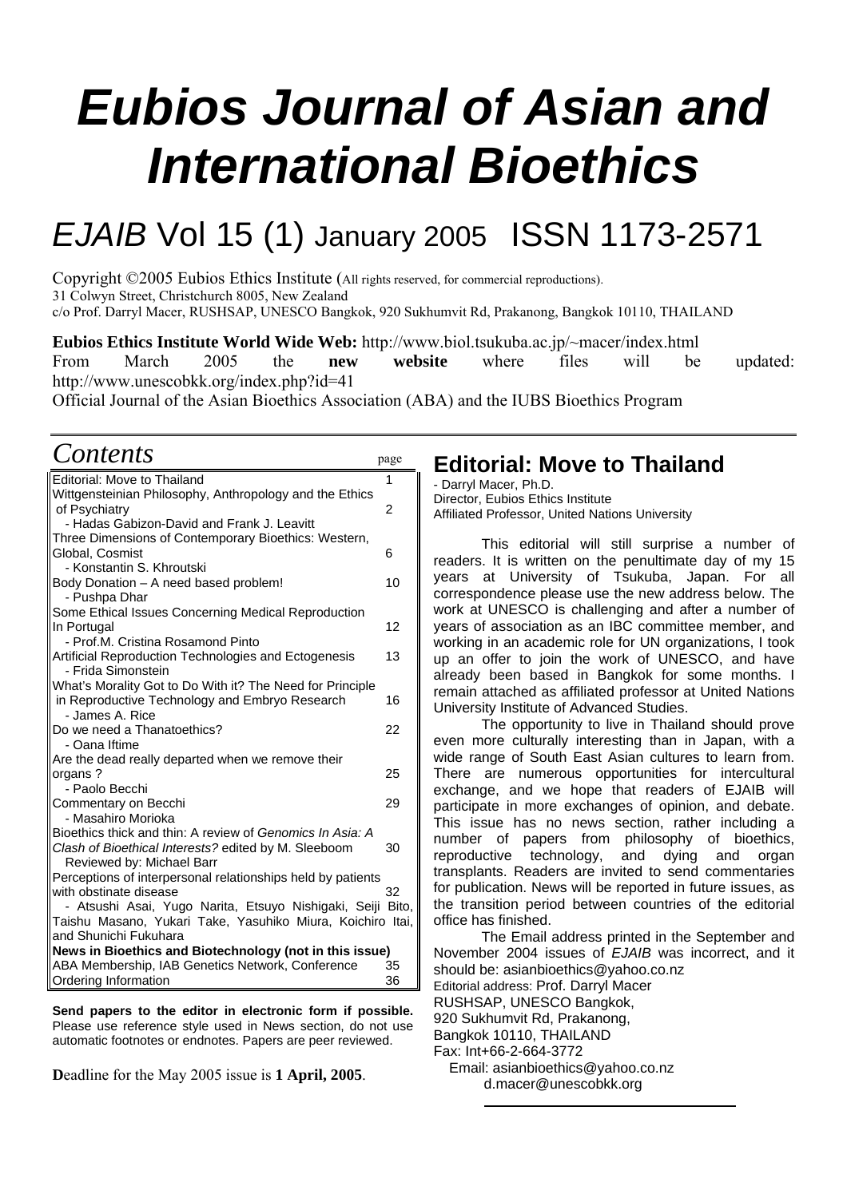# *Eubios Journal of Asian and International Bioethics*

## *EJAIB* Vol 15 (1) January 2005 ISSN 1173-2571

Copyright ©2005 Eubios Ethics Institute (All rights reserved, for commercial reproductions). 31 Colwyn Street, Christchurch 8005, New Zealand c/o Prof. Darryl Macer, RUSHSAP, UNESCO Bangkok, 920 Sukhumvit Rd, Prakanong, Bangkok 10110, THAILAND

**Eubios Ethics Institute World Wide Web:** <http://www.biol.tsukuba.ac.jp/~macer/index.html> From March 2005 the **new website** where files will be updated: http://www.unescobkk.org/index.php?id=41

Official Journal of the Asian Bioethics Association (ABA) and the IUBS Bioethics Program

### *Contents* page

| Editorial: Move to Thailand                                                     | 1  |
|---------------------------------------------------------------------------------|----|
| Wittgensteinian Philosophy, Anthropology and the Ethics                         |    |
| of Psychiatry                                                                   | 2  |
| - Hadas Gabizon-David and Frank J. Leavitt                                      |    |
| Three Dimensions of Contemporary Bioethics: Western,<br>Global, Cosmist         | 6  |
| - Konstantin S. Khroutski                                                       |    |
| Body Donation - A need based problem!                                           | 10 |
| - Pushpa Dhar                                                                   |    |
| Some Ethical Issues Concerning Medical Reproduction                             |    |
| In Portugal                                                                     | 12 |
| - Prof.M. Cristina Rosamond Pinto                                               |    |
| Artificial Reproduction Technologies and Ectogenesis<br>- Frida Simonstein      | 13 |
| What's Morality Got to Do With it? The Need for Principle                       |    |
| in Reproductive Technology and Embryo Research<br>- James A. Rice               | 16 |
| Do we need a Thanatoethics?                                                     | 22 |
| - Oana Iftime                                                                   |    |
| Are the dead really departed when we remove their                               |    |
| organs?                                                                         | 25 |
| - Paolo Becchi                                                                  |    |
| Commentary on Becchi                                                            | 29 |
| - Masahiro Morioka<br>Bioethics thick and thin: A review of Genomics In Asia: A |    |
| Clash of Bioethical Interests? edited by M. Sleeboom                            | 30 |
| Reviewed by: Michael Barr                                                       |    |
| Perceptions of interpersonal relationships held by patients                     |    |
| with obstinate disease                                                          | 32 |
| Atsushi Asai, Yugo Narita, Etsuyo Nishigaki, Seiji Bito,                        |    |
| Taishu Masano, Yukari Take, Yasuhiko Miura, Koichiro Itai,                      |    |
| and Shunichi Fukuhara                                                           |    |
| News in Bioethics and Biotechnology (not in this issue)                         |    |
| ABA Membership, IAB Genetics Network, Conference                                | 35 |
| Ordering Information                                                            | 36 |
|                                                                                 |    |

**Send papers to the editor in electronic form if possible.** Please use reference style used in News section, do not use automatic footnotes or endnotes. Papers are peer reviewed.

**D**eadline for the May 2005 issue is **1 April, 2005**.

### **Editorial: Move to Thailand**

- Darryl Macer, Ph.D. Director, Eubios Ethics Institute Affiliated Professor, United Nations University

This editorial will still surprise a number of readers. It is written on the penultimate day of my 15 years at University of Tsukuba, Japan. For all correspondence please use the new address below. The work at UNESCO is challenging and after a number of years of association as an IBC committee member, and working in an academic role for UN organizations, I took up an offer to join the work of UNESCO, and have already been based in Bangkok for some months. I remain attached as affiliated professor at United Nations University Institute of Advanced Studies.

The opportunity to live in Thailand should prove even more culturally interesting than in Japan, with a wide range of South East Asian cultures to learn from. There are numerous opportunities for intercultural exchange, and we hope that readers of EJAIB will participate in more exchanges of opinion, and debate. This issue has no news section, rather including a number of papers from philosophy of bioethics, reproductive technology, and dying and organ transplants. Readers are invited to send commentaries for publication. News will be reported in future issues, as the transition period between countries of the editorial office has finished.

The Email address printed in the September and November 2004 issues of *EJAIB* was incorrect, and it should be: asianbioethics@yahoo.co.nz Editorial address: Prof. Darryl Macer RUSHSAP, UNESCO Bangkok, 920 Sukhumvit Rd, Prakanong, Bangkok 10110, THAILAND Fax: Int+66-2-664-3772 Email: asianbioethics@yahoo.co.nz d.macer@unescobkk.org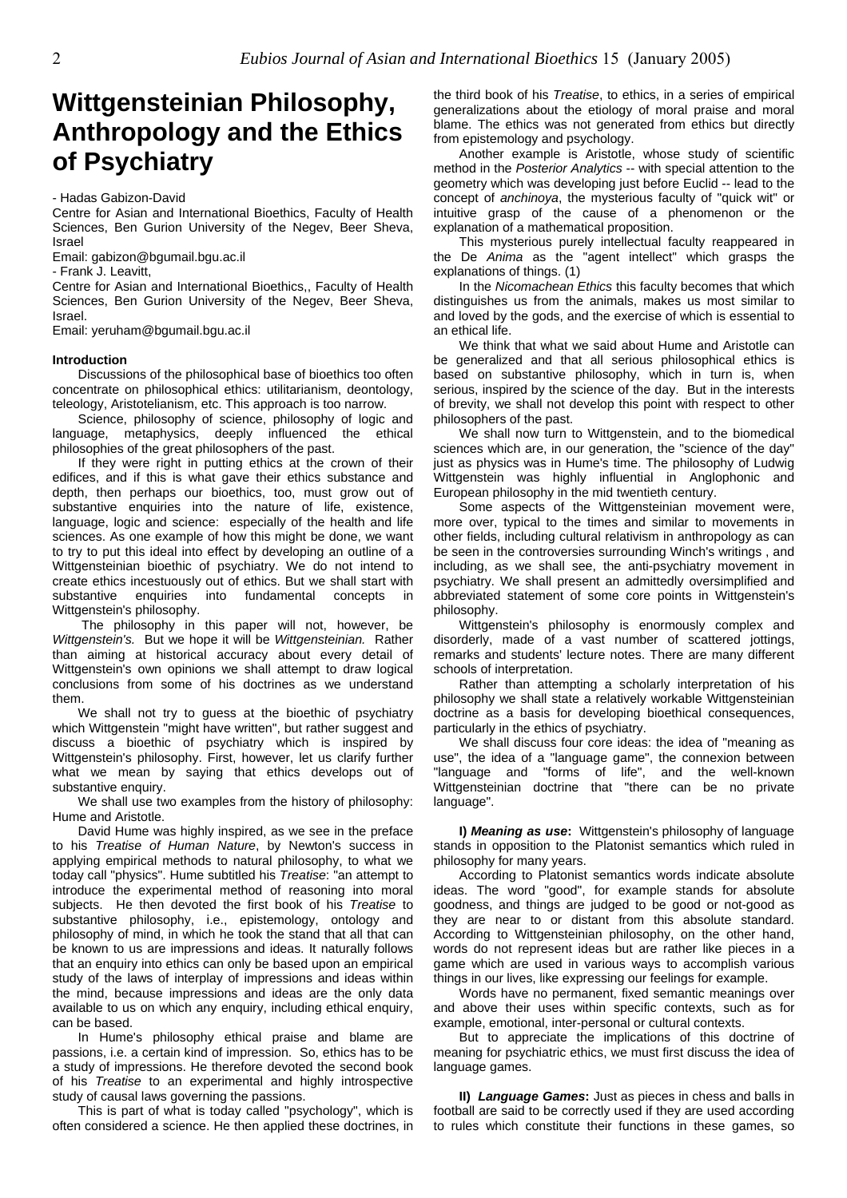## **Wittgensteinian Philosophy, Anthropology and the Ethics of Psychiatry**

- Hadas Gabizon-David

Centre for Asian and International Bioethics, Faculty of Health Sciences, Ben Gurion University of the Negev, Beer Sheva, Israel

Email: gabizon@bgumail.bgu.ac.il

- Frank J. Leavitt,

Centre for Asian and International Bioethics,, Faculty of Health Sciences, Ben Gurion University of the Negev, Beer Sheva, Israel.

Email: yeruham@bgumail.bgu.ac.il

#### **Introduction**

Discussions of the philosophical base of bioethics too often concentrate on philosophical ethics: utilitarianism, deontology, teleology, Aristotelianism, etc. This approach is too narrow.

Science, philosophy of science, philosophy of logic and language, metaphysics, deeply influenced the ethical philosophies of the great philosophers of the past.

If they were right in putting ethics at the crown of their edifices, and if this is what gave their ethics substance and depth, then perhaps our bioethics, too, must grow out of substantive enquiries into the nature of life, existence, language, logic and science: especially of the health and life sciences. As one example of how this might be done, we want to try to put this ideal into effect by developing an outline of a Wittgensteinian bioethic of psychiatry. We do not intend to create ethics incestuously out of ethics. But we shall start with substantive enquiries into fundamental concepts in Wittgenstein's philosophy.

The philosophy in this paper will not, however, be *Wittgenstein's.* But we hope it will be *Wittgensteinian.* Rather than aiming at historical accuracy about every detail of Wittgenstein's own opinions we shall attempt to draw logical conclusions from some of his doctrines as we understand them.

We shall not try to guess at the bioethic of psychiatry which Wittgenstein "might have written", but rather suggest and discuss a bioethic of psychiatry which is inspired by Wittgenstein's philosophy. First, however, let us clarify further what we mean by saying that ethics develops out of substantive enquiry.

We shall use two examples from the history of philosophy: Hume and Aristotle.

David Hume was highly inspired, as we see in the preface to his *Treatise of Human Nature*, by Newton's success in applying empirical methods to natural philosophy, to what we today call "physics". Hume subtitled his *Treatise*: "an attempt to introduce the experimental method of reasoning into moral subjects. He then devoted the first book of his *Treatise* to substantive philosophy, i.e., epistemology, ontology and philosophy of mind, in which he took the stand that all that can be known to us are impressions and ideas. It naturally follows that an enquiry into ethics can only be based upon an empirical study of the laws of interplay of impressions and ideas within the mind, because impressions and ideas are the only data available to us on which any enquiry, including ethical enquiry, can be based.

In Hume's philosophy ethical praise and blame are passions, i.e. a certain kind of impression. So, ethics has to be a study of impressions. He therefore devoted the second book of his *Treatise* to an experimental and highly introspective study of causal laws governing the passions.

This is part of what is today called "psychology", which is often considered a science. He then applied these doctrines, in

the third book of his *Treatise*, to ethics, in a series of empirical generalizations about the etiology of moral praise and moral blame. The ethics was not generated from ethics but directly from epistemology and psychology.

Another example is Aristotle, whose study of scientific method in the *Posterior Analytics* -- with special attention to the geometry which was developing just before Euclid -- lead to the concept of *anchinoya*, the mysterious faculty of "quick wit" or intuitive grasp of the cause of a phenomenon or the explanation of a mathematical proposition.

This mysterious purely intellectual faculty reappeared in the De *Anima* as the "agent intellect" which grasps the explanations of things. (1)

In the *Nicomachean Ethics* this faculty becomes that which distinguishes us from the animals, makes us most similar to and loved by the gods, and the exercise of which is essential to an ethical life.

We think that what we said about Hume and Aristotle can be generalized and that all serious philosophical ethics is based on substantive philosophy, which in turn is, when serious, inspired by the science of the day. But in the interests of brevity, we shall not develop this point with respect to other philosophers of the past.

We shall now turn to Wittgenstein, and to the biomedical sciences which are, in our generation, the "science of the day" just as physics was in Hume's time. The philosophy of Ludwig Wittgenstein was highly influential in Anglophonic and European philosophy in the mid twentieth century.

Some aspects of the Wittgensteinian movement were, more over, typical to the times and similar to movements in other fields, including cultural relativism in anthropology as can be seen in the controversies surrounding Winch's writings , and including, as we shall see, the anti-psychiatry movement in psychiatry. We shall present an admittedly oversimplified and abbreviated statement of some core points in Wittgenstein's philosophy.

Wittgenstein's philosophy is enormously complex and disorderly, made of a vast number of scattered jottings, remarks and students' lecture notes. There are many different schools of interpretation.

Rather than attempting a scholarly interpretation of his philosophy we shall state a relatively workable Wittgensteinian doctrine as a basis for developing bioethical consequences, particularly in the ethics of psychiatry.

We shall discuss four core ideas: the idea of "meaning as use", the idea of a "language game", the connexion between "language and "forms of life", and the well-known Wittgensteinian doctrine that "there can be no private language".

**I)** *Meaning as use***:** Wittgenstein's philosophy of language stands in opposition to the Platonist semantics which ruled in philosophy for many years.

According to Platonist semantics words indicate absolute ideas. The word "good", for example stands for absolute goodness, and things are judged to be good or not-good as they are near to or distant from this absolute standard. According to Wittgensteinian philosophy, on the other hand, words do not represent ideas but are rather like pieces in a game which are used in various ways to accomplish various things in our lives, like expressing our feelings for example.

Words have no permanent, fixed semantic meanings over and above their uses within specific contexts, such as for example, emotional, inter-personal or cultural contexts.

But to appreciate the implications of this doctrine of meaning for psychiatric ethics, we must first discuss the idea of language games.

**II)** *Language Games***:** Just as pieces in chess and balls in football are said to be correctly used if they are used according to rules which constitute their functions in these games, so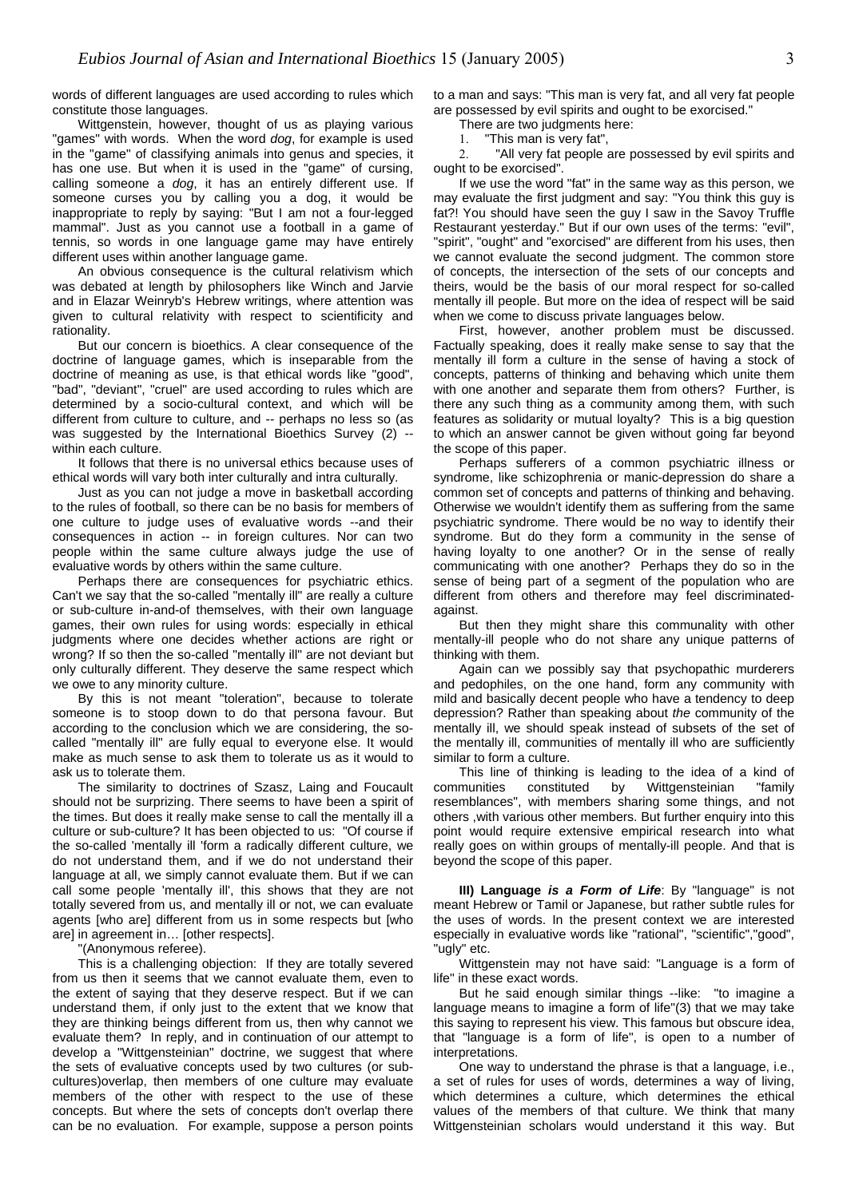words of different languages are used according to rules which constitute those languages.

Wittgenstein, however, thought of us as playing various "games" with words. When the word *dog*, for example is used in the "game" of classifying animals into genus and species, it has one use. But when it is used in the "game" of cursing, calling someone a *dog*, it has an entirely different use. If someone curses you by calling you a dog, it would be inappropriate to reply by saying: "But I am not a four-legged mammal". Just as you cannot use a football in a game of tennis, so words in one language game may have entirely different uses within another language game.

An obvious consequence is the cultural relativism which was debated at length by philosophers like Winch and Jarvie and in Elazar Weinryb's Hebrew writings, where attention was given to cultural relativity with respect to scientificity and rationality.

But our concern is bioethics. A clear consequence of the doctrine of language games, which is inseparable from the doctrine of meaning as use, is that ethical words like "good", "bad", "deviant", "cruel" are used according to rules which are determined by a socio-cultural context, and which will be different from culture to culture, and -- perhaps no less so (as was suggested by the International Bioethics Survey (2) - within each culture.

It follows that there is no universal ethics because uses of ethical words will vary both inter culturally and intra culturally.

Just as you can not judge a move in basketball according to the rules of football, so there can be no basis for members of one culture to judge uses of evaluative words --and their consequences in action -- in foreign cultures. Nor can two people within the same culture always judge the use of evaluative words by others within the same culture.

Perhaps there are consequences for psychiatric ethics. Can't we say that the so-called "mentally ill" are really a culture or sub-culture in-and-of themselves, with their own language games, their own rules for using words: especially in ethical judgments where one decides whether actions are right or wrong? If so then the so-called "mentally ill" are not deviant but only culturally different. They deserve the same respect which we owe to any minority culture.

By this is not meant "toleration", because to tolerate someone is to stoop down to do that persona favour. But according to the conclusion which we are considering, the socalled "mentally ill" are fully equal to everyone else. It would make as much sense to ask them to tolerate us as it would to ask us to tolerate them.

The similarity to doctrines of Szasz, Laing and Foucault should not be surprizing. There seems to have been a spirit of the times. But does it really make sense to call the mentally ill a culture or sub-culture? It has been objected to us: "Of course if the so-called 'mentally ill 'form a radically different culture, we do not understand them, and if we do not understand their language at all, we simply cannot evaluate them. But if we can call some people 'mentally ill', this shows that they are not totally severed from us, and mentally ill or not, we can evaluate agents [who are] different from us in some respects but [who are] in agreement in… [other respects].

"(Anonymous referee).

This is a challenging objection: If they are totally severed from us then it seems that we cannot evaluate them, even to the extent of saying that they deserve respect. But if we can understand them, if only just to the extent that we know that they are thinking beings different from us, then why cannot we evaluate them? In reply, and in continuation of our attempt to develop a "Wittgensteinian" doctrine, we suggest that where the sets of evaluative concepts used by two cultures (or subcultures)overlap, then members of one culture may evaluate members of the other with respect to the use of these concepts. But where the sets of concepts don't overlap there can be no evaluation. For example, suppose a person points

to a man and says: "This man is very fat, and all very fat people are possessed by evil spirits and ought to be exorcised."

There are two judgments here:

1. "This man is very fat",

2. "All very fat people are possessed by evil spirits and ought to be exorcised".

If we use the word "fat" in the same way as this person, we may evaluate the first judgment and say: "You think this guy is fat?! You should have seen the guy I saw in the Savoy Truffle Restaurant yesterday." But if our own uses of the terms: "evil", "spirit", "ought" and "exorcised" are different from his uses, then we cannot evaluate the second judgment. The common store of concepts, the intersection of the sets of our concepts and theirs, would be the basis of our moral respect for so-called mentally ill people. But more on the idea of respect will be said when we come to discuss private languages below.

First, however, another problem must be discussed. Factually speaking, does it really make sense to say that the mentally ill form a culture in the sense of having a stock of concepts, patterns of thinking and behaving which unite them with one another and separate them from others? Further, is there any such thing as a community among them, with such features as solidarity or mutual loyalty? This is a big question to which an answer cannot be given without going far beyond the scope of this paper.

Perhaps sufferers of a common psychiatric illness or syndrome, like schizophrenia or manic-depression do share a common set of concepts and patterns of thinking and behaving. Otherwise we wouldn't identify them as suffering from the same psychiatric syndrome. There would be no way to identify their syndrome. But do they form a community in the sense of having loyalty to one another? Or in the sense of really communicating with one another? Perhaps they do so in the sense of being part of a segment of the population who are different from others and therefore may feel discriminatedagainst.

But then they might share this communality with other mentally-ill people who do not share any unique patterns of thinking with them.

Again can we possibly say that psychopathic murderers and pedophiles, on the one hand, form any community with mild and basically decent people who have a tendency to deep depression? Rather than speaking about *the* community of the mentally ill, we should speak instead of subsets of the set of the mentally ill, communities of mentally ill who are sufficiently similar to form a culture.

This line of thinking is leading to the idea of a kind of communities constituted by Wittgensteinian "family resemblances", with members sharing some things, and not others ,with various other members. But further enquiry into this point would require extensive empirical research into what really goes on within groups of mentally-ill people. And that is beyond the scope of this paper.

**III) Language** *is a Form of Life*: By "language" is not meant Hebrew or Tamil or Japanese, but rather subtle rules for the uses of words. In the present context we are interested especially in evaluative words like "rational", "scientific","good", "ugly" etc.

Wittgenstein may not have said: "Language is a form of life" in these exact words.

But he said enough similar things --like: "to imagine a language means to imagine a form of life"(3) that we may take this saying to represent his view. This famous but obscure idea, that "language is a form of life", is open to a number of interpretations.

One way to understand the phrase is that a language, i.e., a set of rules for uses of words, determines a way of living, which determines a culture, which determines the ethical values of the members of that culture. We think that many Wittgensteinian scholars would understand it this way. But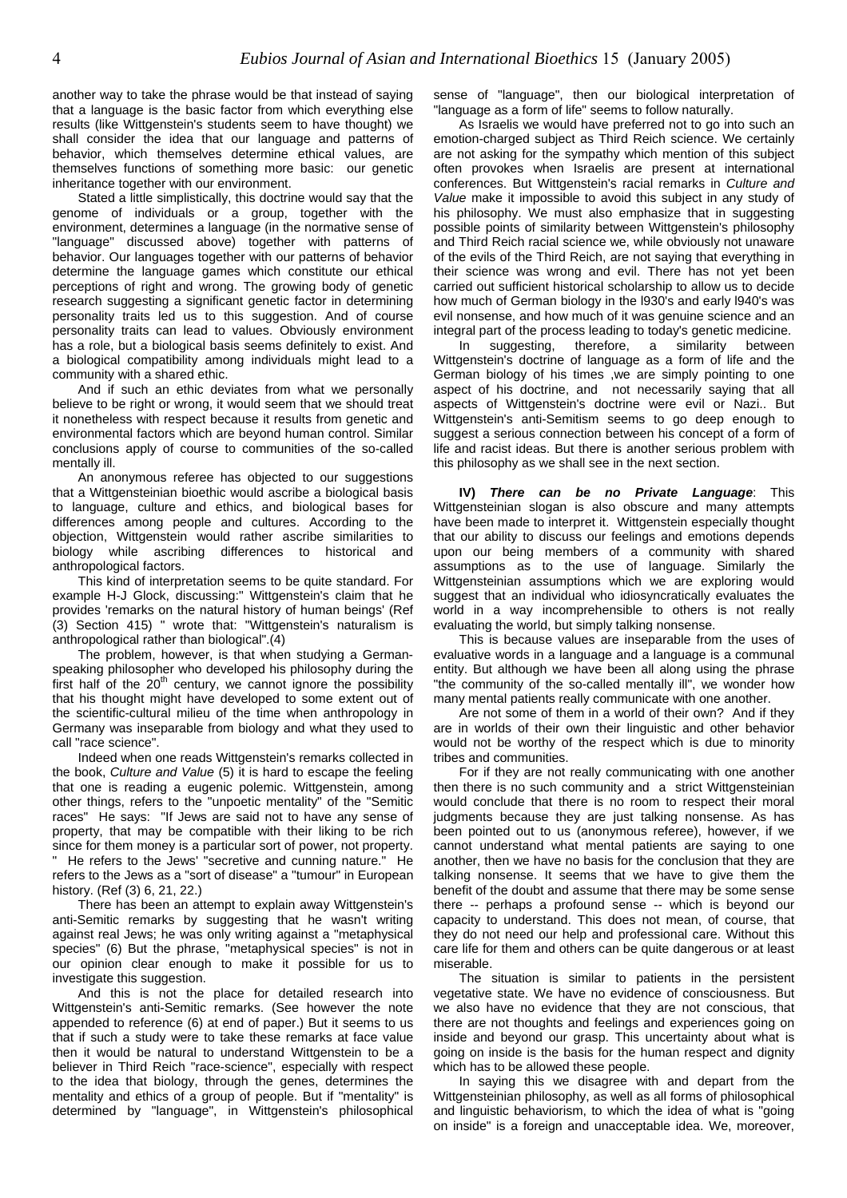another way to take the phrase would be that instead of saying that a language is the basic factor from which everything else results (like Wittgenstein's students seem to have thought) we shall consider the idea that our language and patterns of behavior, which themselves determine ethical values, are themselves functions of something more basic: our genetic inheritance together with our environment.

Stated a little simplistically, this doctrine would say that the genome of individuals or a group, together with the environment, determines a language (in the normative sense of "language" discussed above) together with patterns of behavior. Our languages together with our patterns of behavior determine the language games which constitute our ethical perceptions of right and wrong. The growing body of genetic research suggesting a significant genetic factor in determining personality traits led us to this suggestion. And of course personality traits can lead to values. Obviously environment has a role, but a biological basis seems definitely to exist. And a biological compatibility among individuals might lead to a community with a shared ethic.

And if such an ethic deviates from what we personally believe to be right or wrong, it would seem that we should treat it nonetheless with respect because it results from genetic and environmental factors which are beyond human control. Similar conclusions apply of course to communities of the so-called mentally ill.

An anonymous referee has objected to our suggestions that a Wittgensteinian bioethic would ascribe a biological basis to language, culture and ethics, and biological bases for differences among people and cultures. According to the objection, Wittgenstein would rather ascribe similarities to biology while ascribing differences to historical and anthropological factors.

This kind of interpretation seems to be quite standard. For example H-J Glock, discussing:" Wittgenstein's claim that he provides 'remarks on the natural history of human beings' (Ref (3) Section 415) " wrote that: "Wittgenstein's naturalism is anthropological rather than biological".(4)

The problem, however, is that when studying a Germanspeaking philosopher who developed his philosophy during the first half of the  $20<sup>th</sup>$  century, we cannot ignore the possibility that his thought might have developed to some extent out of the scientific-cultural milieu of the time when anthropology in Germany was inseparable from biology and what they used to call "race science".

Indeed when one reads Wittgenstein's remarks collected in the book, *Culture and Value* (5) it is hard to escape the feeling that one is reading a eugenic polemic. Wittgenstein, among other things, refers to the "unpoetic mentality" of the "Semitic races" He says: "If Jews are said not to have any sense of property, that may be compatible with their liking to be rich since for them money is a particular sort of power, not property. " He refers to the Jews' "secretive and cunning nature." He refers to the Jews as a "sort of disease" a "tumour" in European history. (Ref (3) 6, 21, 22.)

There has been an attempt to explain away Wittgenstein's anti-Semitic remarks by suggesting that he wasn't writing against real Jews; he was only writing against a "metaphysical species" (6) But the phrase, "metaphysical species" is not in our opinion clear enough to make it possible for us to investigate this suggestion.

And this is not the place for detailed research into Wittgenstein's anti-Semitic remarks. (See however the note appended to reference (6) at end of paper.) But it seems to us that if such a study were to take these remarks at face value then it would be natural to understand Wittgenstein to be a believer in Third Reich "race-science", especially with respect to the idea that biology, through the genes, determines the mentality and ethics of a group of people. But if "mentality" is determined by "language", in Wittgenstein's philosophical sense of "language", then our biological interpretation of "language as a form of life" seems to follow naturally.

As Israelis we would have preferred not to go into such an emotion-charged subject as Third Reich science. We certainly are not asking for the sympathy which mention of this subject often provokes when Israelis are present at international conferences. But Wittgenstein's racial remarks in *Culture and Value* make it impossible to avoid this subject in any study of his philosophy. We must also emphasize that in suggesting possible points of similarity between Wittgenstein's philosophy and Third Reich racial science we, while obviously not unaware of the evils of the Third Reich, are not saying that everything in their science was wrong and evil. There has not yet been carried out sufficient historical scholarship to allow us to decide how much of German biology in the l930's and early l940's was evil nonsense, and how much of it was genuine science and an integral part of the process leading to today's genetic medicine.

In suggesting, therefore, a similarity between Wittgenstein's doctrine of language as a form of life and the German biology of his times ,we are simply pointing to one aspect of his doctrine, and not necessarily saying that all aspects of Wittgenstein's doctrine were evil or Nazi.. But Wittgenstein's anti-Semitism seems to go deep enough to suggest a serious connection between his concept of a form of life and racist ideas. But there is another serious problem with this philosophy as we shall see in the next section.

**IV)** *There can be no Private Language*: This Wittgensteinian slogan is also obscure and many attempts have been made to interpret it. Wittgenstein especially thought that our ability to discuss our feelings and emotions depends upon our being members of a community with shared assumptions as to the use of language. Similarly the Wittgensteinian assumptions which we are exploring would suggest that an individual who idiosyncratically evaluates the world in a way incomprehensible to others is not really evaluating the world, but simply talking nonsense.

This is because values are inseparable from the uses of evaluative words in a language and a language is a communal entity. But although we have been all along using the phrase "the community of the so-called mentally ill", we wonder how many mental patients really communicate with one another.

Are not some of them in a world of their own? And if they are in worlds of their own their linguistic and other behavior would not be worthy of the respect which is due to minority tribes and communities.

For if they are not really communicating with one another then there is no such community and a strict Wittgensteinian would conclude that there is no room to respect their moral judgments because they are just talking nonsense. As has been pointed out to us (anonymous referee), however, if we cannot understand what mental patients are saying to one another, then we have no basis for the conclusion that they are talking nonsense. It seems that we have to give them the benefit of the doubt and assume that there may be some sense there -- perhaps a profound sense -- which is beyond our capacity to understand. This does not mean, of course, that they do not need our help and professional care. Without this care life for them and others can be quite dangerous or at least miserable.

The situation is similar to patients in the persistent vegetative state. We have no evidence of consciousness. But we also have no evidence that they are not conscious, that there are not thoughts and feelings and experiences going on inside and beyond our grasp. This uncertainty about what is going on inside is the basis for the human respect and dignity which has to be allowed these people.

In saying this we disagree with and depart from the Wittgensteinian philosophy, as well as all forms of philosophical and linguistic behaviorism, to which the idea of what is "going on inside" is a foreign and unacceptable idea. We, moreover,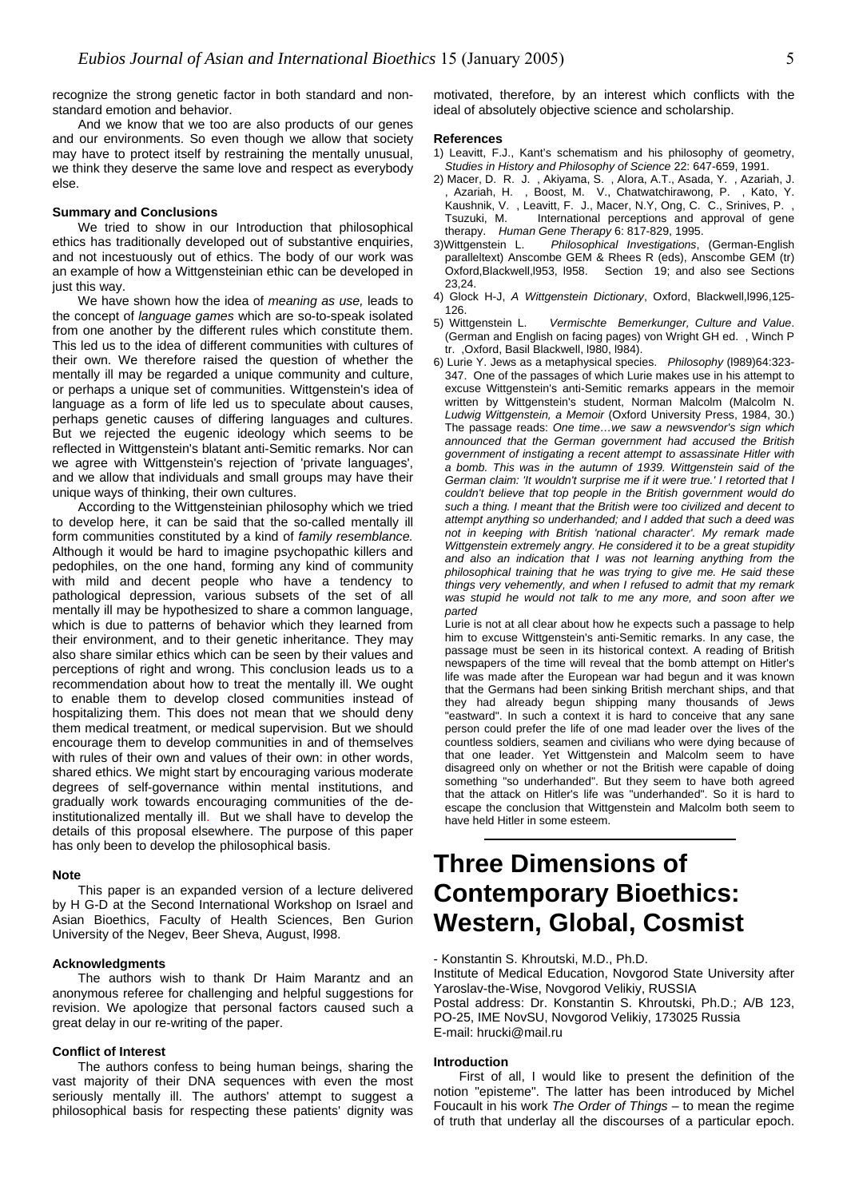recognize the strong genetic factor in both standard and nonstandard emotion and behavior.

And we know that we too are also products of our genes and our environments. So even though we allow that society may have to protect itself by restraining the mentally unusual, we think they deserve the same love and respect as everybody else.

#### **Summary and Conclusions**

We tried to show in our Introduction that philosophical ethics has traditionally developed out of substantive enquiries, and not incestuously out of ethics. The body of our work was an example of how a Wittgensteinian ethic can be developed in just this way.

We have shown how the idea of *meaning as use,* leads to the concept of *language games* which are so-to-speak isolated from one another by the different rules which constitute them. This led us to the idea of different communities with cultures of their own. We therefore raised the question of whether the mentally ill may be regarded a unique community and culture, or perhaps a unique set of communities. Wittgenstein's idea of language as a form of life led us to speculate about causes, perhaps genetic causes of differing languages and cultures. But we rejected the eugenic ideology which seems to be reflected in Wittgenstein's blatant anti-Semitic remarks. Nor can we agree with Wittgenstein's rejection of 'private languages'. and we allow that individuals and small groups may have their unique ways of thinking, their own cultures.

According to the Wittgensteinian philosophy which we tried to develop here, it can be said that the so-called mentally ill form communities constituted by a kind of *family resemblance.* Although it would be hard to imagine psychopathic killers and pedophiles, on the one hand, forming any kind of community with mild and decent people who have a tendency to pathological depression, various subsets of the set of all mentally ill may be hypothesized to share a common language, which is due to patterns of behavior which they learned from their environment, and to their genetic inheritance. They may also share similar ethics which can be seen by their values and perceptions of right and wrong. This conclusion leads us to a recommendation about how to treat the mentally ill. We ought to enable them to develop closed communities instead of hospitalizing them. This does not mean that we should deny them medical treatment, or medical supervision. But we should encourage them to develop communities in and of themselves with rules of their own and values of their own: in other words, shared ethics. We might start by encouraging various moderate degrees of self-governance within mental institutions, and gradually work towards encouraging communities of the deinstitutionalized mentally ill. But we shall have to develop the details of this proposal elsewhere. The purpose of this paper has only been to develop the philosophical basis.

#### **Note**

This paper is an expanded version of a lecture delivered by H G-D at the Second International Workshop on Israel and Asian Bioethics, Faculty of Health Sciences, Ben Gurion University of the Negev, Beer Sheva, August, l998.

#### **Acknowledgments**

The authors wish to thank Dr Haim Marantz and an anonymous referee for challenging and helpful suggestions for revision. We apologize that personal factors caused such a great delay in our re-writing of the paper.

#### **Conflict of Interest**

The authors confess to being human beings, sharing the vast majority of their DNA sequences with even the most seriously mentally ill. The authors' attempt to suggest a philosophical basis for respecting these patients' dignity was

motivated, therefore, by an interest which conflicts with the ideal of absolutely objective science and scholarship.

#### **References**

- 1) Leavitt, F.J., Kant's schematism and his philosophy of geometry, *Studies in History and Philosophy of Science* 22: 647-659, 1991.
- 2) Macer, D. R. J. , Akiyama, S. , Alora, A.T., Asada, Y. , Azariah, J. , Azariah, H. , Boost, M. V., Chatwatchirawong, P. , Kato, Y. Kaushnik, V. , Leavitt, F. J., Macer, N.Y, Ong, C. C., Srinives, P. , Tsuzuki, M. International perceptions and approval of gene therapy. *Human Gene Therapy* 6: 817-829, 1995.
- 3)Wittgenstein L. *Philosophical Investigations*, (German-English paralleltext) Anscombe GEM & Rhees R (eds), Anscombe GEM (tr)<br>Oxford,Blackwell, 1953, 1958. Section 19; and also see Sections Section 19; and also see Sections 23,24.
- 4) Glock H-J, *A Wittgenstein Dictionary*, Oxford, Blackwell,l996,125- 126.
- 5) Wittgenstein L. *Vermischte Bemerkunger, Culture and Value*. (German and English on facing pages) von Wright GH ed. , Winch P tr. ,Oxford, Basil Blackwell, l980, l984).
- 6) Lurie Y. Jews as a metaphysical species. *Philosophy* (l989)64:323- 347. One of the passages of which Lurie makes use in his attempt to excuse Wittgenstein's anti-Semitic remarks appears in the memoir written by Wittgenstein's student, Norman Malcolm (Malcolm N. *Ludwig Wittgenstein, a Memoir* (Oxford University Press, 1984, 30.) The passage reads: *One time…we saw a newsvendor's sign which announced that the German government had accused the British government of instigating a recent attempt to assassinate Hitler with a bomb. This was in the autumn of 1939. Wittgenstein said of the German claim: 'It wouldn't surprise me if it were true.' I retorted that I couldn't believe that top people in the British government would do such a thing. I meant that the British were too civilized and decent to attempt anything so underhanded; and I added that such a deed was not in keeping with British 'national character'. My remark made Wittgenstein extremely angry. He considered it to be a great stupidity and also an indication that I was not learning anything from the philosophical training that he was trying to give me. He said these things very vehemently, and when I refused to admit that my remark was stupid he would not talk to me any more, and soon after we parted*

Lurie is not at all clear about how he expects such a passage to help him to excuse Wittgenstein's anti-Semitic remarks. In any case, the passage must be seen in its historical context. A reading of British newspapers of the time will reveal that the bomb attempt on Hitler's life was made after the European war had begun and it was known that the Germans had been sinking British merchant ships, and that they had already begun shipping many thousands of Jews "eastward". In such a context it is hard to conceive that any sane person could prefer the life of one mad leader over the lives of the countless soldiers, seamen and civilians who were dying because of that one leader. Yet Wittgenstein and Malcolm seem to have disagreed only on whether or not the British were capable of doing something "so underhanded". But they seem to have both agreed that the attack on Hitler's life was "underhanded". So it is hard to escape the conclusion that Wittgenstein and Malcolm both seem to have held Hitler in some esteem.

### **Three Dimensions of Contemporary Bioethics: Western, Global, Cosmist**

- Konstantin S. Khroutski, M.D., Ph.D.

Institute of Medical Education, Novgorod State University after Yaroslav-the-Wise, Novgorod Velikiy, RUSSIA

Postal address: Dr. Konstantin S. Khroutski, Ph.D.; A/B 123, PO-25, IME NovSU, Novgorod Velikiy, 173025 Russia E-mail: [hrucki@mail.ru](mailto:hrucki@mail.ru)

#### **Introduction**

First of all, I would like to present the definition of the notion "episteme". The latter has been introduced by Michel Foucault in his work *The Order of Things* – to mean the regime of truth that underlay all the discourses of a particular epoch.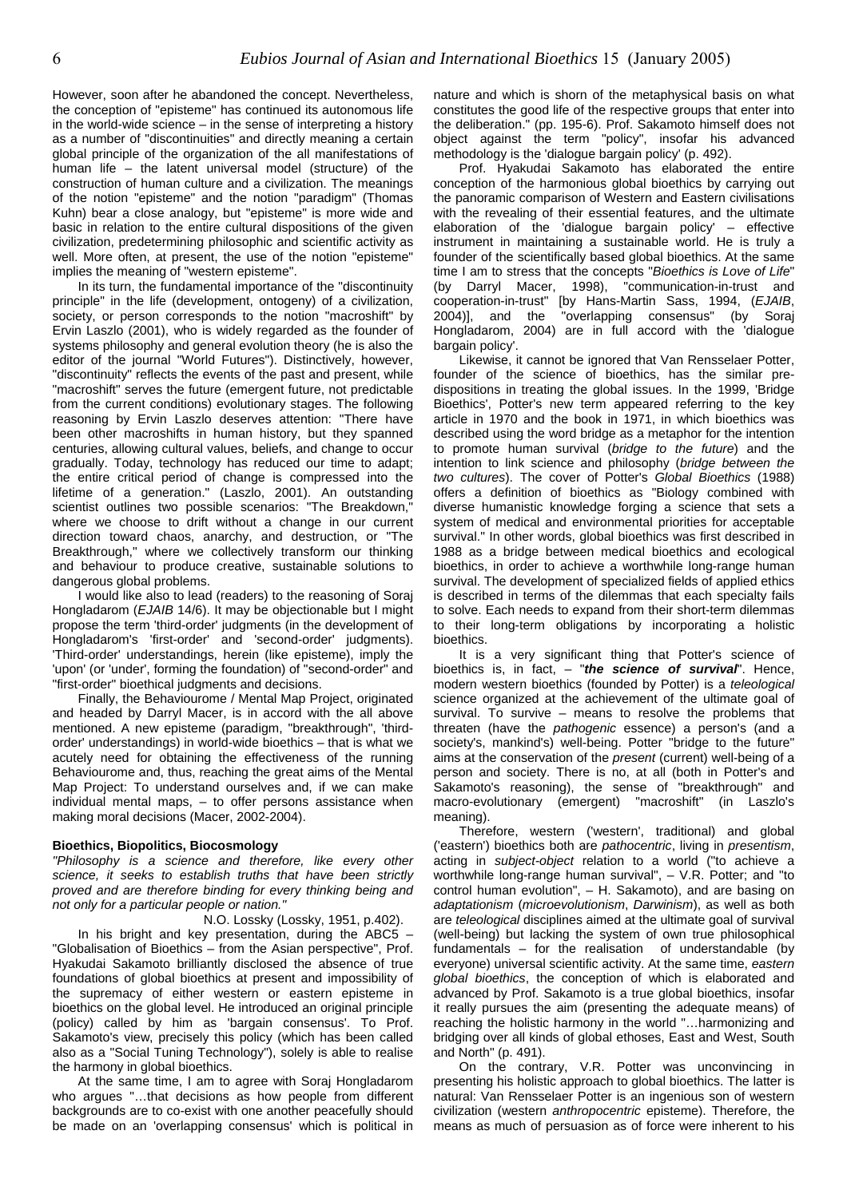However, soon after he abandoned the concept. Nevertheless, the conception of "episteme" has continued its autonomous life in the world-wide science  $-$  in the sense of interpreting a history as a number of "discontinuities" and directly meaning a certain global principle of the organization of the all manifestations of human life – the latent universal model (structure) of the construction of human culture and a civilization. The meanings of the notion "episteme" and the notion "paradigm" (Thomas Kuhn) bear a close analogy, but "episteme" is more wide and basic in relation to the entire cultural dispositions of the given civilization, predetermining philosophic and scientific activity as well. More often, at present, the use of the notion "episteme" implies the meaning of "western episteme".

In its turn, the fundamental importance of the "discontinuity principle" in the life (development, ontogeny) of a civilization, society, or person corresponds to the notion "macroshift" by Ervin Laszlo (2001), who is widely regarded as the founder of systems philosophy and general evolution theory (he is also the editor of the journal "World Futures"). Distinctively, however, "discontinuity" reflects the events of the past and present, while "macroshift" serves the future (emergent future, not predictable from the current conditions) evolutionary stages. The following reasoning by Ervin Laszlo deserves attention: "There have been other macroshifts in human history, but they spanned centuries, allowing cultural values, beliefs, and change to occur gradually. Today, technology has reduced our time to adapt; the entire critical period of change is compressed into the lifetime of a generation." (Laszlo, 2001). An outstanding scientist outlines two possible scenarios: "The Breakdown," where we choose to drift without a change in our current direction toward chaos, anarchy, and destruction, or "The Breakthrough," where we collectively transform our thinking and behaviour to produce creative, sustainable solutions to dangerous global problems.

I would like also to lead (readers) to the reasoning of Soraj Hongladarom (*EJAIB* 14/6). It may be objectionable but I might propose the term 'third-order' judgments (in the development of Hongladarom's 'first-order' and 'second-order' judgments). 'Third-order' understandings, herein (like episteme), imply the 'upon' (or 'under', forming the foundation) of "second-order" and "first-order" bioethical judgments and decisions.

Finally, the Behaviourome / Mental Map Project, originated and headed by Darryl Macer, is in accord with the all above mentioned. A new episteme (paradigm, "breakthrough", 'thirdorder' understandings) in world-wide bioethics – that is what we acutely need for obtaining the effectiveness of the running Behaviourome and, thus, reaching the great aims of the Mental Map Project: To understand ourselves and, if we can make individual mental maps, – to offer persons assistance when making moral decisions (Macer, 2002-2004).

### **Bioethics, Biopolitics, Biocosmology**

*"Philosophy is a science and therefore, like every other science, it seeks to establish truths that have been strictly proved and are therefore binding for every thinking being and not only for a particular people or nation."*

N.O. Lossky (Lossky, 1951, p.402).

In his bright and key presentation, during the ABC5 – "Globalisation of Bioethics – from the Asian perspective", Prof. Hyakudai Sakamoto brilliantly disclosed the absence of true foundations of global bioethics at present and impossibility of the supremacy of either western or eastern episteme in bioethics on the global level. He introduced an original principle (policy) called by him as 'bargain consensus'. To Prof. Sakamoto's view, precisely this policy (which has been called also as a "Social Tuning Technology"), solely is able to realise the harmony in global bioethics.

At the same time, I am to agree with Soraj Hongladarom who argues "…that decisions as how people from different backgrounds are to co-exist with one another peacefully should be made on an 'overlapping consensus' which is political in

nature and which is shorn of the metaphysical basis on what constitutes the good life of the respective groups that enter into the deliberation." (pp. 195-6). Prof. Sakamoto himself does not object against the term "policy", insofar his advanced methodology is the 'dialogue bargain policy' (p. 492).

Prof. Hyakudai Sakamoto has elaborated the entire conception of the harmonious global bioethics by carrying out the panoramic comparison of Western and Eastern civilisations with the revealing of their essential features, and the ultimate elaboration of the 'dialogue bargain policy' – effective instrument in maintaining a sustainable world. He is truly a founder of the scientifically based global bioethics. At the same time I am to stress that the concepts "*Bioethics is Love of Life*" (by Darryl Macer, 1998), "communication-in-trust and cooperation-in-trust" [by Hans-Martin Sass, 1994, (*EJAIB*, 2004)], and the "overlapping consensus" (by Soraj Hongladarom, 2004) are in full accord with the 'dialogue bargain policy'.

Likewise, it cannot be ignored that Van Rensselaer Potter, founder of the science of bioethics, has the similar predispositions in treating the global issues. In the 1999, 'Bridge Bioethics', Potter's new term appeared referring to the key article in 1970 and the book in 1971, in which bioethics was described using the word bridge as a metaphor for the intention to promote human survival (*bridge to the future*) and the intention to link science and philosophy (*bridge between the two cultures*). The cover of Potter's *Global Bioethics* (1988) offers a definition of bioethics as "Biology combined with diverse humanistic knowledge forging a science that sets a system of medical and environmental priorities for acceptable survival." In other words, global bioethics was first described in 1988 as a bridge between medical bioethics and ecological bioethics, in order to achieve a worthwhile long-range human survival. The development of specialized fields of applied ethics is described in terms of the dilemmas that each specialty fails to solve. Each needs to expand from their short-term dilemmas to their long-term obligations by incorporating a holistic bioethics.

It is a very significant thing that Potter's science of bioethics is, in fact, – "*the science of survival*". Hence, modern western bioethics (founded by Potter) is a *teleological* science organized at the achievement of the ultimate goal of survival. To survive – means to resolve the problems that threaten (have the *pathogenic* essence) a person's (and a society's, mankind's) well-being. Potter "bridge to the future" aims at the conservation of the *present* (current) well-being of a person and society. There is no, at all (both in Potter's and Sakamoto's reasoning), the sense of "breakthrough" and macro-evolutionary (emergent) "macroshift" (in Laszlo's meaning).

Therefore, western ('western', traditional) and global ('eastern') bioethics both are *pathocentric*, living in *presentism*, acting in *subject-object* relation to a world ("to achieve a worthwhile long-range human survival", – V.R. Potter; and "to control human evolution", – H. Sakamoto), and are basing on *adaptationism* (*microevolutionism*, *Darwinism*), as well as both are *teleological* disciplines aimed at the ultimate goal of survival (well-being) but lacking the system of own true philosophical fundamentals – for the realisation of understandable (by everyone) universal scientific activity. At the same time, *eastern global bioethics*, the conception of which is elaborated and advanced by Prof. Sakamoto is a true global bioethics, insofar it really pursues the aim (presenting the adequate means) of reaching the holistic harmony in the world "…harmonizing and bridging over all kinds of global ethoses, East and West, South and North" (p. 491).

On the contrary, V.R. Potter was unconvincing in presenting his holistic approach to global bioethics. The latter is natural: Van Rensselaer Potter is an ingenious son of western civilization (western *anthropocentric* episteme). Therefore, the means as much of persuasion as of force were inherent to his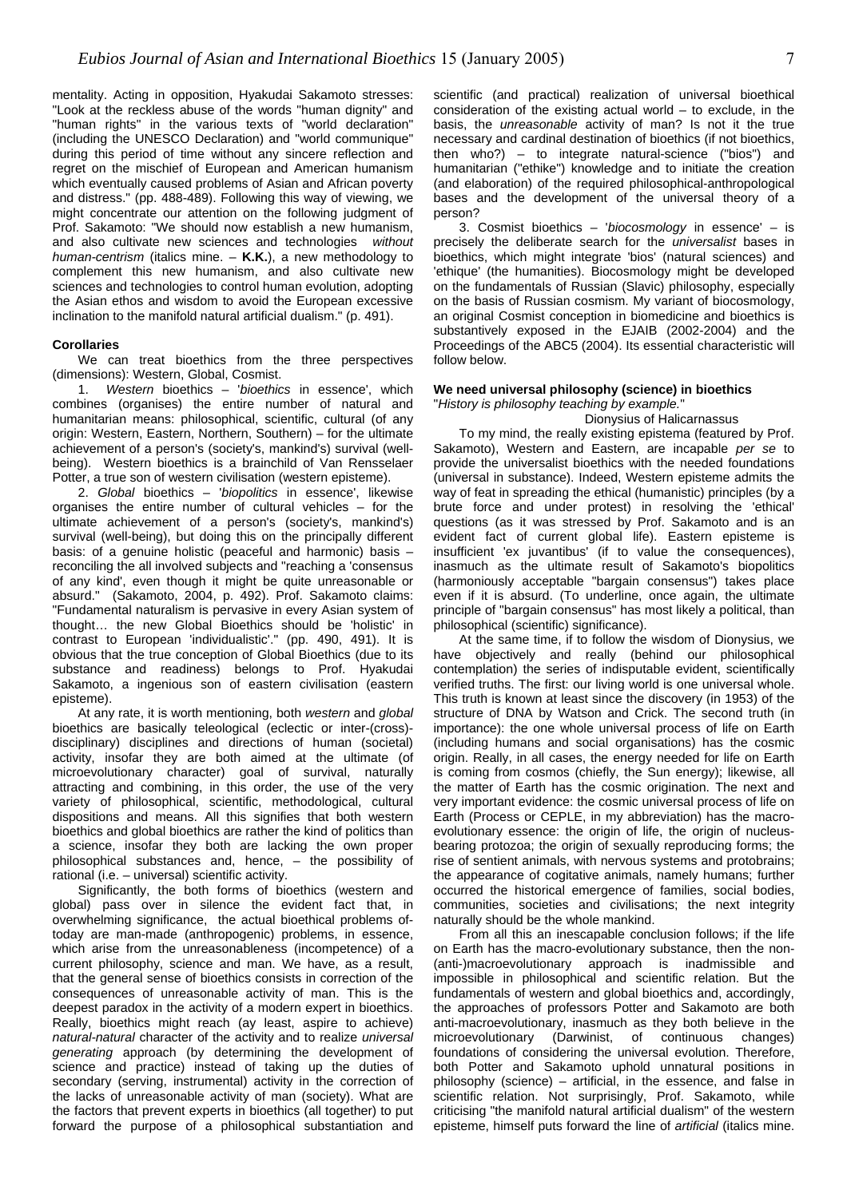mentality. Acting in opposition, Hyakudai Sakamoto stresses: "Look at the reckless abuse of the words "human dignity" and "human rights" in the various texts of "world declaration" (including the UNESCO Declaration) and "world communique" during this period of time without any sincere reflection and regret on the mischief of European and American humanism which eventually caused problems of Asian and African poverty and distress." (pp. 488-489). Following this way of viewing, we might concentrate our attention on the following judgment of Prof. Sakamoto: "We should now establish a new humanism, and also cultivate new sciences and technologies *without human-centrism* (italics mine. – **K.K.**), a new methodology to complement this new humanism, and also cultivate new sciences and technologies to control human evolution, adopting the Asian ethos and wisdom to avoid the European excessive inclination to the manifold natural artificial dualism." (p. 491).

#### **Corollaries**

We can treat bioethics from the three perspectives (dimensions): Western, Global, Cosmist.

1. *Western* bioethics – '*bioethics* in essence', which combines (organises) the entire number of natural and humanitarian means: philosophical, scientific, cultural (of any origin: Western, Eastern, Northern, Southern) – for the ultimate achievement of a person's (society's, mankind's) survival (wellbeing). Western bioethics is a brainchild of Van Rensselaer Potter, a true son of western civilisation (western episteme).

2. *Global* bioethics – '*biopolitics* in essence', likewise organises the entire number of cultural vehicles – for the ultimate achievement of a person's (society's, mankind's) survival (well-being), but doing this on the principally different basis: of a genuine holistic (peaceful and harmonic) basis – reconciling the all involved subjects and "reaching a 'consensus of any kind', even though it might be quite unreasonable or absurd." (Sakamoto, 2004, p. 492). Prof. Sakamoto claims: "Fundamental naturalism is pervasive in every Asian system of thought… the new Global Bioethics should be 'holistic' in contrast to European 'individualistic'." (pp. 490, 491). It is obvious that the true conception of Global Bioethics (due to its substance and readiness) belongs to Prof. Hyakudai Sakamoto, a ingenious son of eastern civilisation (eastern episteme).

At any rate, it is worth mentioning, both *western* and *global* bioethics are basically teleological (eclectic or inter-(cross) disciplinary) disciplines and directions of human (societal) activity, insofar they are both aimed at the ultimate (of microevolutionary character) goal of survival, naturally attracting and combining, in this order, the use of the very variety of philosophical, scientific, methodological, cultural dispositions and means. All this signifies that both western bioethics and global bioethics are rather the kind of politics than a science, insofar they both are lacking the own proper philosophical substances and, hence, – the possibility of rational (i.e. – universal) scientific activity.

Significantly, the both forms of bioethics (western and global) pass over in silence the evident fact that, in overwhelming significance, the actual bioethical problems oftoday are man-made (anthropogenic) problems, in essence, which arise from the unreasonableness (incompetence) of a current philosophy, science and man. We have, as a result, that the general sense of bioethics consists in correction of the consequences of unreasonable activity of man. This is the deepest paradox in the activity of a modern expert in bioethics. Really, bioethics might reach (ay least, aspire to achieve) *natural-natural* character of the activity and to realize *universal generating* approach (by determining the development of science and practice) instead of taking up the duties of secondary (serving, instrumental) activity in the correction of the lacks of unreasonable activity of man (society). What are the factors that prevent experts in bioethics (all together) to put forward the purpose of a philosophical substantiation and scientific (and practical) realization of universal bioethical consideration of the existing actual world  $-$  to exclude, in the basis, the *unreasonable* activity of man? Is not it the true necessary and cardinal destination of bioethics (if not bioethics, then who?) – to integrate natural-science ("bios") and humanitarian ("ethike") knowledge and to initiate the creation (and elaboration) of the required philosophical-anthropological bases and the development of the universal theory of a person?

3. Cosmist bioethics – '*biocosmology* in essence' – is precisely the deliberate search for the *universalist* bases in bioethics, which might integrate 'bios' (natural sciences) and 'ethique' (the humanities). Biocosmology might be developed on the fundamentals of Russian (Slavic) philosophy, especially on the basis of Russian cosmism. My variant of biocosmology, an original Cosmist conception in biomedicine and bioethics is substantively exposed in the EJAIB (2002-2004) and the Proceedings of the ABC5 (2004). Its essential characteristic will follow below.

### **We need universal philosophy (science) in bioethics**  "*History is philosophy teaching by example.*"

### Dionysius of Halicarnassus

To my mind, the really existing epistema (featured by Prof. Sakamoto), Western and Eastern, are incapable *per se* to provide the universalist bioethics with the needed foundations (universal in substance). Indeed, Western episteme admits the way of feat in spreading the ethical (humanistic) principles (by a brute force and under protest) in resolving the 'ethical' questions (as it was stressed by Prof. Sakamoto and is an evident fact of current global life). Eastern episteme is insufficient 'ex juvantibus' (if to value the consequences), inasmuch as the ultimate result of Sakamoto's biopolitics (harmoniously acceptable "bargain consensus") takes place even if it is absurd. (To underline, once again, the ultimate principle of "bargain consensus" has most likely a political, than philosophical (scientific) significance).

At the same time, if to follow the wisdom of Dionysius, we have objectively and really (behind our philosophical contemplation) the series of indisputable evident, scientifically verified truths. The first: our living world is one universal whole. This truth is known at least since the discovery (in 1953) of the structure of DNA by Watson and Crick. The second truth (in importance): the one whole universal process of life on Earth (including humans and social organisations) has the cosmic origin. Really, in all cases, the energy needed for life on Earth is coming from cosmos (chiefly, the Sun energy); likewise, all the matter of Earth has the cosmic origination. The next and very important evidence: the cosmic universal process of life on Earth (Process or CEPLE, in my abbreviation) has the macroevolutionary essence: the origin of life, the origin of nucleusbearing protozoa; the origin of sexually reproducing forms; the rise of sentient animals, with nervous systems and protobrains; the appearance of cogitative animals, namely humans; further occurred the historical emergence of families, social bodies, communities, societies and civilisations; the next integrity naturally should be the whole mankind.

From all this an inescapable conclusion follows; if the life on Earth has the macro-evolutionary substance, then the non- (anti-)macroevolutionary approach is inadmissible and impossible in philosophical and scientific relation. But the fundamentals of western and global bioethics and, accordingly, the approaches of professors Potter and Sakamoto are both anti-macroevolutionary, inasmuch as they both believe in the microevolutionary (Darwinist, of continuous changes) foundations of considering the universal evolution. Therefore, both Potter and Sakamoto uphold unnatural positions in philosophy (science) – artificial, in the essence, and false in scientific relation. Not surprisingly, Prof. Sakamoto, while criticising "the manifold natural artificial dualism" of the western episteme, himself puts forward the line of *artificial* (italics mine.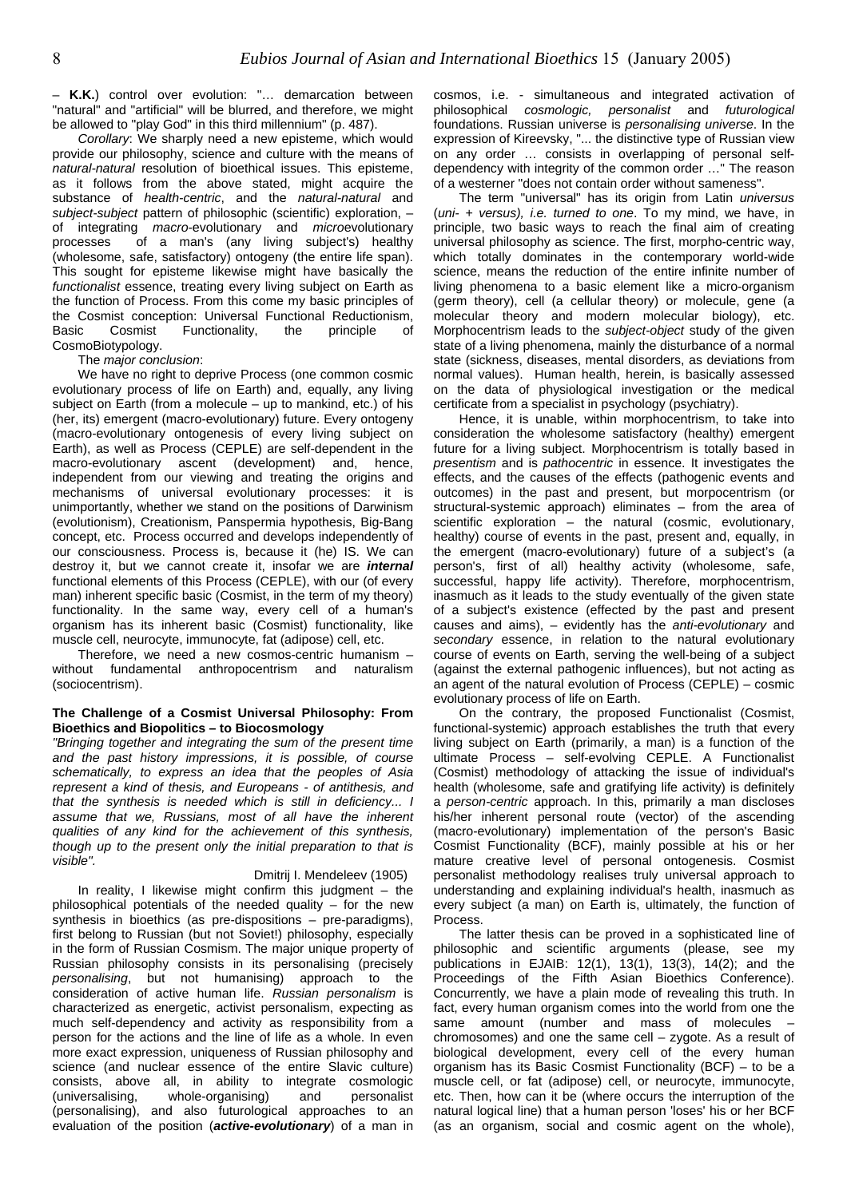– **K.K.**) control over evolution: "… demarcation between "natural" and "artificial" will be blurred, and therefore, we might be allowed to "play God" in this third millennium" (p. 487).

*Corollary*: We sharply need a new episteme, which would provide our philosophy, science and culture with the means of *natural-natural* resolution of bioethical issues. This episteme, as it follows from the above stated, might acquire the substance of *health-centric*, and the *natural-natural* and *subject-subject* pattern of philosophic (scientific) exploration, – of integrating *macro*-evolutionary and *micro*evolutionary processes of a man's (any living subject's) healthy (wholesome, safe, satisfactory) ontogeny (the entire life span). This sought for episteme likewise might have basically the *functionalist* essence, treating every living subject on Earth as the function of Process. From this come my basic principles of the Cosmist conception: Universal Functional Reductionism, Basic Cosmist Functionality, the principle of CosmoBiotypology.

The *major conclusion*:

We have no right to deprive Process (one common cosmic evolutionary process of life on Earth) and, equally, any living subject on Earth (from a molecule – up to mankind, etc.) of his (her, its) emergent (macro-evolutionary) future. Every ontogeny (macro-evolutionary ontogenesis of every living subject on Earth), as well as Process (CEPLE) are self-dependent in the macro-evolutionary ascent (development) and, hence, independent from our viewing and treating the origins and mechanisms of universal evolutionary processes: it is unimportantly, whether we stand on the positions of Darwinism (evolutionism), Creationism, Panspermia hypothesis, Big-Bang concept, etc. Process occurred and develops independently of our consciousness. Process is, because it (he) IS. We can destroy it, but we cannot create it, insofar we are *internal* functional elements of this Process (CEPLE), with our (of every man) inherent specific basic (Cosmist, in the term of my theory) functionality. In the same way, every cell of a human's organism has its inherent basic (Cosmist) functionality, like muscle cell, neurocyte, immunocyte, fat (adipose) cell, etc.

Therefore, we need a new cosmos-centric humanism – without fundamental anthropocentrism and naturalism (sociocentrism).

### **The Challenge of a Cosmist Universal Philosophy: From Bioethics and Biopolitics – to Biocosmology**

*"Bringing together and integrating the sum of the present time and the past history impressions, it is possible, of course schematically, to express an idea that the peoples of Asia represent a kind of thesis, and Europeans - of antithesis, and that the synthesis is needed which is still in deficiency... I assume that we, Russians, most of all have the inherent qualities of any kind for the achievement of this synthesis, though up to the present only the initial preparation to that is visible".* 

### Dmitrij I. Mendeleev (1905)

In reality, I likewise might confirm this judgment  $-$  the philosophical potentials of the needed quality  $-$  for the new synthesis in bioethics (as pre-dispositions – pre-paradigms), first belong to Russian (but not Soviet!) philosophy, especially in the form of Russian Cosmism. The major unique property of Russian philosophy consists in its personalising (precisely *personalising*, but not humanising) approach to the consideration of active human life. *Russian personalism* is characterized as energetic, activist personalism, expecting as much self-dependency and activity as responsibility from a person for the actions and the line of life as a whole. In even more exact expression, uniqueness of Russian philosophy and science (and nuclear essence of the entire Slavic culture) consists, above all, in ability to integrate cosmologic (universalising, whole-organising) and personalist (personalising), and also futurological approaches to an evaluation of the position (*active-evolutionary*) of a man in

cosmos, i.e. - simultaneous and integrated activation of philosophical *cosmologic, personalist* and *futurological* foundations. Russian universe is *personalising universe*. In the expression of Kireevsky, "... the distinctive type of Russian view on any order … consists in overlapping of personal selfdependency with integrity of the common order …" The reason of a westerner "does not contain order without sameness".

The term "universal" has its origin from Latin *universus* (*uni- + versus), i.e. turned to one*. To my mind, we have, in principle, two basic ways to reach the final aim of creating universal philosophy as science. The first, morpho-centric way, which totally dominates in the contemporary world-wide science, means the reduction of the entire infinite number of living phenomena to a basic element like a micro-organism (germ theory), cell (a cellular theory) or molecule, gene (a molecular theory and modern molecular biology), etc. Morphocentrism leads to the *subject-object* study of the given state of a living phenomena, mainly the disturbance of a normal state (sickness, diseases, mental disorders, as deviations from normal values). Human health, herein, is basically assessed on the data of physiological investigation or the medical certificate from a specialist in psychology (psychiatry).

Hence, it is unable, within morphocentrism, to take into consideration the wholesome satisfactory (healthy) emergent future for a living subject. Morphocentrism is totally based in *presentism* and is *pathocentric* in essence. It investigates the effects, and the causes of the effects (pathogenic events and outcomes) in the past and present, but morpocentrism (or structural-systemic approach) eliminates – from the area of scientific exploration – the natural (cosmic, evolutionary, healthy) course of events in the past, present and, equally, in the emergent (macro-evolutionary) future of a subject's (a person's, first of all) healthy activity (wholesome, safe, successful, happy life activity). Therefore, morphocentrism, inasmuch as it leads to the study eventually of the given state of a subject's existence (effected by the past and present causes and aims), – evidently has the *anti-evolutionary* and *secondary* essence, in relation to the natural evolutionary course of events on Earth, serving the well-being of a subject (against the external pathogenic influences), but not acting as an agent of the natural evolution of Process (CEPLE) – cosmic evolutionary process of life on Earth.

On the contrary, the proposed Functionalist (Cosmist, functional-systemic) approach establishes the truth that every living subject on Earth (primarily, a man) is a function of the ultimate Process – self-evolving CEPLE. A Functionalist (Cosmist) methodology of attacking the issue of individual's health (wholesome, safe and gratifying life activity) is definitely a *person-centric* approach. In this, primarily a man discloses his/her inherent personal route (vector) of the ascending (macro-evolutionary) implementation of the person's Basic Cosmist Functionality (BCF), mainly possible at his or her mature creative level of personal ontogenesis. Cosmist personalist methodology realises truly universal approach to understanding and explaining individual's health, inasmuch as every subject (a man) on Earth is, ultimately, the function of Process.

The latter thesis can be proved in a sophisticated line of philosophic and scientific arguments (please, see my publications in EJAIB: 12(1), 13(1), 13(3), 14(2); and the Proceedings of the Fifth Asian Bioethics Conference). Concurrently, we have a plain mode of revealing this truth. In fact, every human organism comes into the world from one the same amount (number and mass of molecules chromosomes) and one the same cell – zygote. As a result of biological development, every cell of the every human organism has its Basic Cosmist Functionality (BCF) – to be a muscle cell, or fat (adipose) cell, or neurocyte, immunocyte, etc. Then, how can it be (where occurs the interruption of the natural logical line) that a human person 'loses' his or her BCF (as an organism, social and cosmic agent on the whole),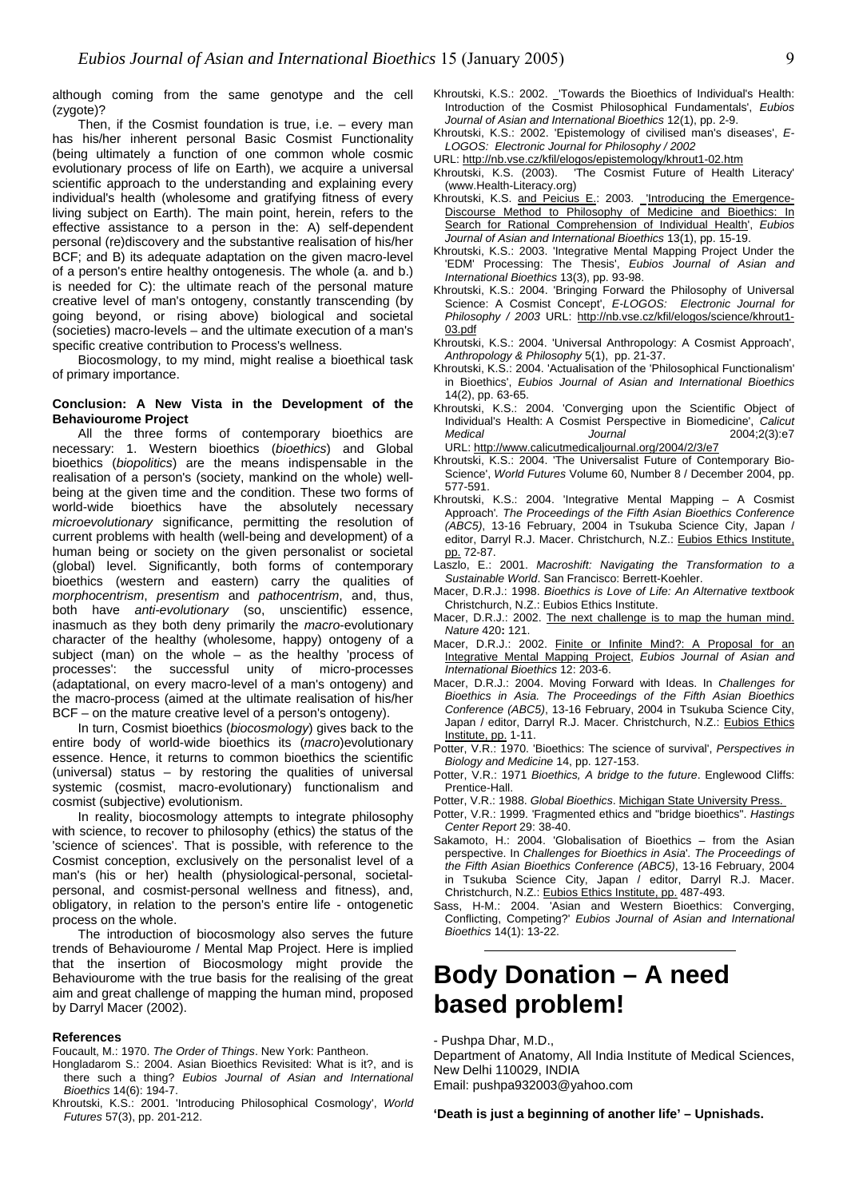although coming from the same genotype and the cell (zygote)?

Then. if the Cosmist foundation is true, i.e. – every man has his/her inherent personal Basic Cosmist Functionality (being ultimately a function of one common whole cosmic evolutionary process of life on Earth), we acquire a universal scientific approach to the understanding and explaining every individual's health (wholesome and gratifying fitness of every living subject on Earth). The main point, herein, refers to the effective assistance to a person in the: A) self-dependent personal (re)discovery and the substantive realisation of his/her BCF; and B) its adequate adaptation on the given macro-level of a person's entire healthy ontogenesis. The whole (a. and b.) is needed for C): the ultimate reach of the personal mature creative level of man's ontogeny, constantly transcending (by going beyond, or rising above) biological and societal (societies) macro-levels – and the ultimate execution of a man's specific creative contribution to Process's wellness.

Biocosmology, to my mind, might realise a bioethical task of primary importance. Khroutski, K.S.: 2004. 'Actualisation of the 'Philosophical Functionalism'

### 14(2), pp. 63-65. **Conclusion: <sup>A</sup> New Vista in the Development of the Behaviourome Project**

All the three forms of contemporary bioethics are necessary: 1. Western bioethics (*bioethics*) and Global bioethics (*biopolitics*) are the means indispensable in the realisation of a person's (society, mankind on the whole) wellbeing at the given time and the condition. These two forms of world-wide bioethics have the absolutely necessary *microevolutionary* significance, permitting the resolution of current problems with health (well-being and development) of a human being or society on the given personalist or societal (global) level. Significantly, both forms of contemporary bioethics (western and eastern) carry the qualities of *morphocentrism*, *presentism* and *pathocentrism*, and, thus, both have *anti-evolutionary* (so, unscientific) essence, inasmuch as they both deny primarily the *macro*-evolutionary character of the healthy (wholesome, happy) ontogeny of a subject (man) on the whole – as the healthy 'process of processes': the successful unity of micro-processes (adaptational, on every macro-level of a man's ontogeny) and the macro-process (aimed at the ultimate realisation of his/her BCF – on the mature creative level of a person's ontogeny).

In turn, Cosmist bioethics (*biocosmology*) gives back to the distribute, pp. 1-11. entire body of world-wide bioethics its (*macro*)evolutionary essence. Hence, it returns to common bioethics the scientific (universal) status – by restoring the qualities of universal systemic (cosmist, macro-evolutionary) functionalism and cosmist (subjective) evolutionism.

In reality, biocosmology attempts to integrate philosophy with science, to recover to philosophy (ethics) the status of the 'science of sciences'. That is possible, with reference to the Cosmist conception, exclusively on the personalist level of a man's (his or her) health (physiological-personal, societalpersonal, and cosmist-personal wellness and fitness), and, obligatory, in relation to the person's entire life - ontogenetic process on the whole.

The introduction of biocosmology also serves the future Bioethics 14(1): 13-22. trends of Behaviourome / Mental Map Project. Here is implied that the insertion of Biocosmology might provide the Behaviourome with the true basis for the realising of the great aim and great challenge of mapping the human mind, proposed by Darryl Macer (2002).

**References** - **Pushpa Dhar, M.D.,**<br>Foucault, M.: 1970. *The Order of Things*. New York: Pantheon. **1966** - **Construent of Anato** 

- Hongladarom S.: 2004. Asian Bioethics Revisited: What is it?, and is Department of Ariatomy, F there such a thing? *Eubios Journal of Asian and International Bioethics* 14(6): 194-7. Email: [pushpa932003@yahoo.com](mailto:pushpa932003@yahoo.com)
- Khroutski, K.S.: 2001. 'Introducing Philosophical Cosmology', *World Futures* 57(3), pp. 201-212. **'Death is just a beginning of another life' – Upnishads.**
- Khroutski, K.S.: 2002. \_'Towards the Bioethics of Individual's Health: Introduction of the Cosmist Philosophical Fundamentals', *Eubios*
- Khroutski, K.S.: 2002. 'Epistemology of civilised man's diseases', *E-LOGOS: Electronic Journal for Philosophy / 2002*
- URL:<http://nb.vse.cz/kfil/elogos/epistemology/khrout1-02.htm>
- Khroutski, K.S. (2003). 'The Cosmist Future of Health Literacy' [\(www.Health-Literacy.org](http://www.Health-Literacy.org))
- Khroutski, K.S. and Peicius E.: 2003. [Introducing the Emergence-](http://www.biol.tsukuba.ac.jp/~macer/EJ131/ej131i.htm)[Discourse Method to Philosophy of Medicine and Bioethics: In](http://www.biol.tsukuba.ac.jp/~macer/EJ131/ej131i.htm) [Search for Rational Comprehension of Individual Health](http://www.biol.tsukuba.ac.jp/~macer/EJ131/ej131i.htm)', *Eubios Journal of Asian and International Bioethics* 13(1), pp. 15-19.
- Khroutski, K.S.: 2003. 'Integrative Mental Mapping Project Under the 'EDM' Processing: The Thesis', *Eubios Journal of Asian and International Bioethics* 13(3), pp. 93-98.
- Khroutski, K.S.: 2004. 'Bringing Forward the Philosophy of Universal Science: A Cosmist Concept', *E-LOGOS: Electronic Journal for Philosophy / 2003* URL: [http://nb.vse.cz/kfil/elogos/science/khrout1-](http://nb.vse.cz/kfil/elogos/science/khrout1-03.pdf) [03.pdf](http://nb.vse.cz/kfil/elogos/science/khrout1-03.pdf)
- Khroutski, K.S.: 2004. 'Universal Anthropology: A Cosmist Approach',
- in Bioethics', *Eubios Journal of Asian and International Bioethics*
- Khroutski, K.S.: 2004. 'Converging upon the Scientific Object of Individual's Health: A Cosmist Perspective in Biomedicine', *Calicut Medical Journal* 2004;2(3):e7 URL: <http://www.calicutmedicaljournal.org/2004/2/3/e7>
- Khroutski, K.S.: 2004. 'The Universalist Future of Contemporary Bio-Science', *World Futures* Volume 60, Number 8 / December 2004, pp. 577-591.
- Khroutski, K.S.: 2004. 'Integrative Mental Mapping A Cosmist Approach'*. The Proceedings of the Fifth Asian Bioethics Conference (ABC5)*, 13-16 February, 2004 in Tsukuba Science City, Japan / editor, Darryl R.J. Macer. Christchurch, N.Z.: Eubios Ethics Institute, pp. 72-87.
- Laszlo, E.: 2001. *Macroshift: Navigating the Transformation to a Sustainable World*. San Francisco: Berrett-Koehler.
- Macer, D.R.J.: 1998. *Bioethics is Love of Life: An Alternative textbook* Christchurch, N.Z.: Eubios Ethics Institute.
- Macer, D.R.J.: 2002. [The next challenge is to map the human mind.](http://www.biol.tsukuba.ac.jp/~macer/Papers/MMNAT.htm) *Nature* 420**:** 121.
- Macer, D.R.J.: 2002. [Finite or Infinite Mind?: A Proposal for an](http://www.biol.tsukuba.ac.jp/~macer/mentmap.htm) [Integrative Mental Mapping Project,](http://www.biol.tsukuba.ac.jp/~macer/mentmap.htm) *Eubios Journal of Asian and International Bioethics* 12: 203-6.
- Macer, D.R.J.: 2004. Moving Forward with Ideas. In *Challenges for Bioethics in Asia. The Proceedings of the Fifth Asian Bioethics Conference (ABC5)*, 13-16 February, 2004 in Tsukuba Science City, Japan / editor, Darryl R.J. Macer. Christchurch, N.Z.: Eubios Ethics
- Potter, V.R.: 1970. 'Bioethics: The science of survival', *Perspectives in Biology and Medicine* 14, pp. 127-153.
- Potter, V.R.: 1971 *Bioethics, A bridge to the future*. Englewood Cliffs: Prentice-Hall.
- Potter, V.R.: 1988. *Global Bioethics*. [Michigan State University Press.](http://msupress.msu.edu/authorbio.php?authorID=404)
- Potter, V.R.: 1999. 'Fragmented ethics and "bridge bioethics". *Hastings Center Report* 29: 38-40.
- Sakamoto, H.: 2004. 'Globalisation of Bioethics from the Asian perspective. In *Challenges for Bioethics in Asia*'*. The Proceedings of the Fifth Asian Bioethics Conference (ABC5)*, 13-16 February, 2004 in Tsukuba Science City, Japan / editor, Darryl R.J. Macer. Christchurch, N.Z.: Eubios Ethics Institute, pp. 487-493.
- Sass, H-M.: 2004. 'Asian and Western Bioethics: Converging, Conflicting, Competing?' *Eubios Journal of Asian and International*

## **Body Donation – A need based problem!**

Department of Anatomy, All India Institute of Medical Sciences,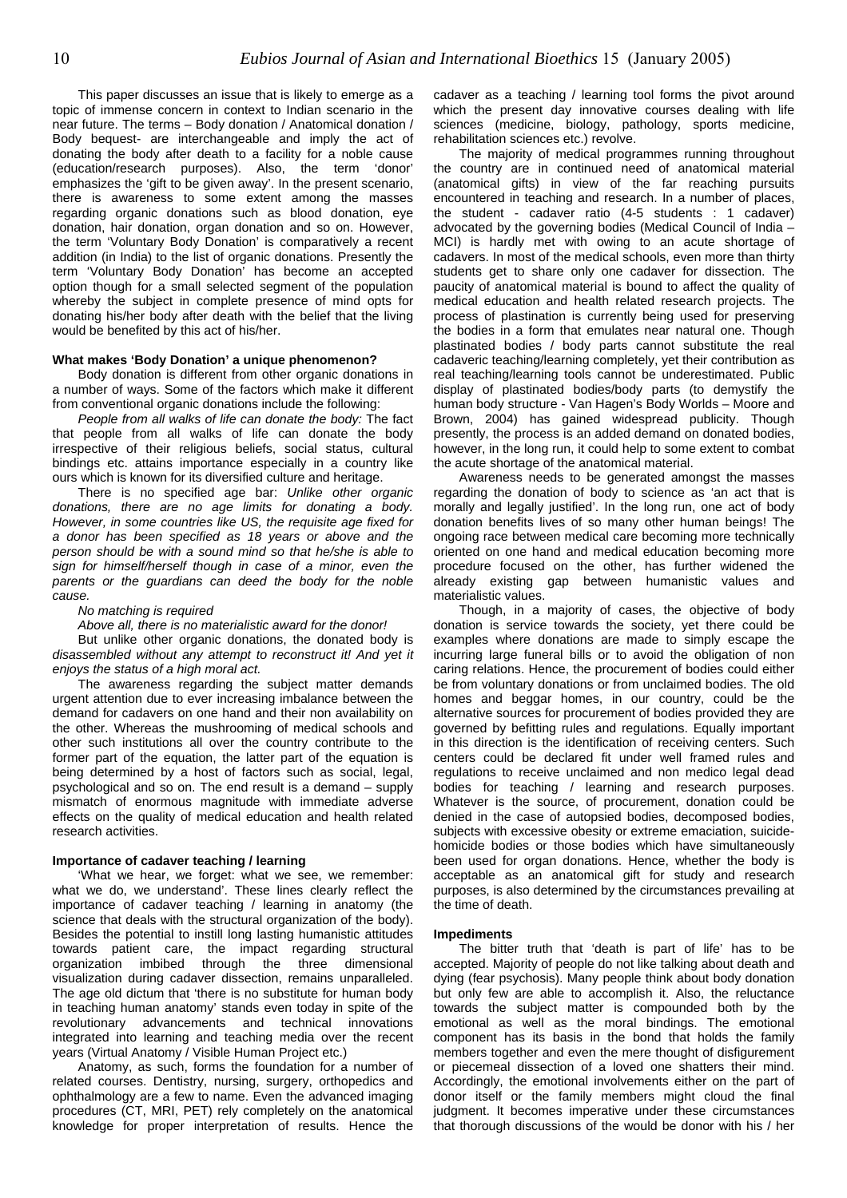This paper discusses an issue that is likely to emerge as a topic of immense concern in context to Indian scenario in the near future. The terms – Body donation / Anatomical donation / Body bequest- are interchangeable and imply the act of donating the body after death to a facility for a noble cause (education/research purposes). Also, the term 'donor' emphasizes the 'gift to be given away'. In the present scenario, there is awareness to some extent among the masses regarding organic donations such as blood donation, eye donation, hair donation, organ donation and so on. However, the term 'Voluntary Body Donation' is comparatively a recent addition (in India) to the list of organic donations. Presently the term 'Voluntary Body Donation' has become an accepted option though for a small selected segment of the population whereby the subject in complete presence of mind opts for donating his/her body after death with the belief that the living would be benefited by this act of his/her.

### **What makes 'Body Donation' a unique phenomenon?**

Body donation is different from other organic donations in a number of ways. Some of the factors which make it different from conventional organic donations include the following:

*People from all walks of life can donate the body:* The fact that people from all walks of life can donate the body irrespective of their religious beliefs, social status, cultural bindings etc. attains importance especially in a country like ours which is known for its diversified culture and heritage.

There is no specified age bar: *Unlike other organic donations, there are no age limits for donating a body. However, in some countries like US, the requisite age fixed for a donor has been specified as 18 years or above and the person should be with a sound mind so that he/she is able to sign for himself/herself though in case of a minor, even the parents or the guardians can deed the body for the noble cause.* 

*No matching is required* 

*Above all, there is no materialistic award for the donor!* 

But unlike other organic donations, the donated body is *disassembled without any attempt to reconstruct it! And yet it enjoys the status of a high moral act.* 

The awareness regarding the subject matter demands urgent attention due to ever increasing imbalance between the demand for cadavers on one hand and their non availability on the other. Whereas the mushrooming of medical schools and other such institutions all over the country contribute to the former part of the equation, the latter part of the equation is being determined by a host of factors such as social, legal, psychological and so on. The end result is a demand – supply mismatch of enormous magnitude with immediate adverse effects on the quality of medical education and health related research activities.

#### **Importance of cadaver teaching / learning**

'What we hear, we forget: what we see, we remember: what we do, we understand'. These lines clearly reflect the importance of cadaver teaching / learning in anatomy (the science that deals with the structural organization of the body). Besides the potential to instill long lasting humanistic attitudes towards patient care, the impact regarding structural organization imbibed through the three dimensional visualization during cadaver dissection, remains unparalleled. The age old dictum that 'there is no substitute for human body in teaching human anatomy' stands even today in spite of the revolutionary advancements and technical innovations integrated into learning and teaching media over the recent years (Virtual Anatomy / Visible Human Project etc.)

Anatomy, as such, forms the foundation for a number of related courses. Dentistry, nursing, surgery, orthopedics and ophthalmology are a few to name. Even the advanced imaging procedures (CT, MRI, PET) rely completely on the anatomical knowledge for proper interpretation of results. Hence the

cadaver as a teaching / learning tool forms the pivot around which the present day innovative courses dealing with life sciences (medicine, biology, pathology, sports medicine, rehabilitation sciences etc.) revolve.

The majority of medical programmes running throughout the country are in continued need of anatomical material (anatomical gifts) in view of the far reaching pursuits encountered in teaching and research. In a number of places, the student - cadaver ratio (4-5 students : 1 cadaver) advocated by the governing bodies (Medical Council of India – MCI) is hardly met with owing to an acute shortage of cadavers. In most of the medical schools, even more than thirty students get to share only one cadaver for dissection. The paucity of anatomical material is bound to affect the quality of medical education and health related research projects. The process of plastination is currently being used for preserving the bodies in a form that emulates near natural one. Though plastinated bodies / body parts cannot substitute the real cadaveric teaching/learning completely, yet their contribution as real teaching/learning tools cannot be underestimated. Public display of plastinated bodies/body parts (to demystify the human body structure - Van Hagen's Body Worlds – Moore and Brown, 2004) has gained widespread publicity. Though presently, the process is an added demand on donated bodies, however, in the long run, it could help to some extent to combat the acute shortage of the anatomical material.

Awareness needs to be generated amongst the masses regarding the donation of body to science as 'an act that is morally and legally justified'. In the long run, one act of body donation benefits lives of so many other human beings! The ongoing race between medical care becoming more technically oriented on one hand and medical education becoming more procedure focused on the other, has further widened the already existing gap between humanistic values and materialistic values.

Though, in a majority of cases, the objective of body donation is service towards the society, yet there could be examples where donations are made to simply escape the incurring large funeral bills or to avoid the obligation of non caring relations. Hence, the procurement of bodies could either be from voluntary donations or from unclaimed bodies. The old homes and beggar homes, in our country, could be the alternative sources for procurement of bodies provided they are governed by befitting rules and regulations. Equally important in this direction is the identification of receiving centers. Such centers could be declared fit under well framed rules and regulations to receive unclaimed and non medico legal dead bodies for teaching / learning and research purposes. Whatever is the source, of procurement, donation could be denied in the case of autopsied bodies, decomposed bodies, subjects with excessive obesity or extreme emaciation, suicidehomicide bodies or those bodies which have simultaneously been used for organ donations. Hence, whether the body is acceptable as an anatomical gift for study and research purposes, is also determined by the circumstances prevailing at the time of death.

#### **Impediments**

The bitter truth that 'death is part of life' has to be accepted. Majority of people do not like talking about death and dying (fear psychosis). Many people think about body donation but only few are able to accomplish it. Also, the reluctance towards the subject matter is compounded both by the emotional as well as the moral bindings. The emotional component has its basis in the bond that holds the family members together and even the mere thought of disfigurement or piecemeal dissection of a loved one shatters their mind. Accordingly, the emotional involvements either on the part of donor itself or the family members might cloud the final judgment. It becomes imperative under these circumstances that thorough discussions of the would be donor with his / her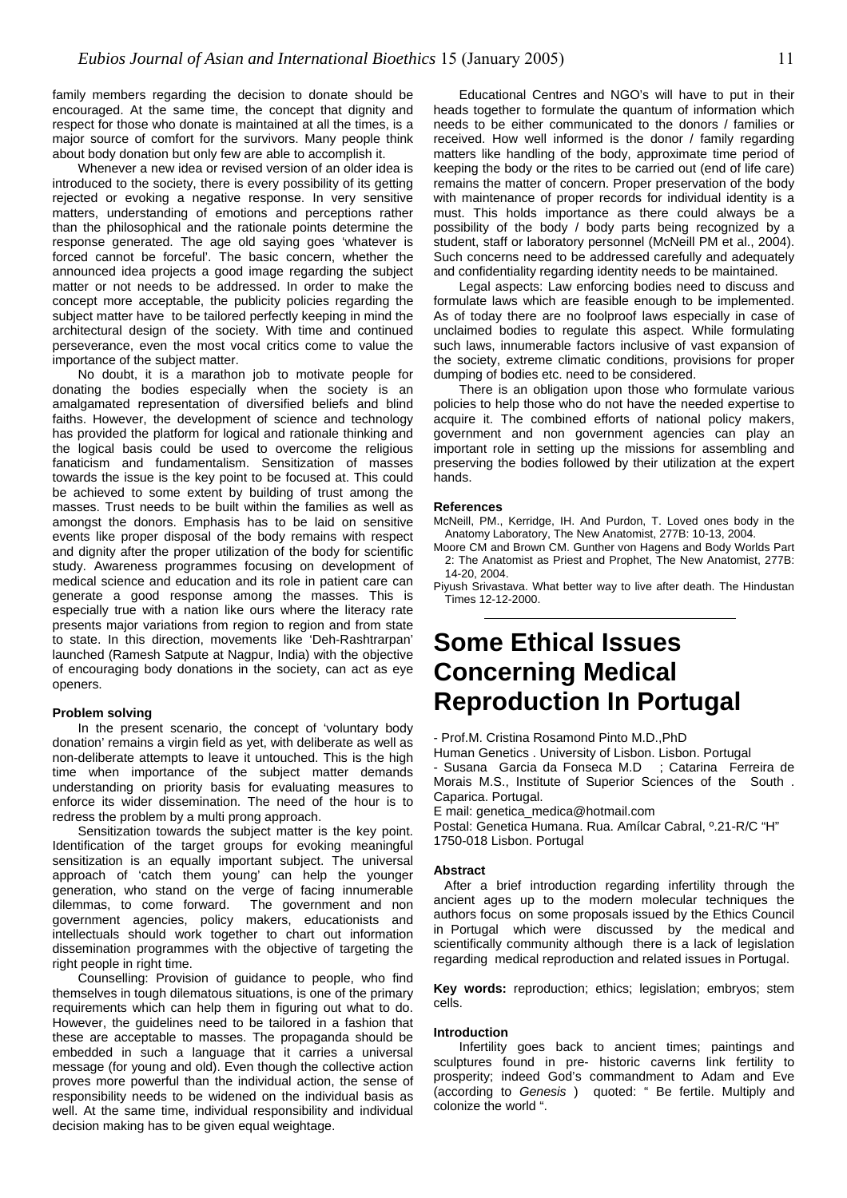family members regarding the decision to donate should be encouraged. At the same time, the concept that dignity and respect for those who donate is maintained at all the times, is a major source of comfort for the survivors. Many people think about body donation but only few are able to accomplish it.

Whenever a new idea or revised version of an older idea is introduced to the society, there is every possibility of its getting rejected or evoking a negative response. In very sensitive matters, understanding of emotions and perceptions rather than the philosophical and the rationale points determine the response generated. The age old saying goes 'whatever is forced cannot be forceful'. The basic concern, whether the announced idea projects a good image regarding the subject matter or not needs to be addressed. In order to make the concept more acceptable, the publicity policies regarding the subject matter have to be tailored perfectly keeping in mind the architectural design of the society. With time and continued perseverance, even the most vocal critics come to value the importance of the subject matter.

No doubt, it is a marathon job to motivate people for dumping of bodies etc. need to be considered. donating the bodies especially when the society is an amalgamated representation of diversified beliefs and blind faiths. However, the development of science and technology has provided the platform for logical and rationale thinking and the logical basis could be used to overcome the religious fanaticism and fundamentalism. Sensitization of masses towards the issue is the key point to be focused at. This could be achieved to some extent by building of trust among the masses. Trust needs to be built within the families as well as amongst the donors. Emphasis has to be laid on sensitive events like proper disposal of the body remains with respect and dignity after the proper utilization of the body for scientific study. Awareness programmes focusing on development of medical science and education and its role in patient care can generate a good response among the masses. This is especially true with a nation like ours where the literacy rate presents major variations from region to region and from state to state. In this direction, movements like 'Deh-Rashtrarpan' launched (Ramesh Satpute at Nagpur, India) with the objective of encouraging body donations in the society, can act as eye openers.

In the present scenario, the concept of 'voluntary body donation' remains a virgin field as yet, with deliberate as well as non-deliberate attempts to leave it untouched. This is the high time when importance of the subject matter demands understanding on priority basis for evaluating measures to enforce its wider dissemination. The need of the hour is to redress the problem by a multi prong approach.

Sensitization towards the subject matter is the key point. Identification of the target groups for evoking meaningful sensitization is an equally important subject. The universal approach of 'catch them young' can help the younger generation, who stand on the verge of facing innumerable dilemmas, to come forward.The government and non government agencies, policy makers, educationists and intellectuals should work together to chart out information dissemination programmes with the objective of targeting the right people in right time.

Counselling: Provision of guidance to people, who find themselves in tough dilematous situations, is one of the primary requirements which can help them in figuring out what to do. However, the guidelines need to be tailored in a fashion that these are acceptable to masses. The propaganda should be embedded in such a language that it carries a universal message (for young and old). Even though the collective action proves more powerful than the individual action, the sense of responsibility needs to be widened on the individual basis as well. At the same time, individual responsibility and individual decision making has to be given equal weightage.

Educational Centres and NGO's will have to put in their heads together to formulate the quantum of information which needs to be either communicated to the donors / families or received. How well informed is the donor / family regarding matters like handling of the body, approximate time period of keeping the body or the rites to be carried out (end of life care) remains the matter of concern. Proper preservation of the body with maintenance of proper records for individual identity is a must. This holds importance as there could always be a possibility of the body / body parts being recognized by a student, staff or laboratory personnel (McNeill PM et al., 2004). Such concerns need to be addressed carefully and adequately and confidentiality regarding identity needs to be maintained.

Legal aspects: Law enforcing bodies need to discuss and formulate laws which are feasible enough to be implemented. As of today there are no foolproof laws especially in case of unclaimed bodies to regulate this aspect. While formulating such laws, innumerable factors inclusive of vast expansion of the society, extreme climatic conditions, provisions for proper

There is an obligation upon those who formulate various policies to help those who do not have the needed expertise to acquire it. The combined efforts of national policy makers, government and non government agencies can play an important role in setting up the missions for assembling and preserving the bodies followed by their utilization at the expert hands.

#### **References**

McNeill, PM., Kerridge, IH. And Purdon, T. Loved ones body in the Anatomy Laboratory, The New Anatomist, 277B: 10-13, 2004.

Moore CM and Brown CM. Gunther von Hagens and Body Worlds Part 2: The Anatomist as Priest and Prophet, The New Anatomist, 277B: 14-20, 2004.

Piyush Srivastava. What better way to live after death. The Hindustan Times 12-12-2000.

## **Some Ethical Issues Concerning Medical Reproduction In Portugal Problem solving 2016 10 Problem solving 2016**

- Prof.M. Cristina Rosamond Pinto M.D.,PhD

Human Genetics . University of Lisbon. Lisbon. Portugal Susana Garcia da Fonseca M.D ; Catarina Ferreira de Morais M.S., Institute of Superior Sciences of the South .

Caparica. Portugal.

E mail: [genetica\\_medica@hotmail.com](mailto:genetica_medica@hotmail.com)

Postal: Genetica Humana. Rua. Amílcar Cabral, º.21-R/C "H" 1750-018 Lisbon. Portugal

#### **Abstract**

After a brief introduction regarding infertility through the ancient ages up to the modern molecular techniques the authors focus on some proposals issued by the Ethics Council in Portugal which were discussed by the medical and scientifically community although there is a lack of legislation regarding medical reproduction and related issues in Portugal.

**Key words:** reproduction; ethics; legislation; embryos; stem cells.

#### **Introduction**

Infertility goes back to ancient times; paintings and sculptures found in pre- historic caverns link fertility to prosperity; indeed God's commandment to Adam and Eve (according to *Genesis* ) quoted: " Be fertile. Multiply and colonize the world ".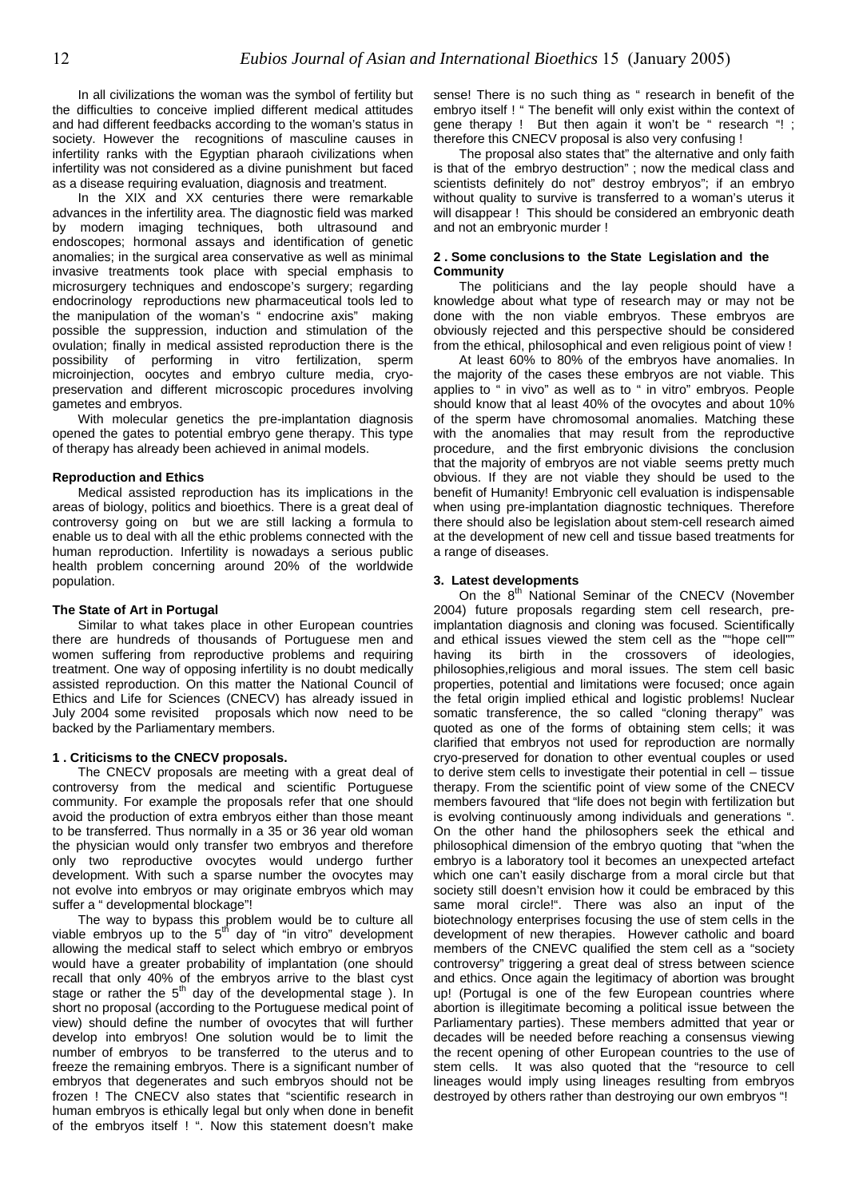In all civilizations the woman was the symbol of fertility but the difficulties to conceive implied different medical attitudes and had different feedbacks according to the woman's status in society. However the recognitions of masculine causes in infertility ranks with the Egyptian pharaoh civilizations when infertility was not considered as a divine punishment but faced as a disease requiring evaluation, diagnosis and treatment.

In the XIX and XX centuries there were remarkable advances in the infertility area. The diagnostic field was marked by modern imaging techniques, both ultrasound and endoscopes; hormonal assays and identification of genetic anomalies; in the surgical area conservative as well as minimal invasive treatments took place with special emphasis to microsurgery techniques and endoscope's surgery; regarding endocrinology reproductions new pharmaceutical tools led to the manipulation of the woman's " endocrine axis" making possible the suppression, induction and stimulation of the ovulation; finally in medical assisted reproduction there is the possibility of performing in vitro fertilization, sperm microinjection, oocytes and embryo culture media, cryopreservation and different microscopic procedures involving gametes and embryos.

With molecular genetics the pre-implantation diagnosis opened the gates to potential embryo gene therapy. This type of therapy has already been achieved in animal models.

#### **Reproduction and Ethics**

Medical assisted reproduction has its implications in the areas of biology, politics and bioethics. There is a great deal of controversy going on but we are still lacking a formula to enable us to deal with all the ethic problems connected with the human reproduction. Infertility is nowadays a serious public health problem concerning around 20% of the worldwide population.

#### **The State of Art in Portugal**

Similar to what takes place in other European countries there are hundreds of thousands of Portuguese men and women suffering from reproductive problems and requiring treatment. One way of opposing infertility is no doubt medically assisted reproduction. On this matter the National Council of Ethics and Life for Sciences (CNECV) has already issued in July 2004 some revisited proposals which now need to be backed by the Parliamentary members.

#### **1 . Criticisms to the CNECV proposals.**

The CNECV proposals are meeting with a great deal of controversy from the medical and scientific Portuguese community. For example the proposals refer that one should avoid the production of extra embryos either than those meant to be transferred. Thus normally in a 35 or 36 year old woman the physician would only transfer two embryos and therefore only two reproductive ovocytes would undergo further development. With such a sparse number the ovocytes may not evolve into embryos or may originate embryos which may suffer a " developmental blockage"!

The way to bypass this problem would be to culture all viable embryos up to the 5<sup>th</sup> day of "in vitro" development allowing the medical staff to select which embryo or embryos would have a greater probability of implantation (one should recall that only 40% of the embryos arrive to the blast cyst stage or rather the  $5<sup>th</sup>$  day of the developmental stage ). In short no proposal (according to the Portuguese medical point of view) should define the number of ovocytes that will further develop into embryos! One solution would be to limit the number of embryos to be transferred to the uterus and to freeze the remaining embryos. There is a significant number of embryos that degenerates and such embryos should not be frozen ! The CNECV also states that "scientific research in human embryos is ethically legal but only when done in benefit of the embryos itself ! ". Now this statement doesn't make

sense! There is no such thing as " research in benefit of the embryo itself ! " The benefit will only exist within the context of gene therapy ! But then again it won't be " research "! ; therefore this CNECV proposal is also very confusing !

The proposal also states that" the alternative and only faith is that of the embryo destruction" ; now the medical class and scientists definitely do not" destroy embryos"; if an embryo without quality to survive is transferred to a woman's uterus it will disappear ! This should be considered an embryonic death and not an embryonic murder !

#### **2 . Some conclusions to the State Legislation and the Community**

The politicians and the lay people should have a knowledge about what type of research may or may not be done with the non viable embryos. These embryos are obviously rejected and this perspective should be considered from the ethical, philosophical and even religious point of view !

At least 60% to 80% of the embryos have anomalies. In the majority of the cases these embryos are not viable. This applies to " in vivo" as well as to " in vitro" embryos. People should know that al least 40% of the ovocytes and about 10% of the sperm have chromosomal anomalies. Matching these with the anomalies that may result from the reproductive procedure, and the first embryonic divisions the conclusion that the majority of embryos are not viable seems pretty much obvious. If they are not viable they should be used to the benefit of Humanity! Embryonic cell evaluation is indispensable when using pre-implantation diagnostic techniques. Therefore there should also be legislation about stem-cell research aimed at the development of new cell and tissue based treatments for a range of diseases.

#### **3. Latest developments**

On the  $8<sup>th</sup>$  National Seminar of the CNECV (November 2004) future proposals regarding stem cell research, preimplantation diagnosis and cloning was focused. Scientifically and ethical issues viewed the stem cell as the ""hope cell"" having its birth in the crossovers of ideologies, philosophies,religious and moral issues. The stem cell basic properties, potential and limitations were focused; once again the fetal origin implied ethical and logistic problems! Nuclear somatic transference, the so called "cloning therapy" was quoted as one of the forms of obtaining stem cells; it was clarified that embryos not used for reproduction are normally cryo-preserved for donation to other eventual couples or used to derive stem cells to investigate their potential in cell – tissue therapy. From the scientific point of view some of the CNECV members favoured that "life does not begin with fertilization but is evolving continuously among individuals and generations ". On the other hand the philosophers seek the ethical and philosophical dimension of the embryo quoting that "when the embryo is a laboratory tool it becomes an unexpected artefact which one can't easily discharge from a moral circle but that society still doesn't envision how it could be embraced by this same moral circle!". There was also an input of the biotechnology enterprises focusing the use of stem cells in the development of new therapies. However catholic and board members of the CNEVC qualified the stem cell as a "society controversy" triggering a great deal of stress between science and ethics. Once again the legitimacy of abortion was brought up! (Portugal is one of the few European countries where abortion is illegitimate becoming a political issue between the Parliamentary parties). These members admitted that year or decades will be needed before reaching a consensus viewing the recent opening of other European countries to the use of stem cells. It was also quoted that the "resource to cell lineages would imply using lineages resulting from embryos destroyed by others rather than destroying our own embryos "!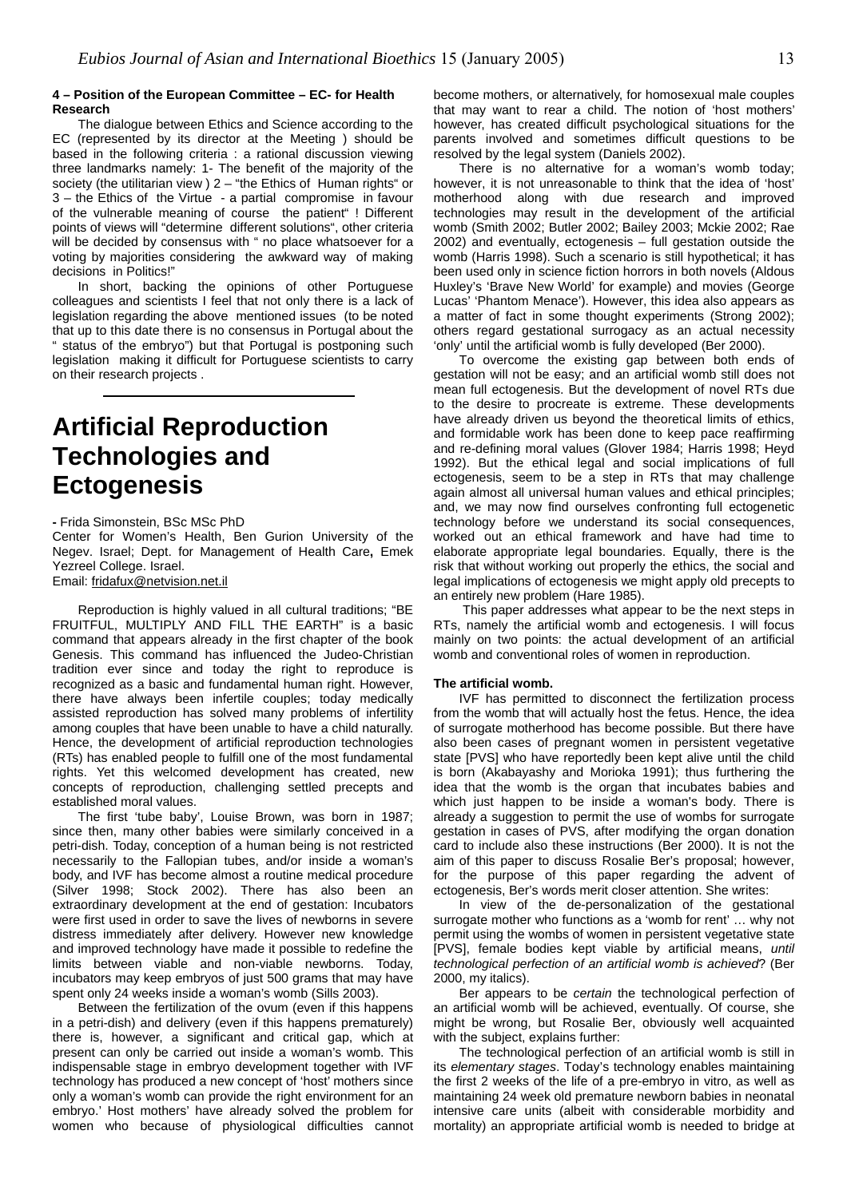#### **4 – Position of the European Committee – EC- for Health Research**

The dialogue between Ethics and Science according to the EC (represented by its director at the Meeting ) should be based in the following criteria : a rational discussion viewing three landmarks namely: 1- The benefit of the majority of the society (the utilitarian view ) 2 – "the Ethics of Human rights" or 3 – the Ethics of the Virtue - a partial compromise in favour of the vulnerable meaning of course the patient" ! Different points of views will "determine different solutions", other criteria will be decided by consensus with " no place whatsoever for a voting by majorities considering the awkward way of making decisions in Politics!"

In short, backing the opinions of other Portuguese colleagues and scientists I feel that not only there is a lack of legislation regarding the above mentioned issues (to be noted that up to this date there is no consensus in Portugal about the " status of the embryo") but that Portugal is postponing such legislation making it difficult for Portuguese scientists to carry on their research projects . 

## **Artificial Reproduction Technologies and Ectogenesis**

**-** Frida Simonstein, BSc MSc PhD

Center for Women's Health, Ben Gurion University of the Negev. Israel; Dept. for Management of Health Care**,** Emek Yezreel College. Israel.

Email: [fridafux@netvision.net.il](mailto:fridafux@netvision.net.il)

Reproduction is highly valued in all cultural traditions; "BE FRUITFUL, MULTIPLY AND FILL THE EARTH" is a basic command that appears already in the first chapter of the book Genesis. This command has influenced the Judeo-Christian tradition ever since and today the right to reproduce is recognized as a basic and fundamental human right. However, there have always been infertile couples; today medically assisted reproduction has solved many problems of infertility among couples that have been unable to have a child naturally. Hence, the development of artificial reproduction technologies (RTs) has enabled people to fulfill one of the most fundamental rights. Yet this welcomed development has created, new concepts of reproduction, challenging settled precepts and established moral values.

The first 'tube baby', Louise Brown, was born in 1987; since then, many other babies were similarly conceived in a petri-dish. Today, conception of a human being is not restricted necessarily to the Fallopian tubes, and/or inside a woman's body, and IVF has become almost a routine medical procedure (Silver 1998; Stock 2002). There has also been an extraordinary development at the end of gestation: Incubators were first used in order to save the lives of newborns in severe distress immediately after delivery. However new knowledge and improved technology have made it possible to redefine the limits between viable and non-viable newborns. Today, incubators may keep embryos of just 500 grams that may have spent only 24 weeks inside a woman's womb (Sills 2003).

Between the fertilization of the ovum (even if this happens in a petri-dish) and delivery (even if this happens prematurely) there is, however, a significant and critical gap, which at present can only be carried out inside a woman's womb. This indispensable stage in embryo development together with IVF technology has produced a new concept of 'host' mothers since only a woman's womb can provide the right environment for an embryo.' Host mothers' have already solved the problem for women who because of physiological difficulties cannot

become mothers, or alternatively, for homosexual male couples that may want to rear a child. The notion of 'host mothers' however, has created difficult psychological situations for the parents involved and sometimes difficult questions to be resolved by the legal system (Daniels 2002).

There is no alternative for a woman's womb today; however, it is not unreasonable to think that the idea of 'host' motherhood along with due research and improved technologies may result in the development of the artificial womb (Smith 2002; Butler 2002; Bailey 2003; Mckie 2002; Rae 2002) and eventually, ectogenesis – full gestation outside the womb (Harris 1998). Such a scenario is still hypothetical; it has been used only in science fiction horrors in both novels (Aldous Huxley's 'Brave New World' for example) and movies (George Lucas' 'Phantom Menace'). However, this idea also appears as a matter of fact in some thought experiments (Strong 2002); others regard gestational surrogacy as an actual necessity 'only' until the artificial womb is fully developed (Ber 2000).

To overcome the existing gap between both ends of gestation will not be easy; and an artificial womb still does not mean full ectogenesis. But the development of novel RTs due to the desire to procreate is extreme. These developments have already driven us beyond the theoretical limits of ethics, and formidable work has been done to keep pace reaffirming and re-defining moral values (Glover 1984; Harris 1998; Heyd 1992). But the ethical legal and social implications of full ectogenesis, seem to be a step in RTs that may challenge again almost all universal human values and ethical principles; and, we may now find ourselves confronting full ectogenetic technology before we understand its social consequences, worked out an ethical framework and have had time to elaborate appropriate legal boundaries. Equally, there is the risk that without working out properly the ethics, the social and legal implications of ectogenesis we might apply old precepts to an entirely new problem (Hare 1985).

This paper addresses what appear to be the next steps in RTs, namely the artificial womb and ectogenesis. I will focus mainly on two points: the actual development of an artificial womb and conventional roles of women in reproduction.

#### **The artificial womb.**

IVF has permitted to disconnect the fertilization process from the womb that will actually host the fetus. Hence, the idea of surrogate motherhood has become possible. But there have also been cases of pregnant women in persistent vegetative state [PVS] who have reportedly been kept alive until the child is born (Akabayashy and Morioka 1991); thus furthering the idea that the womb is the organ that incubates babies and which just happen to be inside a woman's body. There is already a suggestion to permit the use of wombs for surrogate gestation in cases of PVS, after modifying the organ donation card to include also these instructions (Ber 2000). It is not the aim of this paper to discuss Rosalie Ber's proposal; however, for the purpose of this paper regarding the advent of ectogenesis, Ber's words merit closer attention. She writes:

In view of the de-personalization of the gestational surrogate mother who functions as a 'womb for rent' … why not permit using the wombs of women in persistent vegetative state [PVS], female bodies kept viable by artificial means, *until technological perfection of an artificial womb is achieved*? (Ber 2000, my italics).

Ber appears to be *certain* the technological perfection of an artificial womb will be achieved, eventually. Of course, she might be wrong, but Rosalie Ber, obviously well acquainted with the subject, explains further:

The technological perfection of an artificial womb is still in its *elementary stages*. Today's technology enables maintaining the first 2 weeks of the life of a pre-embryo in vitro, as well as maintaining 24 week old premature newborn babies in neonatal intensive care units (albeit with considerable morbidity and mortality) an appropriate artificial womb is needed to bridge at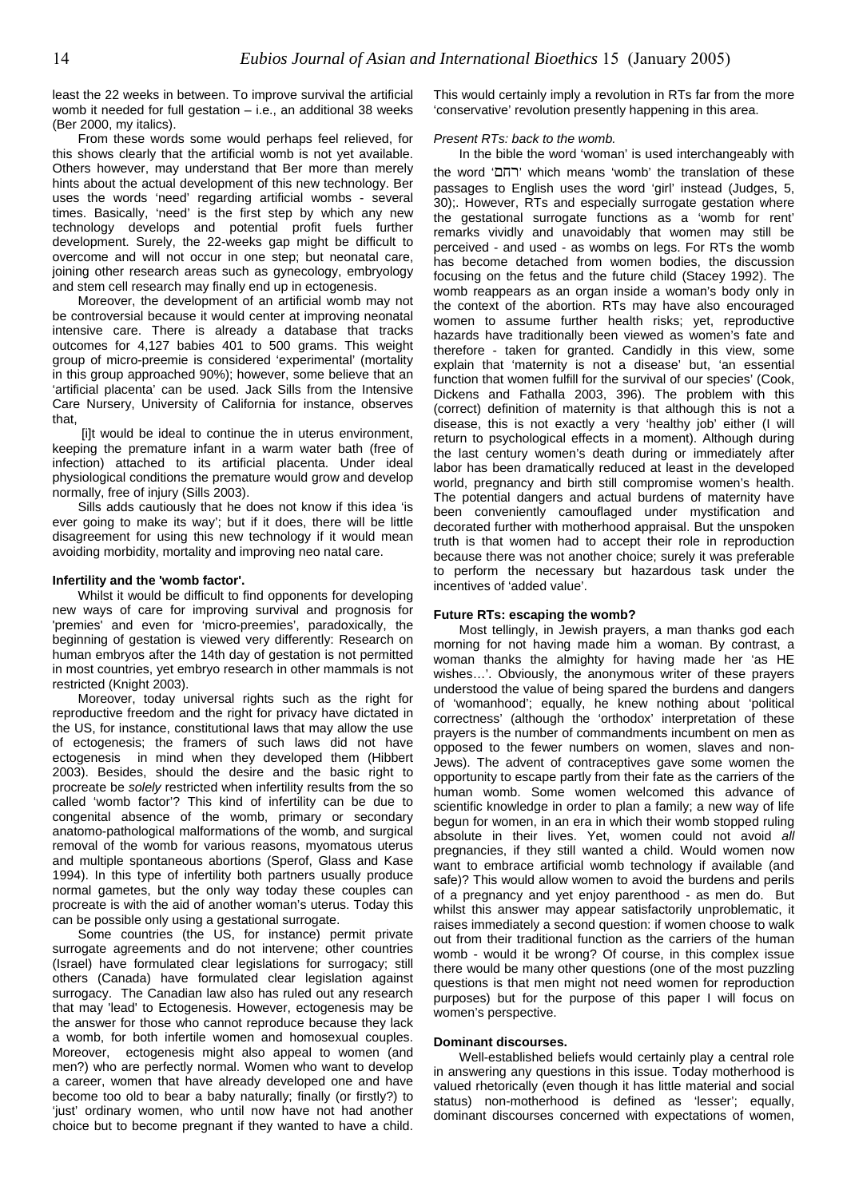least the 22 weeks in between. To improve survival the artificial womb it needed for full gestation – i.e., an additional 38 weeks (Ber 2000, my italics).

From these words some would perhaps feel relieved, for this shows clearly that the artificial womb is not yet available. Others however, may understand that Ber more than merely hints about the actual development of this new technology. Ber uses the words 'need' regarding artificial wombs - several times. Basically, 'need' is the first step by which any new technology develops and potential profit fuels further development. Surely, the 22-weeks gap might be difficult to overcome and will not occur in one step; but neonatal care, joining other research areas such as gynecology, embryology and stem cell research may finally end up in ectogenesis.

Moreover, the development of an artificial womb may not be controversial because it would center at improving neonatal intensive care. There is already a database that tracks outcomes for 4,127 babies 401 to 500 grams. This weight group of micro-preemie is considered 'experimental' (mortality in this group approached 90%); however, some believe that an 'artificial placenta' can be used. Jack Sills from the Intensive Care Nursery, University of California for instance, observes that,

[i]t would be ideal to continue the in uterus environment, keeping the premature infant in a warm water bath (free of infection) attached to its artificial placenta. Under ideal physiological conditions the premature would grow and develop normally, free of injury (Sills 2003).

Sills adds cautiously that he does not know if this idea 'is ever going to make its way'; but if it does, there will be little disagreement for using this new technology if it would mean avoiding morbidity, mortality and improving neo natal care.

#### **Infertility and the 'womb factor'.**

Whilst it would be difficult to find opponents for developing new ways of care for improving survival and prognosis for 'premies' and even for 'micro-preemies', paradoxically, the beginning of gestation is viewed very differently: Research on human embryos after the 14th day of gestation is not permitted in most countries, yet embryo research in other mammals is not restricted (Knight 2003).

Moreover, today universal rights such as the right for reproductive freedom and the right for privacy have dictated in the US, for instance, constitutional laws that may allow the use of ectogenesis; the framers of such laws did not have ectogenesis in mind when they developed them (Hibbert 2003). Besides, should the desire and the basic right to procreate be *solely* restricted when infertility results from the so called 'womb factor'? This kind of infertility can be due to congenital absence of the womb, primary or secondary anatomo-pathological malformations of the womb, and surgical removal of the womb for various reasons, myomatous uterus and multiple spontaneous abortions (Sperof, Glass and Kase 1994). In this type of infertility both partners usually produce normal gametes, but the only way today these couples can procreate is with the aid of another woman's uterus. Today this can be possible only using a gestational surrogate.

Some countries (the US, for instance) permit private surrogate agreements and do not intervene; other countries (Israel) have formulated clear legislations for surrogacy; still others (Canada) have formulated clear legislation against surrogacy. The Canadian law also has ruled out any research that may 'lead' to Ectogenesis. However, ectogenesis may be the answer for those who cannot reproduce because they lack a womb, for both infertile women and homosexual couples. Moreover, ectogenesis might also appeal to women (and men?) who are perfectly normal. Women who want to develop a career, women that have already developed one and have become too old to bear a baby naturally; finally (or firstly?) to 'just' ordinary women, who until now have not had another choice but to become pregnant if they wanted to have a child.

This would certainly imply a revolution in RTs far from the more 'conservative' revolution presently happening in this area.

#### *Present RTs: back to the womb.*

In the bible the word 'woman' is used interchangeably with the word 'רחם 'which means 'womb' the translation of these passages to English uses the word 'girl' instead (Judges, 5, 30);. However, RTs and especially surrogate gestation where the gestational surrogate functions as a 'womb for rent' remarks vividly and unavoidably that women may still be perceived - and used - as wombs on legs. For RTs the womb has become detached from women bodies, the discussion focusing on the fetus and the future child (Stacey 1992). The womb reappears as an organ inside a woman's body only in the context of the abortion. RTs may have also encouraged women to assume further health risks; yet, reproductive hazards have traditionally been viewed as women's fate and therefore - taken for granted. Candidly in this view, some explain that 'maternity is not a disease' but, 'an essential function that women fulfill for the survival of our species' (Cook, Dickens and Fathalla 2003, 396). The problem with this (correct) definition of maternity is that although this is not a disease, this is not exactly a very 'healthy job' either (I will return to psychological effects in a moment). Although during the last century women's death during or immediately after labor has been dramatically reduced at least in the developed world, pregnancy and birth still compromise women's health. The potential dangers and actual burdens of maternity have been conveniently camouflaged under mystification and decorated further with motherhood appraisal. But the unspoken truth is that women had to accept their role in reproduction because there was not another choice; surely it was preferable to perform the necessary but hazardous task under the incentives of 'added value'.

#### **Future RTs: escaping the womb?**

Most tellingly, in Jewish prayers, a man thanks god each morning for not having made him a woman. By contrast, a woman thanks the almighty for having made her 'as HE wishes…'. Obviously, the anonymous writer of these prayers understood the value of being spared the burdens and dangers of 'womanhood'; equally, he knew nothing about 'political correctness' (although the 'orthodox' interpretation of these prayers is the number of commandments incumbent on men as opposed to the fewer numbers on women, slaves and non-Jews). The advent of contraceptives gave some women the opportunity to escape partly from their fate as the carriers of the human womb. Some women welcomed this advance of scientific knowledge in order to plan a family; a new way of life begun for women, in an era in which their womb stopped ruling absolute in their lives. Yet, women could not avoid *all* pregnancies, if they still wanted a child. Would women now want to embrace artificial womb technology if available (and safe)? This would allow women to avoid the burdens and perils of a pregnancy and yet enjoy parenthood - as men do. But whilst this answer may appear satisfactorily unproblematic, it raises immediately a second question: if women choose to walk out from their traditional function as the carriers of the human womb - would it be wrong? Of course, in this complex issue there would be many other questions (one of the most puzzling questions is that men might not need women for reproduction purposes) but for the purpose of this paper I will focus on women's perspective.

#### **Dominant discourses.**

Well-established beliefs would certainly play a central role in answering any questions in this issue. Today motherhood is valued rhetorically (even though it has little material and social status) non-motherhood is defined as 'lesser'; equally, dominant discourses concerned with expectations of women,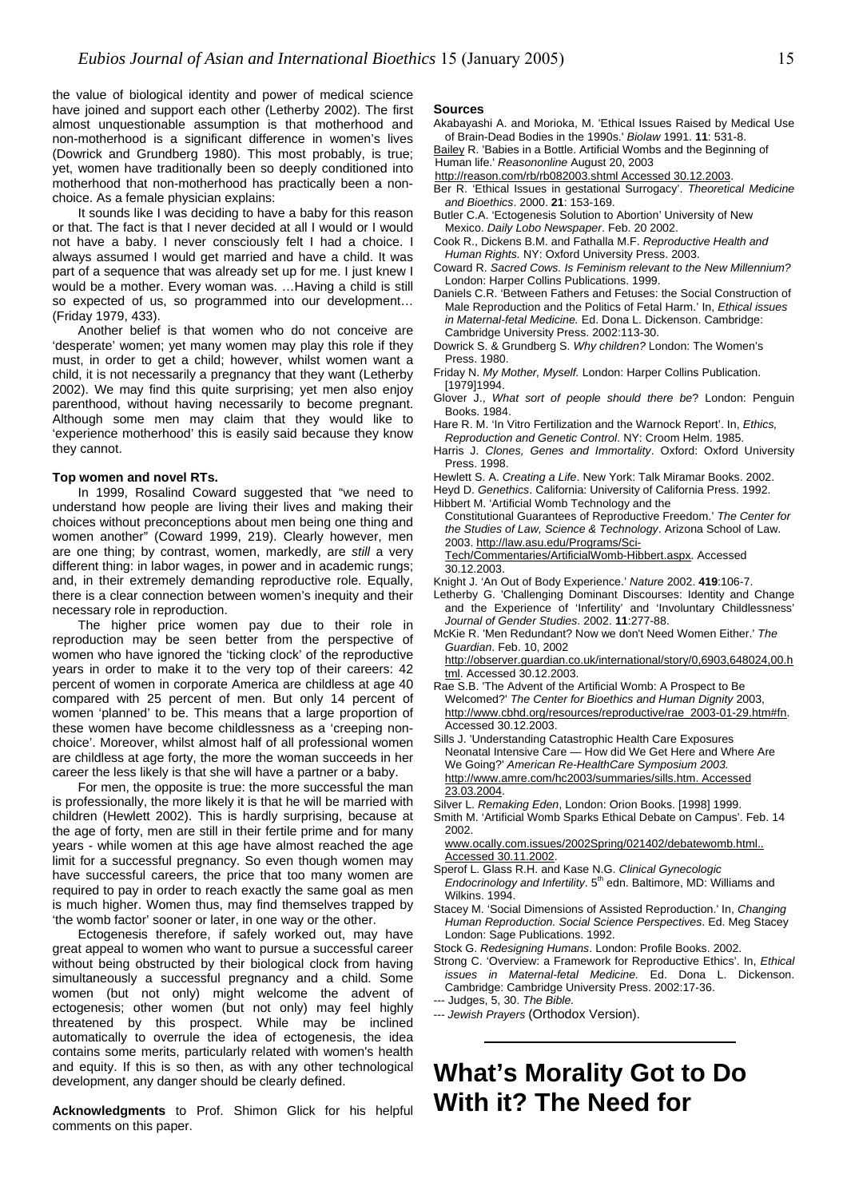the value of biological identity and power of medical science have joined and support each other (Letherby 2002). The first almost unquestionable assumption is that motherhood and non-motherhood is a significant difference in women's lives (Dowrick and Grundberg 1980). This most probably, is true; yet, women have traditionally been so deeply conditioned into motherhood that non-motherhood has practically been a nonchoice. As a female physician explains:

It sounds like I was deciding to have a baby for this reason or that. The fact is that I never decided at all I would or I would not have a baby. I never consciously felt I had a choice. I always assumed I would get married and have a child. It was part of a sequence that was already set up for me. I just knew I would be a mother. Every woman was. …Having a child is still so expected of us, so programmed into our development… (Friday 1979, 433).

Another belief is that women who do not conceive are Cambridge University Press. 2002:113-30. 'desperate' women; yet many women may play this role if they must, in order to get a child; however, whilst women want a child, it is not necessarily a pregnancy that they want (Letherby 2002). We may find this quite surprising; yet men also enjoy parenthood, without having necessarily to become pregnant. Although some men may claim that they would like to 'experience motherhood' this is easily said because they know they cannot.

In 1999, Rosalind Coward suggested that "we need to understand how people are living their lives and making their choices without preconceptions about men being one thing and women another" (Coward 1999, 219). Clearly however, men are one thing; by contrast, women, markedly, are *still* a very different thing: in labor wages, in power and in academic rungs; and, in their extremely demanding reproductive role. Equally, there is a clear connection between women's inequity and their necessary role in reproduction.

*Journal of Gender Studies*. 2002. **11**:277-88. The higher price women pay due to their role in reproduction may be seen better from the perspective of women who have ignored the 'ticking clock' of the reproductive years in order to make it to the very top of their careers: 42 percent of women in corporate America are childless at age 40 compared with 25 percent of men. But only 14 percent of women 'planned' to be. This means that a large proportion of these women have become childlessness as a 'creeping nonchoice'. Moreover, whilst almost half of all professional women are childless at age forty, the more the woman succeeds in her career the less likely is that she will have a partner or a baby.

For men, the opposite is true: the more successful the man  $\frac{100.70004}{23.03.2004}$ is professionally, the more likely it is that he will be married with children (Hewlett 2002). This is hardly surprising, because at the age of forty, men are still in their fertile prime and for many years - while women at this age have almost reached the age limit for a successful pregnancy. So even though women may have successful careers, the price that too many women are required to pay in order to reach exactly the same goal as men is much higher. Women thus, may find themselves trapped by 'the womb factor' sooner or later, in one way or the other.

Ectogenesis therefore, if safely worked out, may have great appeal to women who want to pursue a successful career without being obstructed by their biological clock from having simultaneously a successful pregnancy and a child. Some women (but not only) might welcome the advent of ectogenesis; other women (but not only) may feel highly threatened by this prospect. While may be inclined automatically to overrule the idea of ectogenesis, the idea contains some merits, particularly related with women's health and equity. If this is so then, as with any other technological development, any danger should be clearly defined.

comments on this paper.

#### **Sources**

- Akabayashi A. and Morioka, M. 'Ethical Issues Raised by Medical Use of Brain-Dead Bodies in the 1990s.' *Biolaw* 1991. **11**: 531-8. [Bailey](mailto:rbailey@reason.com) R. 'Babies in a Bottle. Artificial Wombs and the Beginning of
- Human life.' *Reasononline* August 20, 2003 [http://reason.com/rb/rb082003.shtml Accessed 30.12.2003](http://reason.com/rb/rb082003.shtml%20Accessed%2030.12.2003).
- Ber R. 'Ethical Issues in gestational Surrogacy'. *Theoretical Medicine and Bioethics*. 2000. **21**: 153-169.
- Butler C.A. 'Ectogenesis Solution to Abortion' University of New Mexico. *Daily Lobo Newspaper*. Feb. 20 2002.
- Cook R., Dickens B.M. and Fathalla M.F. *Reproductive Health and Human Rights.* NY: Oxford University Press. 2003.
- Coward R. *Sacred Cows. Is Feminism relevant to the New Millennium?* London: Harper Collins Publications. 1999.
- Daniels C.R. 'Between Fathers and Fetuses: the Social Construction of Male Reproduction and the Politics of Fetal Harm.' In, *Ethical issues*
- Dowrick S. & Grundberg S. *Why children?* London: The Women's Press. 1980.
- Friday N. *My Mother, Myself.* London: Harper Collins Publication. [1979]1994.
- Glover J., *What sort of people should there be*? London: Penguin Books. 1984.
- Hare R. M. 'In Vitro Fertilization and the Warnock Report'. In, *Ethics, Reproduction and Genetic Control*. NY: Croom Helm. 1985.
- Harris J. *Clones, Genes and Immortality*. Oxford: Oxford University Press. 1998.
- 
- **Top women and novel RTs.** Hewlett S. A. *Creating a Life*. New York: Talk Miramar Books. 2002.<br>In 1999. Rosalind Coward suggested that "we need to Heyd D. Genethics. California: University of California Press. 1992.
	- Hibbert M. 'Artificial Womb Technology and the Constitutional Guarantees of Reproductive Freedom.' *The Center for the Studies of Law, Science & Technology*. Arizona School of Law. 2003. [http://law.asu.edu/Programs/Sci-](http://law.asu.edu/Programs/Sci-Tech/Commentaries/ArtificialWomb-Hibbert.aspx)
	- [Tech/Commentaries/ArtificialWomb-Hibbert.aspx](http://law.asu.edu/Programs/Sci-Tech/Commentaries/ArtificialWomb-Hibbert.aspx). Accessed 30.12.2003.
	- Knight J. 'An Out of Body Experience.' *Nature* 2002. **419**:106-7.
	- Letherby G. 'Challenging Dominant Discourses: Identity and Change and the Experience of 'Infertility' and 'Involuntary Childlessness'
	- McKie R. 'Men Redundant? Now we don't Need Women Either.' *The Guardian*. Feb. 10, 2002

[http://observer.guardian.co.uk/international/story/0,6903,648024,00.h](http://observer.guardian.co.uk/international/story/0,6903,648024,00.html) [tml](http://observer.guardian.co.uk/international/story/0,6903,648024,00.html). Accessed 30.12.2003.

- Rae S.B. 'The Advent of the Artificial Womb: A Prospect to Be Welcomed?' *The Center for Bioethics and Human Dignity* 2003, http://www.cbhd.org/resources/reproductive/rae\_2003-01-29.htm#fn. Accessed 30.12.2003.
- Sills J. 'Understanding Catastrophic Health Care Exposures Neonatal Intensive Care — How did We Get Here and Where Are We Going?' *American Re-HealthCare Symposium 2003.*  [http://www.amre.com/hc2003/summaries/sills.htm. Accessed](http://www.amre.com/hc2003/summaries/sills.htm.%20Accessed%2023.03.2004)
- Silver L. *Remaking Eden*, London: Orion Books. [1998] 1999.
- Smith M. 'Artificial Womb Sparks Ethical Debate on Campus'. Feb. 14 2002.

[www.ocally.com.issues/2002Spring/021402/debatewomb.html..](http://www.ocally.com.issues/2002Spring/021402/debatewomb.html..%20Accessed%2030.11.2002)  [Accessed 30.11.2002.](http://www.ocally.com.issues/2002Spring/021402/debatewomb.html..%20Accessed%2030.11.2002)

- Sperof L. Glass R.H. and Kase N.G. *Clinical Gynecologic*
- *Endocrinology and Infertility*, 5<sup>th</sup> edn. Baltimore, MD: Williams and Wilkins. 1994.
- Stacey M. 'Social Dimensions of Assisted Reproduction.' In, *Changing Human Reproduction. Social Science Perspectives*. Ed. Meg Stacey
- Stock G. *Redesigning Humans*. London: Profile Books. 2002.
- Strong C. 'Overview: a Framework for Reproductive Ethics'. In, *Ethical issues in Maternal-fetal Medicine.* Ed. Dona L. Dickenson. Cambridge: Cambridge University Press. 2002:17-36.
- --- Judges, 5, 30. *The Bible.*

--- *Jewish Prayers* (Orthodox Version).

## **What's Morality Got to Do**  Acknowledgments to Prof. Shimon Glick for his helpful **With it? The Need for**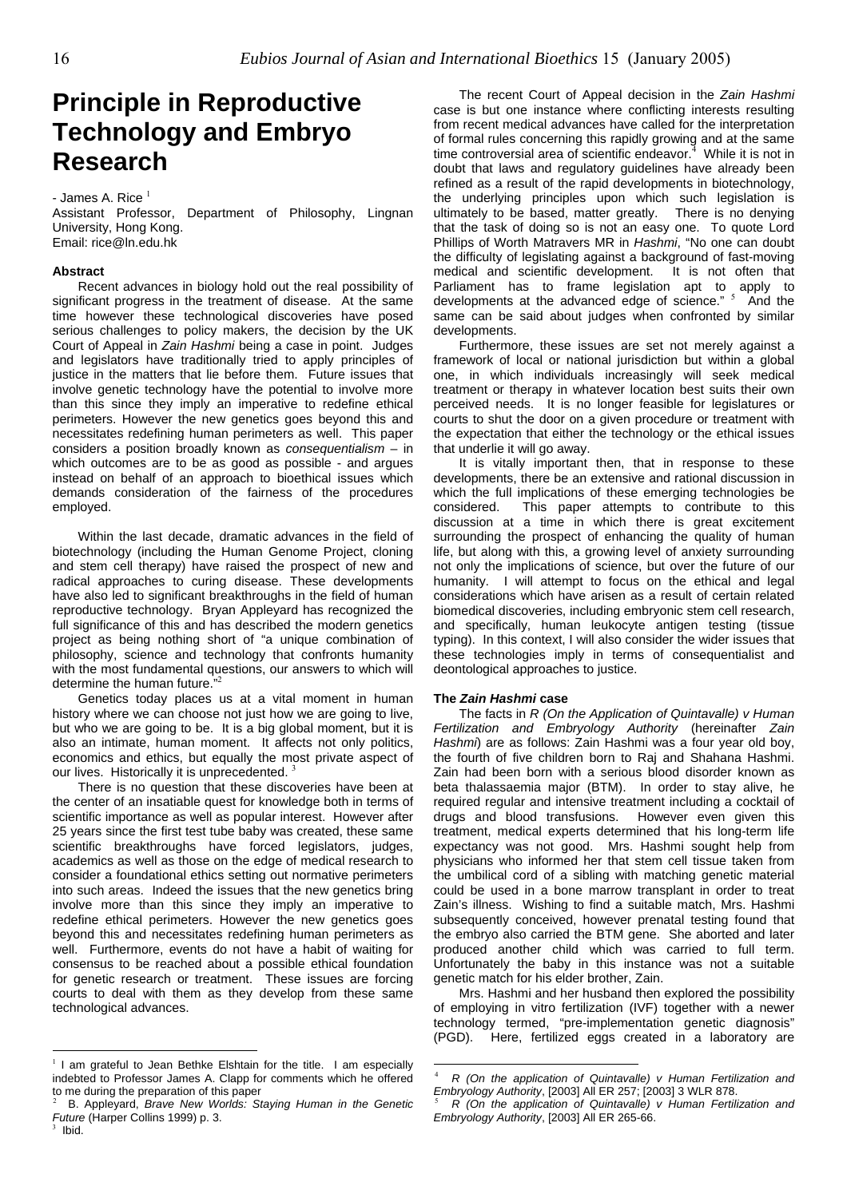## **Principle in Reproductive Technology and Embryo Research**

- James A. Rice $<sup>1</sup>$  $<sup>1</sup>$  $<sup>1</sup>$ </sup>

Assistant Professor, Department of Philosophy, Lingnan University, Hong Kong. Email: rice@ln.edu.hk

#### **Abstract**

Recent advances in biology hold out the real possibility of significant progress in the treatment of disease. At the same time however these technological discoveries have posed serious challenges to policy makers, the decision by the UK Court of Appeal in *Zain Hashmi* being a case in point. Judges and legislators have traditionally tried to apply principles of justice in the matters that lie before them. Future issues that involve genetic technology have the potential to involve more than this since they imply an imperative to redefine ethical perimeters. However the new genetics goes beyond this and necessitates redefining human perimeters as well. This paper considers a position broadly known as *consequentialism* – in which outcomes are to be as good as possible - and argues instead on behalf of an approach to bioethical issues which demands consideration of the fairness of the procedures employed.

Within the last decade, dramatic advances in the field of biotechnology (including the Human Genome Project, cloning and stem cell therapy) have raised the prospect of new and radical approaches to curing disease. These developments have also led to significant breakthroughs in the field of human reproductive technology. Bryan Appleyard has recognized the full significance of this and has described the modern genetics project as being nothing short of "a unique combination of philosophy, science and technology that confronts humanity with the most fundamental questions, our answers to which will determine the human future."

Genetics today places us at a vital moment in human **The** *Zain Hashmi* **case**  history where we can choose not just how we are going to live, but who we are going to be. It is a big global moment, but it is also an intimate, human moment. It affects not only politics, economics and ethics, but equally the most private aspect of ourlives. Historically it is unprecedented.<sup>3</sup>

There is no question that these discoveries have been at the center of an insatiable quest for knowledge both in terms of scientific importance as well as popular interest. However after 25 years since the first test tube baby was created, these same scientific breakthroughs have forced legislators, judges, academics as well as those on the edge of medical research to consider a foundational ethics setting out normative perimeters into such areas. Indeed the issues that the new genetics bring involve more than this since they imply an imperative to redefine ethical perimeters. However the new genetics goes beyond this and necessitates redefining human perimeters as well. Furthermore, events do not have a habit of waiting for consensus to be reached about a possible ethical foundation for genetic research or treatment. These issues are forcing courts to deal with them as they develop from these same technological advances.

The recent Court of Appeal decision in the *Zain Hashmi* case is but one instance where conflicting interests resulting from recent medical advances have called for the interpretation of formal rules concerning this rapidly growing and at the same time controversial area of scientific endeavor. [4](#page-15-3) While it is not in doubt that laws and regulatory guidelines have already been refined as a result of the rapid developments in biotechnology, the underlying principles upon which such legislation is ultimately to be based, matter greatly. There is no denying that the task of doing so is not an easy one. To quote Lord Phillips of Worth Matravers MR in *Hashmi*, "No one can doubt the difficulty of legislating against a background of fast-moving medical and scientific development. It is not often that Parliament has to frame legislation apt to apply to developmentsat the advanced edge of science." <sup>5</sup> And the same can be said about judges when confronted by similar developments.

Furthermore, these issues are set not merely against a framework of local or national jurisdiction but within a global one, in which individuals increasingly will seek medical treatment or therapy in whatever location best suits their own perceived needs. It is no longer feasible for legislatures or courts to shut the door on a given procedure or treatment with the expectation that either the technology or the ethical issues that underlie it will go away.

It is vitally important then, that in response to these developments, there be an extensive and rational discussion in which the full implications of these emerging technologies be considered. This paper attempts to contribute to this discussion at a time in which there is great excitement surrounding the prospect of enhancing the quality of human life, but along with this, a growing level of anxiety surrounding not only the implications of science, but over the future of our humanity. I will attempt to focus on the ethical and legal considerations which have arisen as a result of certain related biomedical discoveries, including embryonic stem cell research, and specifically, human leukocyte antigen testing (tissue typing). In this context, I will also consider the wider issues that these technologies imply in terms of consequentialist and deontological approaches to justice.

 $\overline{a}$ 

The facts in *R (On the Application of Quintavalle) v Human Fertilization and Embryology Authority* (hereinafter *Zain Hashmi*) are as follows: Zain Hashmi was a four year old boy, the fourth of five children born to Raj and Shahana Hashmi. Zain had been born with a serious blood disorder known as beta thalassaemia major (BTM). In order to stay alive, he required regular and intensive treatment including a cocktail of drugs and blood transfusions. However even given this treatment, medical experts determined that his long-term life expectancy was not good. Mrs. Hashmi sought help from physicians who informed her that stem cell tissue taken from the umbilical cord of a sibling with matching genetic material could be used in a bone marrow transplant in order to treat Zain's illness. Wishing to find a suitable match, Mrs. Hashmi subsequently conceived, however prenatal testing found that the embryo also carried the BTM gene. She aborted and later produced another child which was carried to full term. Unfortunately the baby in this instance was not a suitable genetic match for his elder brother, Zain.

Mrs. Hashmi and her husband then explored the possibility of employing in vitro fertilization (IVF) together with a newer technology termed, "pre-implementation genetic diagnosis" (PGD). Here, fertilized eggs created in a laboratory are

<span id="page-15-0"></span> $\overline{a}$  $1$  I am grateful to Jean Bethke Elshtain for the title. I am especially indebted to Professor James A. Clapp for comments which he offered to me during the preparation of this paper

<span id="page-15-2"></span><span id="page-15-1"></span><sup>2</sup> B. Appleyard, *Brave New Worlds: Staying Human in the Genetic Future* (Harper Collins 1999) p. 3.

<span id="page-15-3"></span><sup>4</sup> *R (On the application of Quintavalle) v Human Fertilization and Embryology Authority*, [2003] All ER 257; [2003] 3 WLR 878.

<span id="page-15-4"></span><sup>5</sup> *R (On the application of Quintavalle) v Human Fertilization and Embryology Authority*, [2003] All ER 265-66.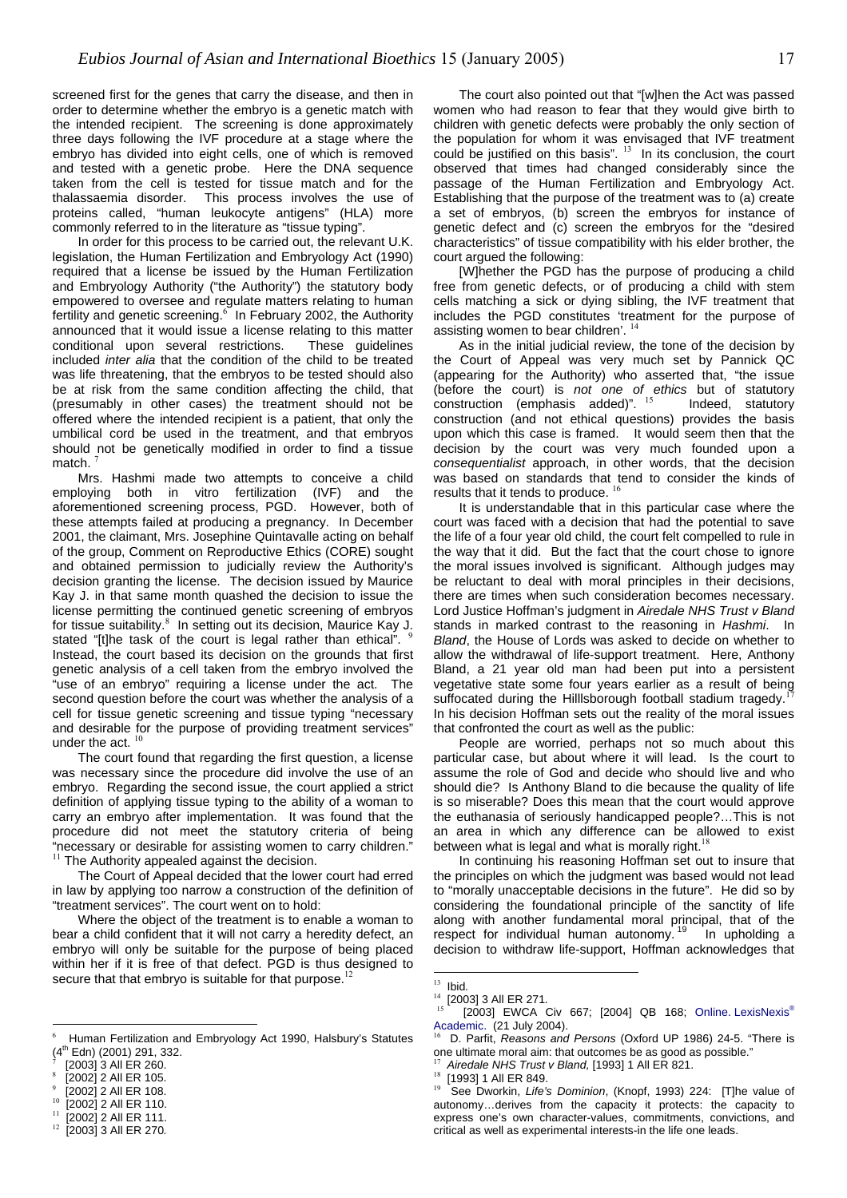screened first for the genes that carry the disease, and then in order to determine whether the embryo is a genetic match with the intended recipient. The screening is done approximately three days following the IVF procedure at a stage where the embryo has divided into eight cells, one of which is removed and tested with a genetic probe. Here the DNA sequence taken from the cell is tested for tissue match and for the thalassaemia disorder. This process involves the use of proteins called, "human leukocyte antigens" (HLA) more commonly referred to in the literature as "tissue typing".

In order for this process to be carried out, the relevant U.K. legislation, the Human Fertilization and Embryology Act (1990) required that a license be issued by the Human Fertilization and Embryology Authority ("the Authority") the statutory body empowered to oversee and regulate matters relating to human fertility and genetic screening.<sup>[6](#page-16-0)</sup> In February 2002, the Authority announced that it would issue a license relating to this matter conditional upon several restrictions. These guidelines included *inter alia* that the condition of the child to be treated was life threatening, that the embryos to be tested should also be at risk from the same condition affecting the child, that (presumably in other cases) the treatment should not be offered where the intended recipient is a patient, that only the umbilical cord be used in the treatment, and that embryos should not be genetically modified in order to find a tissue match

Mrs. Hashmi made two attempts to conceive a child employing both in vitro fertilization (IVF) and the aforementioned screening process, PGD. However, both of these attempts failed at producing a pregnancy. In December 2001, the claimant, Mrs. Josephine Quintavalle acting on behalf of the group, Comment on Reproductive Ethics (CORE) sought and obtained permission to judicially review the Authority's decision granting the license. The decision issued by Maurice Kay J. in that same month quashed the decision to issue the license permitting the continued genetic screening of embryos for tissue suitability.<sup>[8](#page-16-2)</sup> In setting out its decision, Maurice Kay J. stated "[t]he task of the court is legal rather than ethical". Instead, the court based its decision on the grounds that first genetic analysis of a cell taken from the embryo involved the "use of an embryo" requiring a license under the act. The second question before the court was whether the analysis of a cell for tissue genetic screening and tissue typing "necessary and desirable for the purpose of providing treatment services" under the act.  $10$ 

The court found that regarding the first question, a license was necessary since the procedure did involve the use of an embryo. Regarding the second issue, the court applied a strict definition of applying tissue typing to the ability of a woman to carry an embryo after implementation. It was found that the procedure did not meet the statutory criteria of being "necessary or desirable for assisting women to carry children." between what is legal and what is morally right.<sup>18</sup><br><sup>[11](#page-16-5)</sup> The Authority appealed against the decision. Nothing his reasoning Hoffman set out to insure that

The Court of Appeal decided that the lower court had erred

in law by applying too narrow a construction of the definition of "treatment services". The court went on to hold:

Where the object of the treatment is to enable a woman to bear a child confident that it will not carry a heredity defect, an embryo will only be suitable for the purpose of being placed within her if it is free of that defect. PGD is thus designed to secure that that embryo is suitable for that purpose. $12$ 

 $\overline{a}$ 

<span id="page-16-6"></span><span id="page-16-5"></span>

The court also pointed out that "[w]hen the Act was passed women who had reason to fear that they would give birth to children with genetic defects were probably the only section of the population for whom it was envisaged that IVF treatment could be justified on this basis".  $13$  In its conclusion, the court observed that times had changed considerably since the passage of the Human Fertilization and Embryology Act. Establishing that the purpose of the treatment was to (a) create a set of embryos, (b) screen the embryos for instance of genetic defect and (c) screen the embryos for the "desired characteristics" of tissue compatibility with his elder brother, the court argued the following:

[W]hether the PGD has the purpose of producing a child free from genetic defects, or of producing a child with stem cells matching a sick or dying sibling, the IVF treatment that includes the PGD constitutes 'treatment for the purpose of assisting women to bear children'.  $<sup>14</sup>$  $<sup>14</sup>$  $<sup>14</sup>$ </sup>

As in the initial judicial review, the tone of the decision by the Court of Appeal was very much set by Pannick QC (appearing for the Authority) who asserted that, "the issue (before the court) is *not one of ethics* but of statutory construction(emphasis added)".  $15$ construction (and not ethical questions) provides the basis upon which this case is framed. It would seem then that the decision by the court was very much founded upon a *consequentialist* approach, in other words, that the decision was based on standards that tend to consider the kinds of results that it tends to produce.  $16$ 

It is understandable that in this particular case where the court was faced with a decision that had the potential to save the life of a four year old child, the court felt compelled to rule in the way that it did. But the fact that the court chose to ignore the moral issues involved is significant. Although judges may be reluctant to deal with moral principles in their decisions, there are times when such consideration becomes necessary. Lord Justice Hoffman's judgment in *Airedale NHS Trust v Bland* stands in marked contrast to the reasoning in *Hashmi*. In *Bland*, the House of Lords was asked to decide on whether to allow the withdrawal of life-support treatment. Here, Anthony Bland, a 21 year old man had been put into a persistent vegetative state some four years earlier as a result of being suffocated during the Hilllsborough football stadium tragedy. In his decision Hoffman sets out the reality of the moral issues that confronted the court as well as the public:

People are worried, perhaps not so much about this particular case, but about where it will lead. Is the court to assume the role of God and decide who should live and who should die? Is Anthony Bland to die because the quality of life is so miserable? Does this mean that the court would approve the euthanasia of seriously handicapped people?…This is not an area in which any difference can be allowed to exist between what is legal and what is morally right. $18$ 

the principles on which the judgment was based would not lead to "morally unacceptable decisions in the future". He did so by considering the foundational principle of the sanctity of life along with another fundamental moral principal, that of the respect for individual human autonomy.<sup>19</sup> In upholding a decision to withdraw life-support, Hoffman acknowledges that

<span id="page-16-0"></span><sup>16</sup> D. Parfit, *Reasons and Persons* (Oxford UP 1986) 24-5. "There is one ultimate moral aim: that outcomes be as good as possible." [2003] 3 All ER 260. <sup>17</sup> *Airedale NHS Trust v Bland,* [1993] 1 All ER 821.

<sup>6</sup> Human Fertilization and Embryology Act 1990, Halsbury's Statutes  $(4^{th}$  Edn) (2001) 291, 332.

<span id="page-16-1"></span><sup>7</sup>

<span id="page-16-2"></span><sup>8</sup>  $[2002]$  2 All ER 105. 18 [1993] 1 All ER 849.

<span id="page-16-3"></span><sup>9</sup>

<span id="page-16-4"></span><sup>[2002] 2</sup> All ER 110. [2002] 2 All ER 111.

<sup>12</sup> [2003] 3 All ER 270*.*

<span id="page-16-7"></span><sup>13</sup> Ibid*.*

<span id="page-16-8"></span><sup>14</sup> [2003] 3 All ER 271*.*

<span id="page-16-10"></span><span id="page-16-9"></span><sup>[2003]</sup> EWCA Civ 667; [2004] QB 168; Online. LexisNexis<sup>®</sup> Academic. (21 July 2004).

<span id="page-16-13"></span><span id="page-16-12"></span><span id="page-16-11"></span>

<sup>&</sup>lt;sup>9</sup> [2002] 2 All ER 108. 19 See Dworkin, *Life's Dominion*, (Knopf, 1993) 224: [T]he value of autonomy…derives from the capacity it protects: the capacity to express one's own character-values, commitments, convictions, and critical as well as experimental interests-in the life one leads.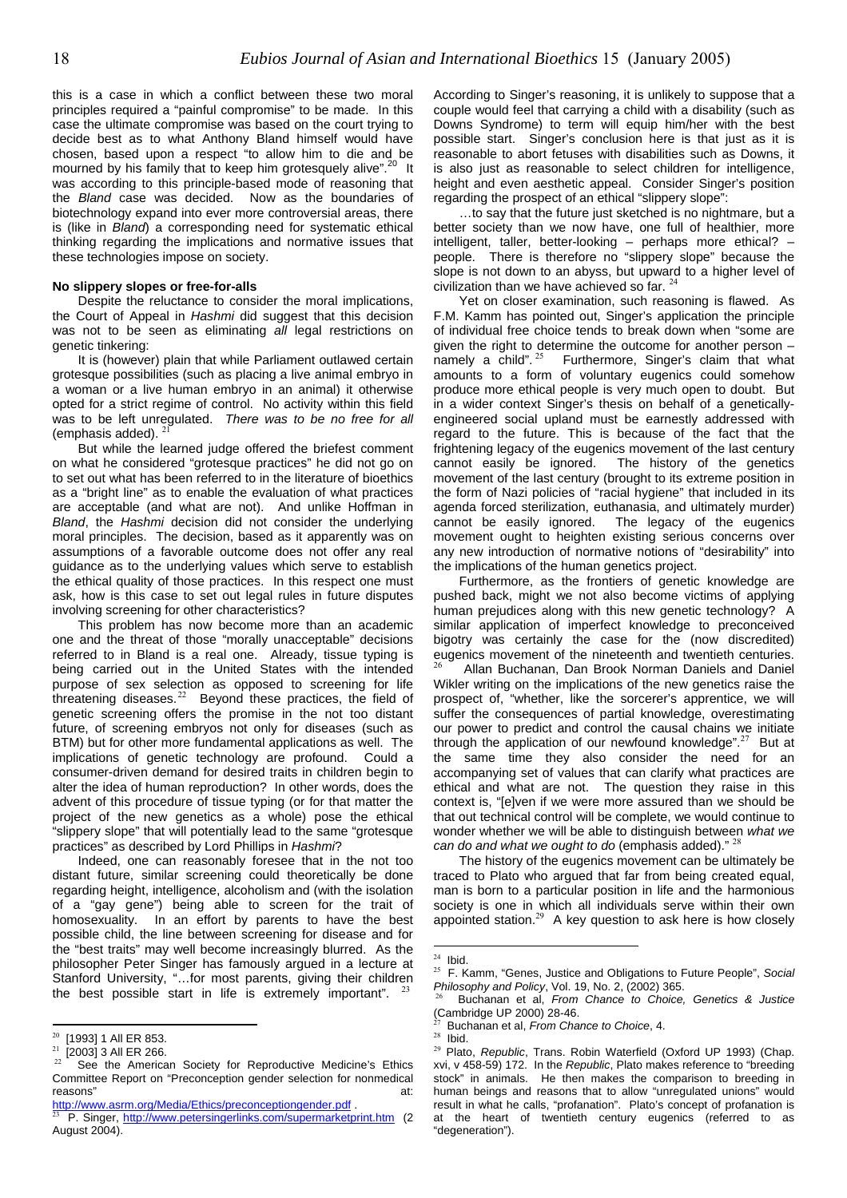this is a case in which a conflict between these two moral principles required a "painful compromise" to be made. In this case the ultimate compromise was based on the court trying to decide best as to what Anthony Bland himself would have chosen, based upon a respect "to allow him to die and be mourned by his family that to keep him grotesquely alive".<sup>20</sup> It was according to this principle-based mode of reasoning that the *Bland* case was decided. Now as the boundaries of biotechnology expand into ever more controversial areas, there is (like in *Bland*) a corresponding need for systematic ethical thinking regarding the implications and normative issues that these technologies impose on society.

Despite the reluctance to consider the moral implications, the Court of Appeal in *Hashmi* did suggest that this decision was not to be seen as eliminating *all* legal restrictions on genetic tinkering:

It is (however) plain that while Parliament outlawed certain grotesque possibilities (such as placing a live animal embryo in a woman or a live human embryo in an animal) it otherwise opted for a strict regime of control. No activity within this field was to be left unregulated. *There was to be no free for all* (emphasis added).

But while the learned judge offered the briefest comment on what he considered "grotesque practices" he did not go on to set out what has been referred to in the literature of bioethics as a "bright line" as to enable the evaluation of what practices are acceptable (and what are not). And unlike Hoffman in *Bland*, the *Hashmi* decision did not consider the underlying moral principles. The decision, based as it apparently was on assumptions of a favorable outcome does not offer any real guidance as to the underlying values which serve to establish the ethical quality of those practices. In this respect one must ask, how is this case to set out legal rules in future disputes involving screening for other characteristics?

This problem has now become more than an academic one and the threat of those "morally unacceptable" decisions referred to in Bland is a real one. Already, tissue typing is being carried out in the United States with the intended purpose of sex selection as opposed to screening for life threatening diseases. $22$  Beyond these practices, the field of genetic screening offers the promise in the not too distant future, of screening embryos not only for diseases (such as BTM) but for other more fundamental applications as well. The implications of genetic technology are profound. Could a consumer-driven demand for desired traits in children begin to alter the idea of human reproduction? In other words, does the advent of this procedure of tissue typing (or for that matter the project of the new genetics as a whole) pose the ethical "slippery slope" that will potentially lead to the same "grotesque practices" as described by Lord Phillips in *Hashmi*?

Indeed, one can reasonably foresee that in the not too distant future, similar screening could theoretically be done regarding height, intelligence, alcoholism and (with the isolation of a "gay gene") being able to screen for the trait of homosexuality. In an effort by parents to have the best possible child, the line between screening for disease and for the "best traits" may well become increasingly blurred. As the philosopher Peter Singer has famously argued in a lecture at Stanford University, "…for most parents, giving their children the best possible start in life is extremely important".

 $\overline{a}$ 

According to Singer's reasoning, it is unlikely to suppose that a couple would feel that carrying a child with a disability (such as Downs Syndrome) to term will equip him/her with the best possible start. Singer's conclusion here is that just as it is reasonable to abort fetuses with disabilities such as Downs, it is also just as reasonable to select children for intelligence, height and even aesthetic appeal. Consider Singer's position regarding the prospect of an ethical "slippery slope":

…to say that the future just sketched is no nightmare, but a better society than we now have, one full of healthier, more intelligent, taller, better-looking – perhaps more ethical? – people. There is therefore no "slippery slope" because the slope is not down to an abyss, but upward to a higher level of No slippery slopes or free-for-alls **No slippery slopes or free-for-alls** extending the solution than we have achieved so far. <sup>[24](#page-17-4)</sup>

Yet on closer examination, such reasoning is flawed. As F.M. Kamm has pointed out, Singer's application the principle of individual free choice tends to break down when "some are given the right to determine the outcome for another person – namelya child".  $25$  Furthermore, Singer's claim that what amounts to a form of voluntary eugenics could somehow produce more ethical people is very much open to doubt. But in a wider context Singer's thesis on behalf of a geneticallyengineered social upland must be earnestly addressed with regard to the future. This is because of the fact that the frightening legacy of the eugenics movement of the last century cannot easily be ignored. The history of the genetics movement of the last century (brought to its extreme position in the form of Nazi policies of "racial hygiene" that included in its agenda forced sterilization, euthanasia, and ultimately murder) cannot be easily ignored. The legacy of the eugenics movement ought to heighten existing serious concerns over any new introduction of normative notions of "desirability" into the implications of the human genetics project.

Furthermore, as the frontiers of genetic knowledge are pushed back, might we not also become victims of applying human prejudices along with this new genetic technology? A similar application of imperfect knowledge to preconceived bigotry was certainly the case for the (now discredited) eugenics movement of the nineteenth and twentieth centuries.<br><sup>[26](#page-17-6)</sup> Allan Buchanan, Dan Brook Norman Daniels and Daniel Wikler writing on the implications of the new genetics raise the prospect of, "whether, like the sorcerer's apprentice, we will suffer the consequences of partial knowledge, overestimating our power to predict and control the causal chains we initiate through the application of our newfound knowledge".<sup>[27](#page-17-7)</sup> But at the same time they also consider the need for an the same time they also consider the need for an accompanying set of values that can clarify what practices are ethical and what are not. The question they raise in this context is, "[e]ven if we were more assured than we should be that out technical control will be complete, we would continue to wonder whether we will be able to distinguish between *what we can do and what we ought to do* (emphasis added)." [28](#page-17-8)

The history of the eugenics movement can be ultimately be traced to Plato who argued that far from being created equal, man is born to a particular position in life and the harmonious society is one in which all individuals serve within their own appointed station. $29$  A key question to ask here is how closely

<span id="page-17-0"></span> $^{20}$  [1993] 1 All ER 853.

<span id="page-17-1"></span> $\frac{21}{22}$  [2003] 3 All ER 266.

<span id="page-17-2"></span>See the American Society for Reproductive Medicine's Ethics Committee Report on "Preconception gender selection for nonmedical reasons" at:

<http://www.asrm.org/Media/Ethics/preconceptiongender.pdf>.

<span id="page-17-3"></span><sup>23</sup> P. Singer, <http://www.petersingerlinks.com/supermarketprint.htm> (2 August 2004).

 $\overline{a}$  $24$  Ibid.

<span id="page-17-5"></span><span id="page-17-4"></span><sup>25</sup> F. Kamm, "Genes, Justice and Obligations to Future People", *Social Philosophy and Policy*, Vol. 19, No. 2, (2002) 365.

<span id="page-17-6"></span><sup>26</sup> Buchanan et al, *From Chance to Choice, Genetics & Justice* (Cambridge UP 2000) 28-46.

<span id="page-17-7"></span> $27$  Buchanan et al, *From Chance to Choice*, 4. <sup>28</sup> Ibid.

<span id="page-17-8"></span>

<span id="page-17-9"></span><sup>29</sup> Plato, *Republic*, Trans. Robin Waterfield (Oxford UP 1993) (Chap. xvi, v 458-59) 172. In the *Republic*, Plato makes reference to "breeding stock" in animals. He then makes the comparison to breeding in human beings and reasons that to allow "unregulated unions" would result in what he calls, "profanation". Plato's concept of profanation is at the heart of twentieth century eugenics (referred to as "degeneration").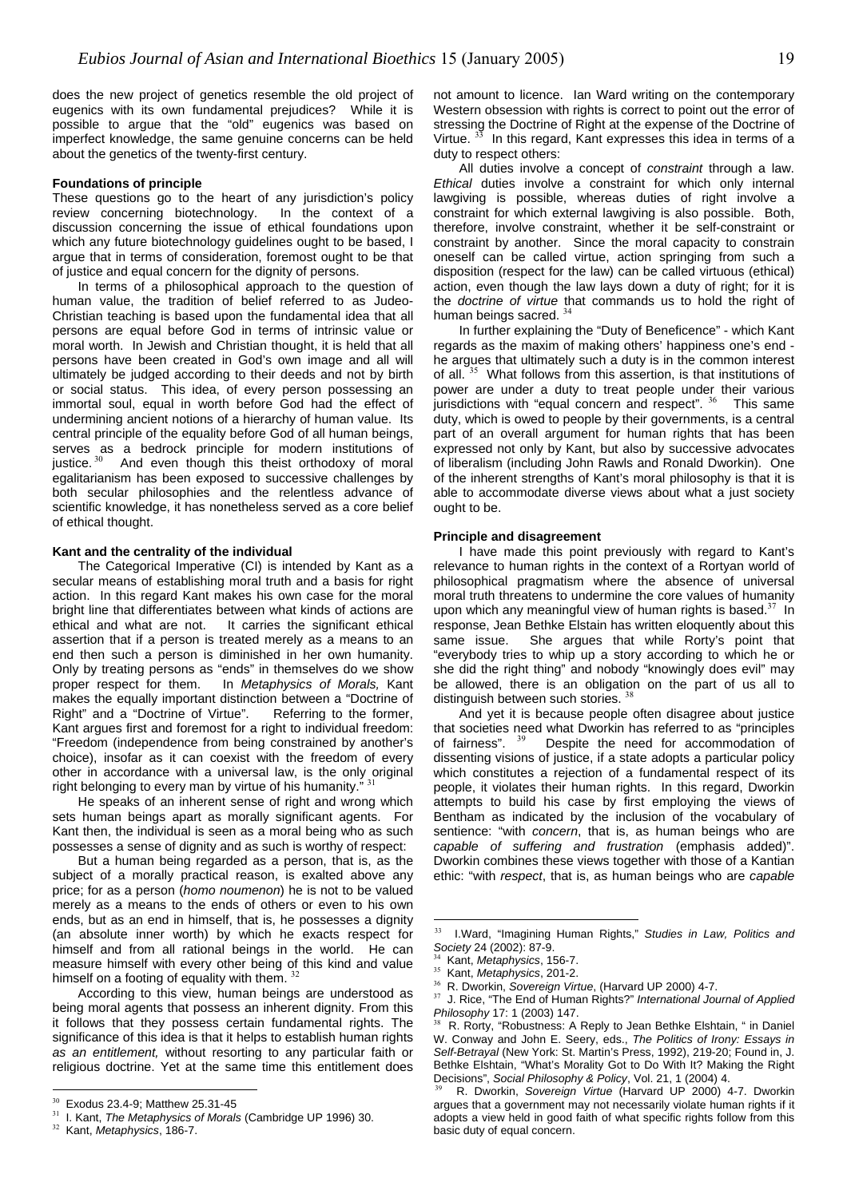does the new project of genetics resemble the old project of eugenics with its own fundamental prejudices? While it is possible to argue that the "old" eugenics was based on imperfect knowledge, the same genuine concerns can be held about the genetics of the twenty-first century.

#### **Foundations of principle**

These questions go to the heart of any jurisdiction's policy review concerning biotechnology. In the context of a discussion concerning the issue of ethical foundations upon which any future biotechnology guidelines ought to be based, I argue that in terms of consideration, foremost ought to be that of justice and equal concern for the dignity of persons.

In terms of a philosophical approach to the question of human value, the tradition of belief referred to as Judeo-Christian teaching is based upon the fundamental idea that all persons are equal before God in terms of intrinsic value or moral worth. In Jewish and Christian thought, it is held that all persons have been created in God's own image and all will ultimately be judged according to their deeds and not by birth or social status. This idea, of every person possessing an immortal soul, equal in worth before God had the effect of undermining ancient notions of a hierarchy of human value. Its central principle of the equality before God of all human beings, serves as a bedrock principle for modern institutions of justice.  $30$  And even though this theist orthodoxy of moral egalitarianism has been exposed to successive challenges by both secular philosophies and the relentless advance of scientific knowledge, it has nonetheless served as a core belief of ethical thought.

The Categorical Imperative (CI) is intended by Kant as a secular means of establishing moral truth and a basis for right action. In this regard Kant makes his own case for the moral bright line that differentiates between what kinds of actions are ethical and what are not. It carries the significant ethical assertion that if a person is treated merely as a means to an end then such a person is diminished in her own humanity. Only by treating persons as "ends" in themselves do we show proper respect for them. In *Metaphysics of Morals,* Kant makes the equally important distinction between a "Doctrine of Right" and a "Doctrine of Virtue". Referring to the former, Kant argues first and foremost for a right to individual freedom: "Freedom (independence from being constrained by another's choice), insofar as it can coexist with the freedom of every other in accordance with a universal law, is the only original right belonging to every man by virtue of his humanity. $^{31}$  $^{31}$  $^{31}$ 

He speaks of an inherent sense of right and wrong which sets human beings apart as morally significant agents. For Kant then, the individual is seen as a moral being who as such possesses a sense of dignity and as such is worthy of respect:

But a human being regarded as a person, that is, as the subject of a morally practical reason, is exalted above any price; for as a person (*homo noumenon*) he is not to be valued merely as a means to the ends of others or even to his own ends, but as an end in himself, that is, he possesses a dignity (an absolute inner worth) by which he exacts respect for himself and from all rational beings in the world. He can measure himself with every other being of this kind and value himself on a footing of equality with them. [32](#page-18-2)

According to this view, human beings are understood as being moral agents that possess an inherent dignity. From this it follows that they possess certain fundamental rights. The significance of this idea is that it helps to establish human rights *as an entitlement,* without resorting to any particular faith or religious doctrine. Yet at the same time this entitlement does

 $\overline{a}$ 

not amount to licence. Ian Ward writing on the contemporary Western obsession with rights is correct to point out the error of stressing the Doctrine of Right at the expense of the Doctrine of Virtue.  $33$  In this regard, Kant expresses this idea in terms of a duty to respect others:

All duties involve a concept of *constraint* through a law. *Ethical* duties involve a constraint for which only internal lawgiving is possible, whereas duties of right involve a constraint for which external lawgiving is also possible. Both, therefore, involve constraint, whether it be self-constraint or constraint by another. Since the moral capacity to constrain oneself can be called virtue, action springing from such a disposition (respect for the law) can be called virtuous (ethical) action, even though the law lays down a duty of right; for it is the *doctrine of virtue* that commands us to hold the right of human beings sacred.  $34$ 

In further explaining the "Duty of Beneficence" - which Kant regards as the maxim of making others' happiness one's end he argues that ultimately such a duty is in the common interest of all.<sup>[35](#page-18-5)</sup> What follows from this assertion, is that institutions of power are under a duty to treat people under their various jurisdictions with "equal concern and respect". <sup>[36](#page-18-6)</sup> This same duty, which is owed to people by their governments, is a central part of an overall argument for human rights that has been expressed not only by Kant, but also by successive advocates of liberalism (including John Rawls and Ronald Dworkin). One of the inherent strengths of Kant's moral philosophy is that it is able to accommodate diverse views about what a just society ought to be.

#### **Principle and disagreement**

**Kant and the centrality of the individual** I have made this point previously with regard to Kant's relevance to human rights in the context of a Rortyan world of philosophical pragmatism where the absence of universal moral truth threatens to undermine the core values of humanity upon which any meaningful view of human rights is based. $37$  In response, Jean Bethke Elstain has written eloquently about this same issue. She argues that while Rorty's point that "everybody tries to whip up a story according to which he or she did the right thing" and nobody "knowingly does evil" may be allowed, there is an obligation on the part of us all to distinguish between such stories.  $38$ 

> And yet it is because people often disagree about justice that societies need what Dworkin has referred to as "principles of fairness".  $39$  Despite the need for accommodation of dissenting visions of justice, if a state adopts a particular policy which constitutes a rejection of a fundamental respect of its people, it violates their human rights. In this regard, Dworkin attempts to build his case by first employing the views of Bentham as indicated by the inclusion of the vocabulary of sentience: "with *concern*, that is, as human beings who are *capable of suffering and frustration* (emphasis added)". Dworkin combines these views together with those of a Kantian ethic: "with *respect*, that is, as human beings who are *capable*

 $\overline{a}$ 

<span id="page-18-0"></span> $30$  Exodus 23.4-9; Matthew 25.31-45

<span id="page-18-1"></span><sup>31</sup> I. Kant, *The Metaphysics of Morals* (Cambridge UP 1996) 30.

<span id="page-18-2"></span><sup>32</sup> Kant, *Metaphysics*, 186-7.

<span id="page-18-3"></span><sup>33</sup> I.Ward, "Imagining Human Rights," *Studies in Law, Politics and Society* 24 (2002): 87-9.

<span id="page-18-4"></span><sup>34</sup> Kant, *Metaphysics*, 156-7.

<span id="page-18-5"></span><sup>35</sup> Kant, *Metaphysics*, 201-2.

<span id="page-18-6"></span><sup>36</sup> R. Dworkin, *Sovereign Virtue*, (Harvard UP 2000) 4-7.

<span id="page-18-7"></span><sup>37</sup> J. Rice, "The End of Human Rights?" *International Journal of Applied Philosophy* 17: 1 (2003) 147.

<span id="page-18-8"></span>R. Rorty, "Robustness: A Reply to Jean Bethke Elshtain, " in Daniel W. Conway and John E. Seery, eds., *The Politics of Irony: Essays in Self-Betrayal* (New York: St. Martin's Press, 1992), 219-20; Found in, J. Bethke Elshtain, "What's Morality Got to Do With It? Making the Right Decisions", *Social Philosophy & Policy*, Vol. 21, 1 (2004) 4.

<span id="page-18-9"></span><sup>39</sup> R. Dworkin, *Sovereign Virtue* (Harvard UP 2000) 4-7. Dworkin argues that a government may not necessarily violate human rights if it adopts a view held in good faith of what specific rights follow from this basic duty of equal concern.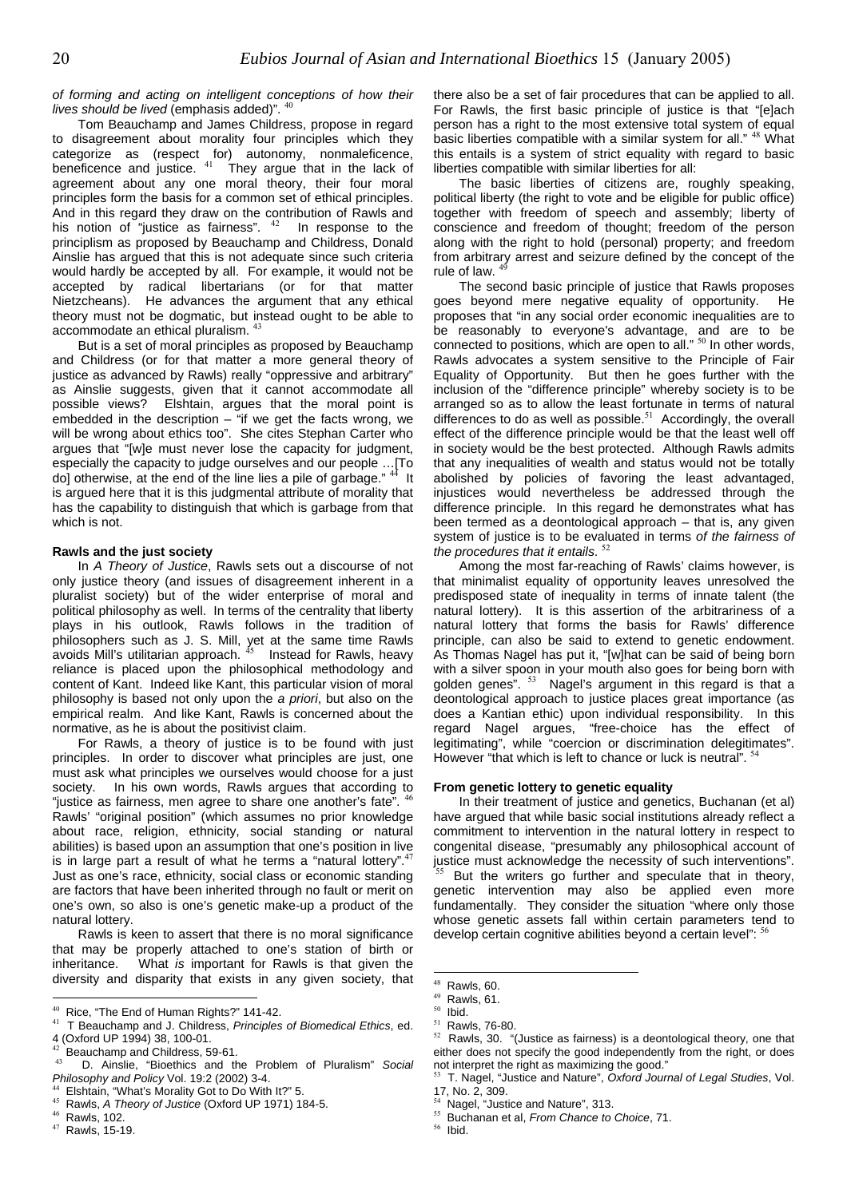*of forming and acting on intelligent conceptions of how their lives should be lived* (emphasis added)".  $40$ 

Tom Beauchamp and James Childress, propose in regard to disagreement about morality four principles which they categorize as (respect for) autonomy, nonmaleficence, beneficence and justice.  $41$  They argue that in the lack of agreement about any one moral theory, their four moral principles form the basis for a common set of ethical principles. And in this regard they draw on the contribution of Rawls and his notion of "justice as fairness".  $42$  In response to the principlism as proposed by Beauchamp and Childress, Donald Ainslie has argued that this is not adequate since such criteria would hardly be accepted by all. For example, it would not be accepted by radical libertarians (or for that matter Nietzcheans). He advances the argument that any ethical theory must not be dogmatic, but instead ought to be able to accommodate an ethical pluralism. [43](#page-19-3)

But is a set of moral principles as proposed by Beauchamp and Childress (or for that matter a more general theory of justice as advanced by Rawls) really "oppressive and arbitrary" as Ainslie suggests, given that it cannot accommodate all possible views? Elshtain, argues that the moral point is embedded in the description  $-$  "if we get the facts wrong, we will be wrong about ethics too". She cites Stephan Carter who argues that "[w]e must never lose the capacity for judgment, especially the capacity to judge ourselves and our people …[To do] otherwise, at the end of the line lies a pile of garbage."  $44$  It is argued here that it is this judgmental attribute of morality that has the capability to distinguish that which is garbage from that which is not.

#### **Rawls and the just society**

In *A Theory of Justice*, Rawls sets out a discourse of not only justice theory (and issues of disagreement inherent in a pluralist society) but of the wider enterprise of moral and political philosophy as well. In terms of the centrality that liberty plays in his outlook, Rawls follows in the tradition of philosophers such as J. S. Mill, yet at the same time Rawls avoids Mill's utilitarian approach.  $^{45}$  $^{45}$  $^{45}$  Instead for Rawls, heavy reliance is placed upon the philosophical methodology and content of Kant. Indeed like Kant, this particular vision of moral philosophy is based not only upon the *a priori*, but also on the empirical realm. And like Kant, Rawls is concerned about the normative, as he is about the positivist claim.

For Rawls, a theory of justice is to be found with just principles. In order to discover what principles are just, one must ask what principles we ourselves would choose for a just society. In his own words, Rawls argues that according to "justice as fairness, men agree to share one another's fate". [46](#page-19-6) Rawls' "original position" (which assumes no prior knowledge about race, religion, ethnicity, social standing or natural abilities) is based upon an assumption that one's position in live is in large part a result of what he terms a "natural lottery". Just as one's race, ethnicity, social class or economic standing are factors that have been inherited through no fault or merit on one's own, so also is one's genetic make-up a product of the natural lottery.

Rawlsis keen to assert that there is no moral significance develop certain cognitive abilities beyond a certain level": that may be properly attached to one's station of birth or inheritance. What *is* important for Rawls is that given the diversity and disparity that exists in any given society, that

 $\overline{a}$ 

there also be a set of fair procedures that can be applied to all. For Rawls, the first basic principle of justice is that "[e]ach person has a right to the most extensive total system of equal basic liberties compatible with a similar system for all." <sup>[48](#page-19-8)</sup> What this entails is a system of strict equality with regard to basic liberties compatible with similar liberties for all:

The basic liberties of citizens are, roughly speaking, political liberty (the right to vote and be eligible for public office) together with freedom of speech and assembly; liberty of conscience and freedom of thought; freedom of the person along with the right to hold (personal) property; and freedom from arbitrary arrest and seizure defined by the concept of the rule of law.

The second basic principle of justice that Rawls proposes goes beyond mere negative equality of opportunity. He proposes that "in any social order economic inequalities are to be reasonably to everyone's advantage, and are to be connected to positions, which are open to all."  $50$  In other words, Rawls advocates a system sensitive to the Principle of Fair Equality of Opportunity. But then he goes further with the inclusion of the "difference principle" whereby society is to be arranged so as to allow the least fortunate in terms of natural differences to do as well as possible. $51$  Accordingly, the overall effect of the difference principle would be that the least well off in society would be the best protected. Although Rawls admits that any inequalities of wealth and status would not be totally abolished by policies of favoring the least advantaged, injustices would nevertheless be addressed through the difference principle. In this regard he demonstrates what has been termed as a deontological approach – that is, any given system of justice is to be evaluated in terms *of the fairness of the procedures that it entails*. [52](#page-19-12)

Among the most far-reaching of Rawls' claims however, is that minimalist equality of opportunity leaves unresolved the predisposed state of inequality in terms of innate talent (the natural lottery). It is this assertion of the arbitrariness of a natural lottery that forms the basis for Rawls' difference principle, can also be said to extend to genetic endowment. As Thomas Nagel has put it, "[w]hat can be said of being born with a silver spoon in your mouth also goes for being born with golden genes".  $53$  Nagel's argument in this regard is that a deontological approach to justice places great importance (as does a Kantian ethic) upon individual responsibility. In this regard Nagel argues, "free-choice has the effect of legitimating", while "coercion or discrimination delegitimates". However "that which is left to chance or luck is neutral".

#### **From genetic lottery to genetic equality**

In their treatment of justice and genetics, Buchanan (et al) have argued that while basic social institutions already reflect a commitment to intervention in the natural lottery in respect to congenital disease, "presumably any philosophical account of justice must acknowledge the necessity of such interventions". [55](#page-19-15) But the writers go further and speculate that in theory, genetic intervention may also be applied even more fundamentally. They consider the situation "where only those whose genetic assets fall within certain parameters tend to

<span id="page-19-0"></span>Rice, "The End of Human Rights?" 141-42. 50 Ibid.

<span id="page-19-1"></span><sup>41</sup> T Beauchamp and J. Childress, *Principles of Biomedical Ethics*, ed. 4 (Oxford UP 1994) 38, 100-01.

<span id="page-19-2"></span> $^{42}$  Beauchamp and Childress, 59-61.

<span id="page-19-3"></span><sup>43</sup> D. Ainslie, "Bioethics and the Problem of Pluralism" *Social Philosophy and Policy* Vol. 19:2 (2002) 3-4. <sup>53</sup> T. Nagel, "Justice and Nature", *Oxford Journal of Legal Studies*, Vol.

<span id="page-19-4"></span><sup>&</sup>lt;sup>44</sup> Elshtain, "What's Morality Got to Do With It?" 5.  $\frac{17}{45}$  Poule A Theory of Justice (Oxford UP 1971) 1945

<span id="page-19-5"></span><sup>&</sup>lt;sup>45</sup> Rawls, *A Theory of Justice* (Oxford UP 1971) 184-5.<br><sup>46</sup> Rawls, 102. 55 Buchanan et al, *From Chance to* 

<span id="page-19-6"></span>

<span id="page-19-7"></span> $47$  Rawls, 15-19.

<span id="page-19-8"></span> $^{48}$  Rawls, 60.

<span id="page-19-9"></span> $^{49}$  Rawls, 61.

<span id="page-19-11"></span><span id="page-19-10"></span>

<sup>51</sup> Rawls, 76-80.

<span id="page-19-12"></span> $52$  Rawls, 30. "(Justice as fairness) is a deontological theory, one that either does not specify the good independently from the right, or does not interpret the right as maximizing the good."

<span id="page-19-13"></span>

<span id="page-19-14"></span>

<span id="page-19-16"></span><span id="page-19-15"></span><sup>&</sup>lt;sup>55</sup> Buchanan et al, *From Chance to Choice*, 71.<br><sup>56</sup> Ibid.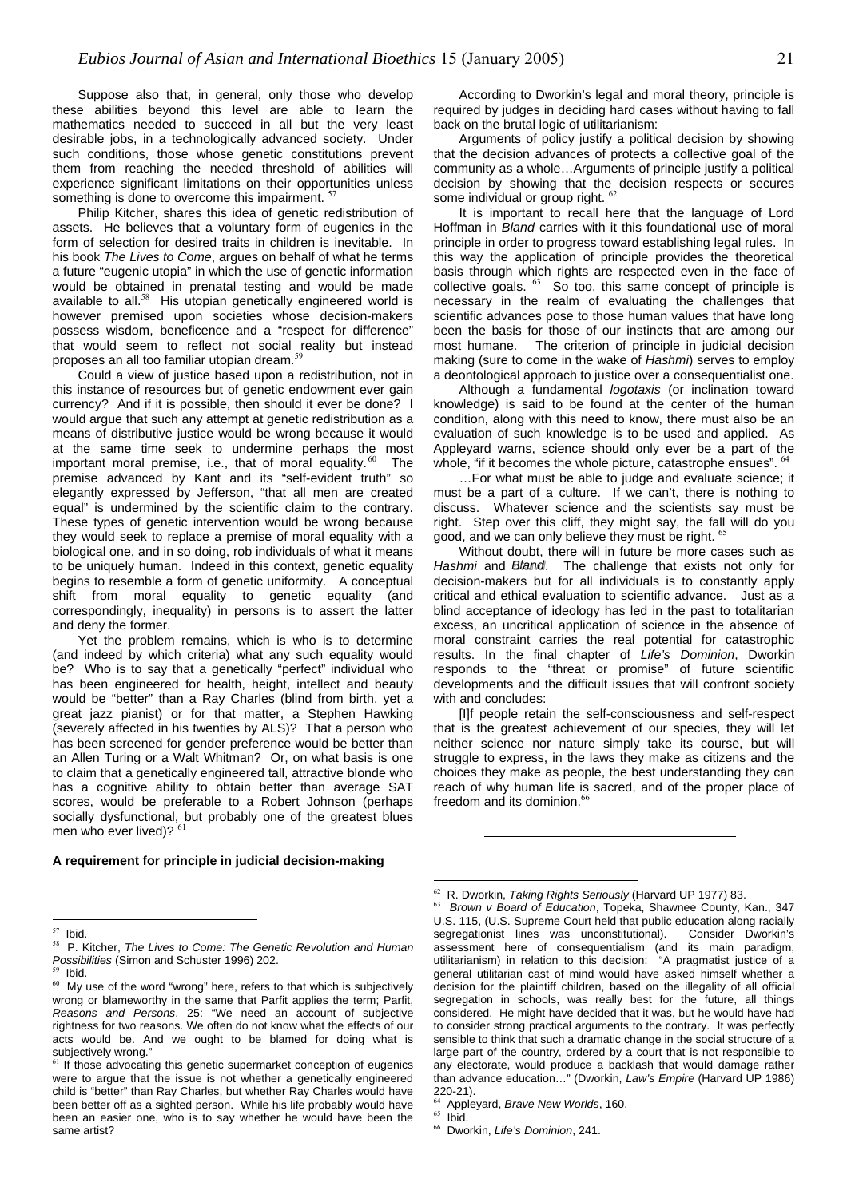Suppose also that, in general, only those who develop these abilities beyond this level are able to learn the mathematics needed to succeed in all but the very least desirable jobs, in a technologically advanced society. Under such conditions, those whose genetic constitutions prevent them from reaching the needed threshold of abilities will experience significant limitations on their opportunities unless something is done to overcome this impairment.<sup>[57](#page-20-0)</sup>

Philip Kitcher, shares this idea of genetic redistribution of assets. He believes that a voluntary form of eugenics in the form of selection for desired traits in children is inevitable. In his book *The Lives to Come*, argues on behalf of what he terms a future "eugenic utopia" in which the use of genetic information would be obtained in prenatal testing and would be made available to all.<sup>[58](#page-20-1)</sup> His utopian genetically engineered world is however premised upon societies whose decision-makers possess wisdom, beneficence and a "respect for difference" that would seem to reflect not social reality but instead proposes an all too familiar utopian dream.<sup>5</sup>

Could a view of justice based upon a redistribution, not in this instance of resources but of genetic endowment ever gain currency? And if it is possible, then should it ever be done? I would argue that such any attempt at genetic redistribution as a means of distributive justice would be wrong because it would at the same time seek to undermine perhaps the most important moral premise, i.e., that of moral equality. $60$  The premise advanced by Kant and its "self-evident truth" so elegantly expressed by Jefferson, "that all men are created equal" is undermined by the scientific claim to the contrary. These types of genetic intervention would be wrong because they would seek to replace a premise of moral equality with a biological one, and in so doing, rob individuals of what it means to be uniquely human. Indeed in this context, genetic equality begins to resemble a form of genetic uniformity. A conceptual shift from moral equality to genetic equality (and correspondingly, inequality) in persons is to assert the latter and deny the former.

Yet the problem remains, which is who is to determine (and indeed by which criteria) what any such equality would be? Who is to say that a genetically "perfect" individual who has been engineered for health, height, intellect and beauty would be "better" than a Ray Charles (blind from birth, yet a great jazz pianist) or for that matter, a Stephen Hawking (severely affected in his twenties by ALS)? That a person who has been screened for gender preference would be better than an Allen Turing or a Walt Whitman? Or, on what basis is one to claim that a genetically engineered tall, attractive blonde who has a cognitive ability to obtain better than average SAT scores, would be preferable to a Robert Johnson (perhaps socially dysfunctional, but probably one of the greatest blues men who ever lived)?

#### **A requirement for principle in judicial decision-making**

 $\overline{a}$ 

According to Dworkin's legal and moral theory, principle is required by judges in deciding hard cases without having to fall back on the brutal logic of utilitarianism:

Arguments of policy justify a political decision by showing that the decision advances of protects a collective goal of the community as a whole…Arguments of principle justify a political decision by showing that the decision respects or secures some individual or group right. [62](#page-20-5)

It is important to recall here that the language of Lord Hoffman in *Bland* carries with it this foundational use of moral principle in order to progress toward establishing legal rules. In this way the application of principle provides the theoretical basis through which rights are respected even in the face of collective goals.  $63$  So too, this same concept of principle is necessary in the realm of evaluating the challenges that scientific advances pose to those human values that have long been the basis for those of our instincts that are among our most humane. The criterion of principle in judicial decision making (sure to come in the wake of *Hashmi*) serves to employ a deontological approach to justice over a consequentialist one.

Although a fundamental *logotaxis* (or inclination toward knowledge) is said to be found at the center of the human condition, along with this need to know, there must also be an evaluation of such knowledge is to be used and applied. As Appleyard warns, science should only ever be a part of the whole, "if it becomes the whole picture, catastrophe ensues". <sup>6</sup>

…For what must be able to judge and evaluate science; it must be a part of a culture. If we can't, there is nothing to discuss. Whatever science and the scientists say must be right. Step over this cliff, they might say, the fall will do you good, and we can only believe they must be right. <sup>[65](#page-20-8)</sup>

Without doubt, there will in future be more cases such as Hashmi and *Bland*. The challenge that exists not only for decision-makers but for all individuals is to constantly apply critical and ethical evaluation to scientific advance. Just as a blind acceptance of ideology has led in the past to totalitarian excess, an uncritical application of science in the absence of moral constraint carries the real potential for catastrophic results. In the final chapter of *Life's Dominion*, Dworkin responds to the "threat or promise" of future scientific developments and the difficult issues that will confront society with and concludes:

[I]f people retain the self-consciousness and self-respect that is the greatest achievement of our species, they will let neither science nor nature simply take its course, but will struggle to express, in the laws they make as citizens and the choices they make as people, the best understanding they can reach of why human life is sacred, and of the proper place of freedom and its dominion.<sup>[66](#page-20-9)</sup>

 $\overline{a}$ 

<span id="page-20-0"></span> $57$  Ibid.

<span id="page-20-1"></span><sup>58</sup> P. Kitcher, *The Lives to Come: The Genetic Revolution and Human Possibilities* (Simon and Schuster 1996) 202.

<span id="page-20-2"></span> $59$  Ibid.

<span id="page-20-3"></span> $60$  My use of the word "wrong" here, refers to that which is subjectively wrong or blameworthy in the same that Parfit applies the term; Parfit, *Reasons and Persons*, 25: "We need an account of subjective rightness for two reasons. We often do not know what the effects of our acts would be. And we ought to be blamed for doing what is subjectively wrong."

<span id="page-20-4"></span> $<sup>61</sup>$  If those advocating this genetic supermarket conception of eugenics</sup> were to argue that the issue is not whether a genetically engineered child is "better" than Ray Charles, but whether Ray Charles would have been better off as a sighted person. While his life probably would have been an easier one, who is to say whether he would have been the same artist?

<span id="page-20-5"></span><sup>62</sup> R. Dworkin, *Taking Rights Seriously* (Harvard UP 1977) 83.

<span id="page-20-6"></span><sup>63</sup> *Brown v Board of Education*, Topeka, Shawnee County, Kan., 347 U.S. 115, (U.S. Supreme Court held that public education along racially segregationist lines was unconstitutional). Consider Dworkin's assessment here of consequentialism (and its main paradigm, utilitarianism) in relation to this decision: "A pragmatist justice of a general utilitarian cast of mind would have asked himself whether a decision for the plaintiff children, based on the illegality of all official segregation in schools, was really best for the future, all things considered. He might have decided that it was, but he would have had to consider strong practical arguments to the contrary. It was perfectly sensible to think that such a dramatic change in the social structure of a large part of the country, ordered by a court that is not responsible to any electorate, would produce a backlash that would damage rather than advance education…" (Dworkin, *Law's Empire* (Harvard UP 1986) 220-21).

<span id="page-20-8"></span><span id="page-20-7"></span><sup>64</sup> Appleyard, *Brave New Worlds*, 160.

 $65$  Ibid.

<span id="page-20-9"></span><sup>66</sup> Dworkin, *Life's Dominion*, 241.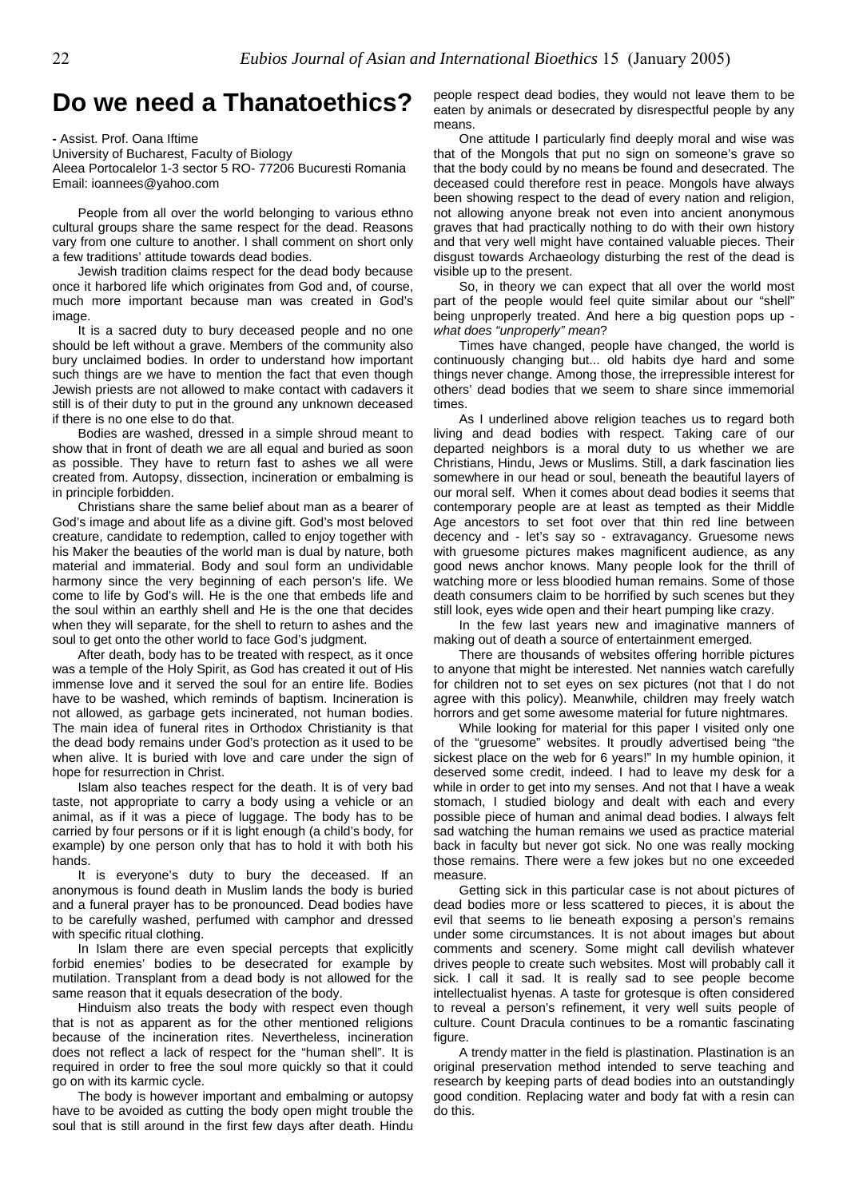### **Do we need a Thanatoethics?**

**-** Assist. Prof. Oana Iftime

University of Bucharest, Faculty of Biology Aleea Portocalelor 1-3 sector 5 RO- 77206 Bucuresti Romania Email: ioannees@yahoo.com

People from all over the world belonging to various ethno cultural groups share the same respect for the dead. Reasons vary from one culture to another. I shall comment on short only a few traditions' attitude towards dead bodies.

Jewish tradition claims respect for the dead body because once it harbored life which originates from God and, of course, much more important because man was created in God's image.

It is a sacred duty to bury deceased people and no one should be left without a grave. Members of the community also bury unclaimed bodies. In order to understand how important such things are we have to mention the fact that even though Jewish priests are not allowed to make contact with cadavers it still is of their duty to put in the ground any unknown deceased if there is no one else to do that.

Bodies are washed, dressed in a simple shroud meant to show that in front of death we are all equal and buried as soon as possible. They have to return fast to ashes we all were created from. Autopsy, dissection, incineration or embalming is in principle forbidden.

Christians share the same belief about man as a bearer of God's image and about life as a divine gift. God's most beloved creature, candidate to redemption, called to enjoy together with his Maker the beauties of the world man is dual by nature, both material and immaterial. Body and soul form an undividable harmony since the very beginning of each person's life. We come to life by God's will. He is the one that embeds life and the soul within an earthly shell and He is the one that decides when they will separate, for the shell to return to ashes and the soul to get onto the other world to face God's judgment.

After death, body has to be treated with respect, as it once was a temple of the Holy Spirit, as God has created it out of His immense love and it served the soul for an entire life. Bodies have to be washed, which reminds of baptism. Incineration is not allowed, as garbage gets incinerated, not human bodies. The main idea of funeral rites in Orthodox Christianity is that the dead body remains under God's protection as it used to be when alive. It is buried with love and care under the sign of hope for resurrection in Christ.

Islam also teaches respect for the death. It is of very bad taste, not appropriate to carry a body using a vehicle or an animal, as if it was a piece of luggage. The body has to be carried by four persons or if it is light enough (a child's body, for example) by one person only that has to hold it with both his hands.

It is everyone's duty to bury the deceased. If an anonymous is found death in Muslim lands the body is buried and a funeral prayer has to be pronounced. Dead bodies have to be carefully washed, perfumed with camphor and dressed with specific ritual clothing.

In Islam there are even special percepts that explicitly forbid enemies' bodies to be desecrated for example by mutilation. Transplant from a dead body is not allowed for the same reason that it equals desecration of the body.

Hinduism also treats the body with respect even though that is not as apparent as for the other mentioned religions because of the incineration rites. Nevertheless, incineration does not reflect a lack of respect for the "human shell". It is required in order to free the soul more quickly so that it could go on with its karmic cycle.

The body is however important and embalming or autopsy have to be avoided as cutting the body open might trouble the soul that is still around in the first few days after death. Hindu people respect dead bodies, they would not leave them to be eaten by animals or desecrated by disrespectful people by any means.

One attitude I particularly find deeply moral and wise was that of the Mongols that put no sign on someone's grave so that the body could by no means be found and desecrated. The deceased could therefore rest in peace. Mongols have always been showing respect to the dead of every nation and religion, not allowing anyone break not even into ancient anonymous graves that had practically nothing to do with their own history and that very well might have contained valuable pieces. Their disgust towards Archaeology disturbing the rest of the dead is visible up to the present.

So, in theory we can expect that all over the world most part of the people would feel quite similar about our "shell" being unproperly treated. And here a big question pops up *what does "unproperly" mean*?

Times have changed, people have changed, the world is continuously changing but... old habits dye hard and some things never change. Among those, the irrepressible interest for others' dead bodies that we seem to share since immemorial times.

As I underlined above religion teaches us to regard both living and dead bodies with respect. Taking care of our departed neighbors is a moral duty to us whether we are Christians, Hindu, Jews or Muslims. Still, a dark fascination lies somewhere in our head or soul, beneath the beautiful layers of our moral self. When it comes about dead bodies it seems that contemporary people are at least as tempted as their Middle Age ancestors to set foot over that thin red line between decency and - let's say so - extravagancy. Gruesome news with gruesome pictures makes magnificent audience, as any good news anchor knows. Many people look for the thrill of watching more or less bloodied human remains. Some of those death consumers claim to be horrified by such scenes but they still look, eyes wide open and their heart pumping like crazy.

In the few last years new and imaginative manners of making out of death a source of entertainment emerged.

There are thousands of websites offering horrible pictures to anyone that might be interested. Net nannies watch carefully for children not to set eyes on sex pictures (not that I do not agree with this policy). Meanwhile, children may freely watch horrors and get some awesome material for future nightmares.

While looking for material for this paper I visited only one of the "gruesome" websites. It proudly advertised being "the sickest place on the web for 6 years!" In my humble opinion, it deserved some credit, indeed. I had to leave my desk for a while in order to get into my senses. And not that I have a weak stomach, I studied biology and dealt with each and every possible piece of human and animal dead bodies. I always felt sad watching the human remains we used as practice material back in faculty but never got sick. No one was really mocking those remains. There were a few jokes but no one exceeded measure.

Getting sick in this particular case is not about pictures of dead bodies more or less scattered to pieces, it is about the evil that seems to lie beneath exposing a person's remains under some circumstances. It is not about images but about comments and scenery. Some might call devilish whatever drives people to create such websites. Most will probably call it sick. I call it sad. It is really sad to see people become intellectualist hyenas. A taste for grotesque is often considered to reveal a person's refinement, it very well suits people of culture. Count Dracula continues to be a romantic fascinating figure.

A trendy matter in the field is plastination. Plastination is an original preservation method intended to serve teaching and research by keeping parts of dead bodies into an outstandingly good condition. Replacing water and body fat with a resin can do this.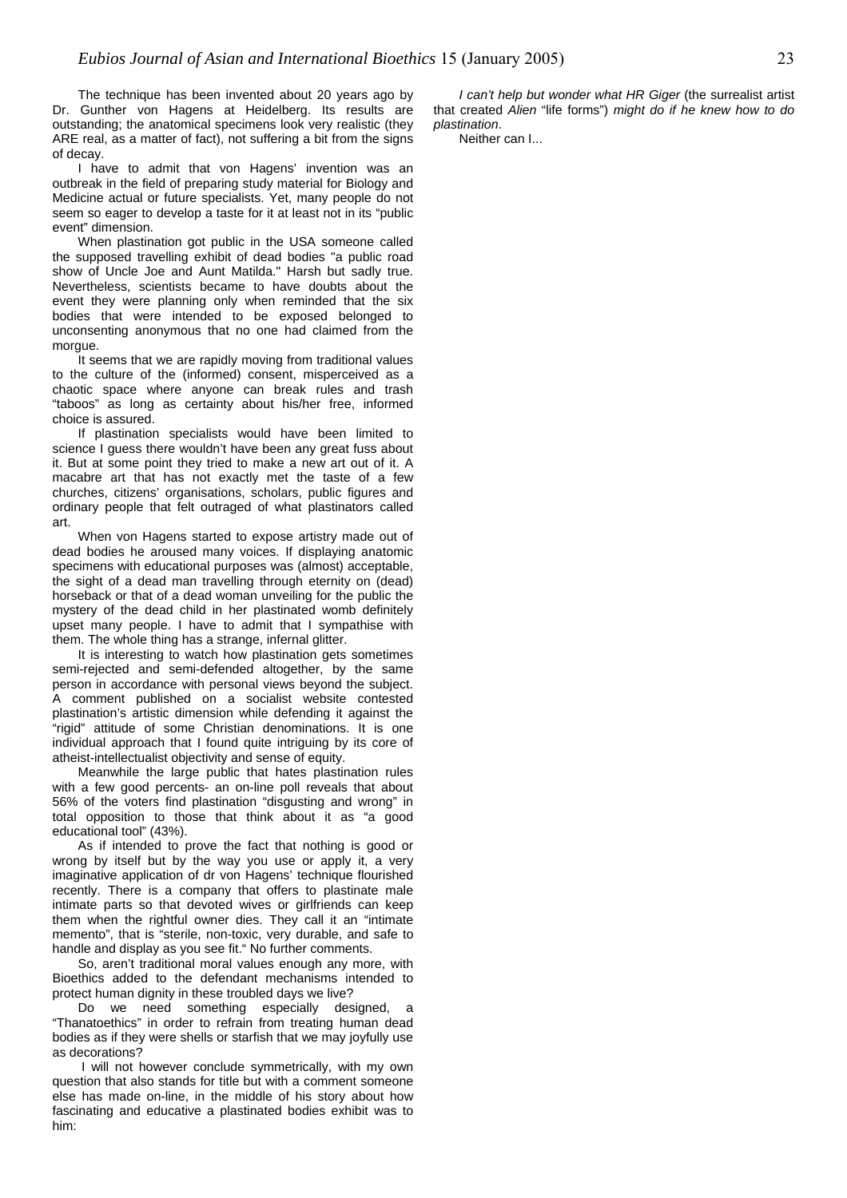The technique has been invented about 20 years ago by Dr. Gunther von Hagens at Heidelberg. Its results are outstanding; the anatomical specimens look very realistic (they ARE real, as a matter of fact), not suffering a bit from the signs of decay.

I have to admit that von Hagens' invention was an outbreak in the field of preparing study material for Biology and Medicine actual or future specialists. Yet, many people do not seem so eager to develop a taste for it at least not in its "public event" dimension.

When plastination got public in the USA someone called the supposed travelling exhibit of dead bodies "a public road show of Uncle Joe and Aunt Matilda." Harsh but sadly true. Nevertheless, scientists became to have doubts about the event they were planning only when reminded that the six bodies that were intended to be exposed belonged to unconsenting anonymous that no one had claimed from the morgue.

It seems that we are rapidly moving from traditional values to the culture of the (informed) consent, misperceived as a chaotic space where anyone can break rules and trash "taboos" as long as certainty about his/her free, informed choice is assured.

If plastination specialists would have been limited to science I guess there wouldn't have been any great fuss about it. But at some point they tried to make a new art out of it. A macabre art that has not exactly met the taste of a few churches, citizens' organisations, scholars, public figures and ordinary people that felt outraged of what plastinators called art.

When von Hagens started to expose artistry made out of dead bodies he aroused many voices. If displaying anatomic specimens with educational purposes was (almost) acceptable, the sight of a dead man travelling through eternity on (dead) horseback or that of a dead woman unveiling for the public the mystery of the dead child in her plastinated womb definitely upset many people. I have to admit that I sympathise with them. The whole thing has a strange, infernal glitter.

It is interesting to watch how plastination gets sometimes semi-rejected and semi-defended altogether, by the same person in accordance with personal views beyond the subject. A comment published on a socialist website contested plastination's artistic dimension while defending it against the "rigid" attitude of some Christian denominations. It is one individual approach that I found quite intriguing by its core of atheist-intellectualist objectivity and sense of equity.

Meanwhile the large public that hates plastination rules with a few good percents- an on-line poll reveals that about 56% of the voters find plastination "disgusting and wrong" in total opposition to those that think about it as "a good educational tool" (43%).

As if intended to prove the fact that nothing is good or wrong by itself but by the way you use or apply it, a very imaginative application of dr von Hagens' technique flourished recently. There is a company that offers to plastinate male intimate parts so that devoted wives or girlfriends can keep them when the rightful owner dies. They call it an "intimate memento", that is "sterile, non-toxic, very durable, and safe to handle and display as you see fit." No further comments.

So, aren't traditional moral values enough any more, with Bioethics added to the defendant mechanisms intended to protect human dignity in these troubled days we live?

Do we need something especially designed, a "Thanatoethics" in order to refrain from treating human dead bodies as if they were shells or starfish that we may joyfully use as decorations?

I will not however conclude symmetrically, with my own question that also stands for title but with a comment someone else has made on-line, in the middle of his story about how fascinating and educative a plastinated bodies exhibit was to him:

*I can't help but wonder what HR Giger* (the surrealist artist that created *Alien* "life forms") *might do if he knew how to do plastination*.

Neither can I...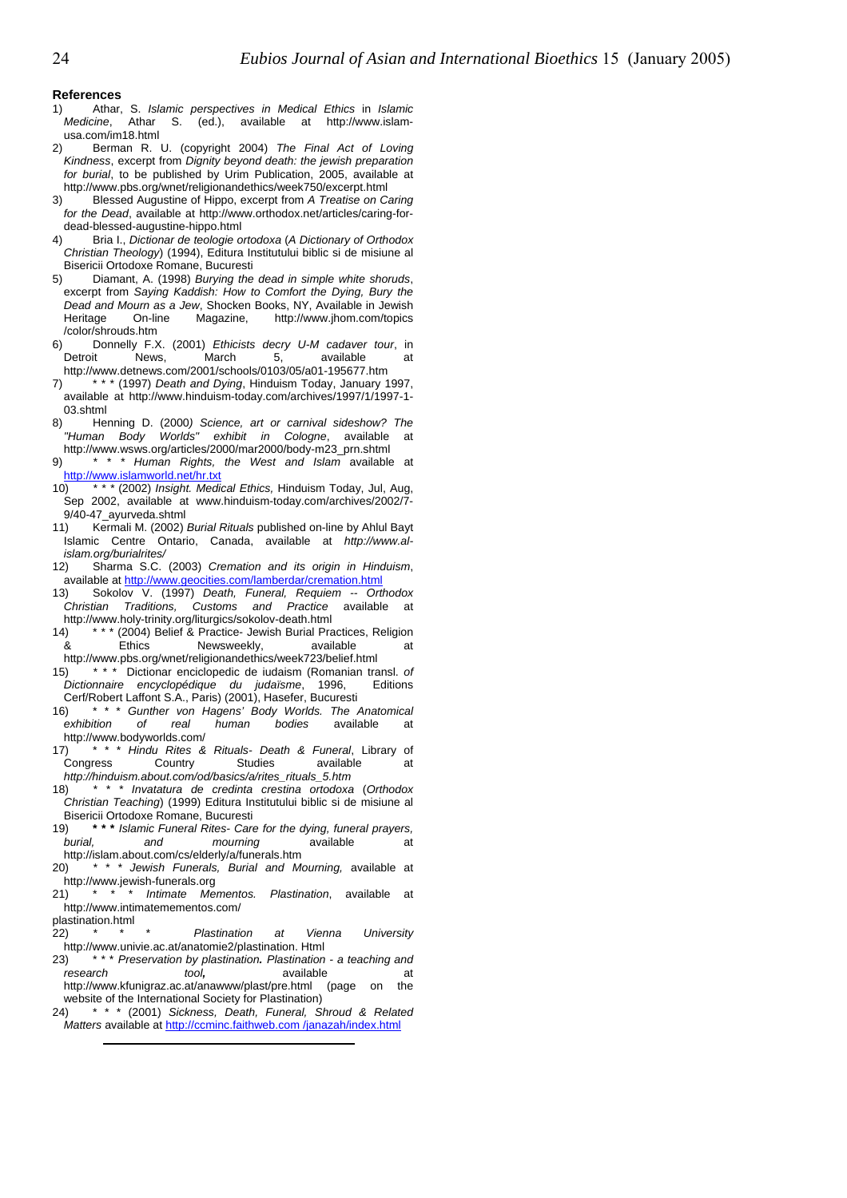#### **References**

- 1) Atha<br>Medicine. Athar, S. *Islamic perspectives in Medical Ethics* in *Islamic Medicine*, Athar S. (ed.), available at http://www.islamusa.com/im18.html
- 2) Berman R. U. (copyright 2004) *The Final Act of Loving Kindness*, excerpt from *Dignity beyond death: the jewish preparation for burial*, to be published by Urim Publication, 2005, available at http://www.pbs.org/wnet/religionandethics/week750/excerpt.html
- 3) Blessed Augustine of Hippo, excerpt from *A Treatise on Caring for the Dead*, available at http://www.orthodox.net/articles/caring-fordead-blessed-augustine-hippo.html
- 4) Bria I., *Dictionar de teologie ortodoxa* (*A Dictionary of Orthodox Christian Theology*) (1994), Editura Institutului biblic si de misiune al Bisericii Ortodoxe Romane, Bucuresti
- 5) Diamant, A. (1998) *Burying the dead in simple white shoruds*, excerpt from *Saying Kaddish: How to Comfort the Dying, Bury the Dead and Mourn as a Jew*, Shocken Books, NY, Available in Jewish Heritage On-line Magazine, http://www.jhom.com/topics /color/shrouds.htm
- 6) Donnelly F.X. (2001) *Ethicists decry U-M cadaver tour*, in Detroit News, March 5, available at http://www.detnews.com/2001/schools/0103/05/a01-195677.htm
- 7) \* \* \* (1997) *Death and Dying*, Hinduism Today, January 1997, available at http://www.hinduism-today.com/archives/1997/1/1997-1- 03.shtml
- 8) Henning D. (2000*) Science, art or carnival sideshow? The "Human Body Worlds" exhibit in Cologne*, available at http://www.wsws.org/articles/2000/mar2000/body-m23\_prn.shtml
- 9) *\* \* \* Human Rights, the West and Islam* available at <http://www.islamworld.net/hr.txt>
- 10) *\* \* \** (2002) *Insight. Medical Ethics,* Hinduism Today, Jul, Aug, Sep 2002, available at www.hinduism-today.com/archives/2002/7- 9/40-47\_ayurveda.shtml
- 11) Kermali M. (2002) *Burial Rituals* published on-line by Ahlul Bayt Islamic Centre Ontario, Canada, available at *http://www.alislam.org/burialrites/*
- 12) Sharma S.C. (2003) *Cremation and its origin in Hinduism*, available at<http://www.geocities.com/lamberdar/cremation.html>
- 13) Sokolov V. (1997) *Death, Funeral, Requiem -- Orthodox Christian Traditions, Customs and Practice* available at http://www.holy-trinity.org/liturgics/sokolov-death.html
- 14) \* \* \* (2004) Belief & Practice- Jewish Burial Practices, Religion & Ethics Newsweekly, available at http://www.pbs.org/wnet/religionandethics/week723/belief.html
- 15) *\* \* \** Dictionar enciclopedic de iudaism (Romanian transl. *of Dictionnaire encyclopédique du judaïsme*, 1996, Editions Cerf/Robert Laffont S.A., Paris) (2001), Hasefer, Bucuresti
- 16) \* \* \* *Gunther von Hagens' Body Worlds. The Anatomical exhibition of real human bodies* available at http://www.bodyworlds.com/
- 17) \* \* \* *Hindu Rites & Rituals- Death & Funeral*, Library of Congress Country Studies available at *http://hinduism.about.com/od/basics/a/rites\_rituals\_5.htm*
- 18) *\* \* \* Invatatura de credinta crestina ortodoxa* (*Orthodox Christian Teaching*) (1999) Editura Institutului biblic si de misiune al Bisericii Ortodoxe Romane, Bucuresti
- 19) **\* \* \*** *Islamic Funeral Rites- Care for the dying, funeral prayers, burial, and mourning* available at http://islam.about.com/cs/elderly/a/funerals.htm
- 20) *\* \* \* Jewish Funerals, Burial and Mourning,* available at http://www.jewish-funerals.org
- 21) \* \* \* *Intimate Mementos. Plastination*, available at http://www.intimatemementos.com/

plastination.html

- 22) *\* \* \* Plastination at Vienna University* http://www.univie.ac.at/anatomie2/plastination. Html
- 23) \* \* \* *Preservation by plastination. Plastination - a teaching and*  research tool, available at http://www.kfunigraz.ac.at/anawww/plast/pre.html (page on the website of the International Society for Plastination)
- $24)$ \* \* \* (2001) *Sickness, Death, Funeral, Shroud & Related Matters* available at [http://ccminc.faithweb.com /janazah/index.html](http://ccminc.faithweb.com/janazah/index.html)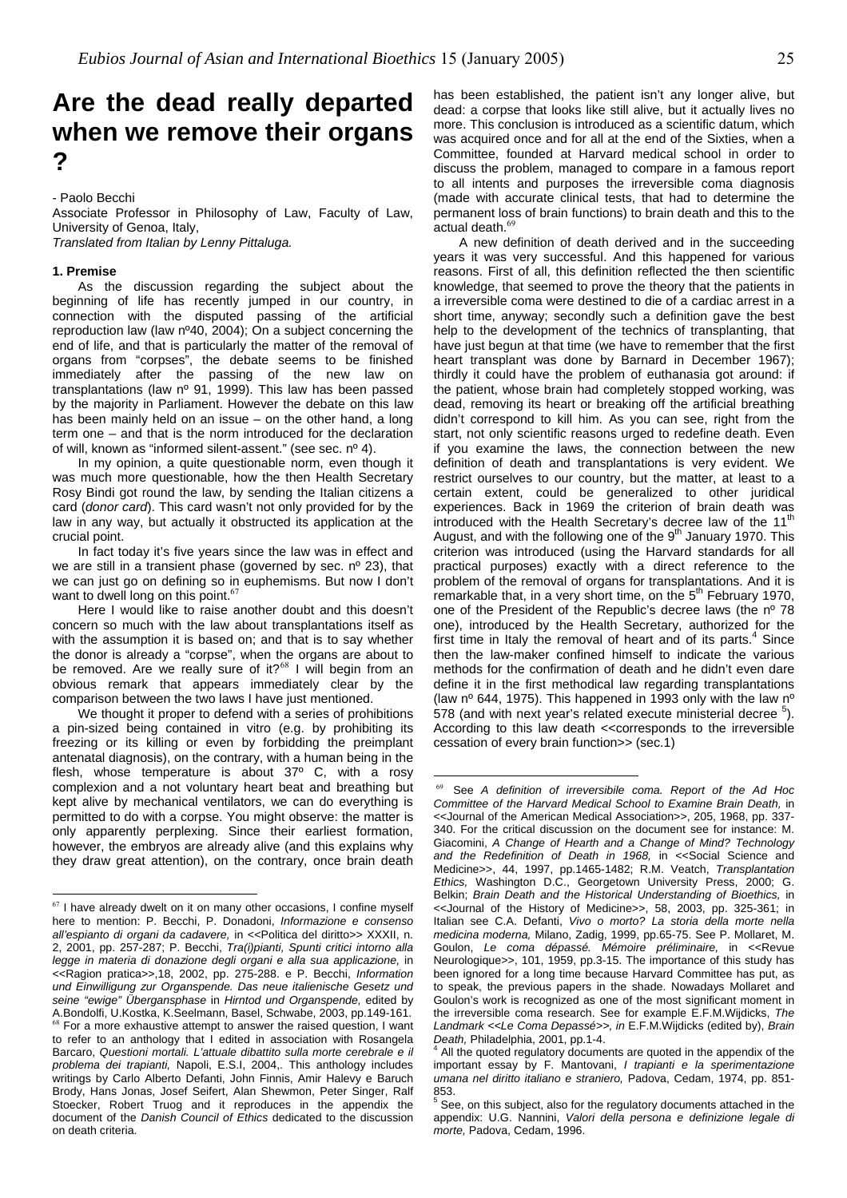## **Are the dead really departed when we remove their organs ?**

- Paolo Becchi

Associate Professor in Philosophy of Law, Faculty of Law, University of Genoa, Italy, *Translated from Italian by Lenny Pittaluga.* 

#### **1. Premise**

 $\overline{a}$ 

As the discussion regarding the subject about the beginning of life has recently jumped in our country, in connection with the disputed passing of the artificial reproduction law (law nº40, 2004); On a subject concerning the end of life, and that is particularly the matter of the removal of organs from "corpses", the debate seems to be finished immediately after the passing of the new law on transplantations (law nº 91, 1999). This law has been passed by the majority in Parliament. However the debate on this law has been mainly held on an issue – on the other hand, a long term one – and that is the norm introduced for the declaration of will, known as "informed silent-assent." (see sec. nº 4).

In my opinion, a quite questionable norm, even though it was much more questionable, how the then Health Secretary Rosy Bindi got round the law, by sending the Italian citizens a card (*donor card*). This card wasn't not only provided for by the law in any way, but actually it obstructed its application at the crucial point.

In fact today it's five years since the law was in effect and we are still in a transient phase (governed by sec. nº 23), that we can just go on defining so in euphemisms. But now I don't want to dwell long on this point.<sup>[67](#page-24-0)</sup>

Here I would like to raise another doubt and this doesn't concern so much with the law about transplantations itself as with the assumption it is based on; and that is to say whether the donor is already a "corpse", when the organs are about to be removed. Are we really sure of it?<sup>[68](#page-24-1)</sup> I will begin from an obvious remark that appears immediately clear by the comparison between the two laws I have just mentioned.

We thought it proper to defend with a series of prohibitions a pin-sized being contained in vitro (e.g. by prohibiting its freezing or its killing or even by forbidding the preimplant antenatal diagnosis), on the contrary, with a human being in the flesh, whose temperature is about 37° C, with a rosy complexion and a not voluntary heart beat and breathing but kept alive by mechanical ventilators, we can do everything is permitted to do with a corpse. You might observe: the matter is only apparently perplexing. Since their earliest formation, however, the embryos are already alive (and this explains why they draw great attention), on the contrary, once brain death

 $\overline{a}$ 

has been established, the patient isn't any longer alive, but dead: a corpse that looks like still alive, but it actually lives no more. This conclusion is introduced as a scientific datum, which was acquired once and for all at the end of the Sixties, when a Committee, founded at Harvard medical school in order to discuss the problem, managed to compare in a famous report to all intents and purposes the irreversible coma diagnosis (made with accurate clinical tests, that had to determine the permanent loss of brain functions) to brain death and this to the actual death.<sup>[69](#page-24-2)</sup>

A new definition of death derived and in the succeeding years it was very successful. And this happened for various reasons. First of all, this definition reflected the then scientific knowledge, that seemed to prove the theory that the patients in a irreversible coma were destined to die of a cardiac arrest in a short time, anyway; secondly such a definition gave the best help to the development of the technics of transplanting, that have just begun at that time (we have to remember that the first heart transplant was done by Barnard in December 1967); thirdly it could have the problem of euthanasia got around: if the patient, whose brain had completely stopped working, was dead, removing its heart or breaking off the artificial breathing didn't correspond to kill him. As you can see, right from the start, not only scientific reasons urged to redefine death. Even if you examine the laws, the connection between the new definition of death and transplantations is very evident. We restrict ourselves to our country, but the matter, at least to a certain extent, could be generalized to other juridical experiences. Back in 1969 the criterion of brain death was introduced with the Health Secretary's decree law of the 11<sup>th</sup> August, and with the following one of the 9<sup>th</sup> January 1970. This criterion was introduced (using the Harvard standards for all practical purposes) exactly with a direct reference to the problem of the removal of organs for transplantations. And it is remarkable that, in a very short time, on the  $5<sup>th</sup>$  February 1970, one of the President of the Republic's decree laws (the nº 78 one), introduced by the Health Secretary, authorized for the first time in Italy the removal of heart and of its parts. $4$  Since then the law-maker confined himself to indicate the various methods for the confirmation of death and he didn't even dare define it in the first methodical law regarding transplantations (law  $n^{\circ}$  644, 1975). This happened in 1993 only with the law  $n^{\circ}$ 578 (and with next year's related execute ministerial decree  $5$ [\)](#page-24-4). According to this law death << corresponds to the irreversible cessation of every brain function>> (sec.1)

<span id="page-24-1"></span><span id="page-24-0"></span> $67$  I have already dwelt on it on many other occasions, I confine myself here to mention: P. Becchi, P. Donadoni, *Informazione e consenso all'espianto di organi da cadavere,* in <<Politica del diritto>> XXXII, n. 2, 2001, pp. 257-287; P. Becchi, *Tra(i)pianti, Spunti critici intorno alla*  legge in materia di donazione degli organi e alla sua applicazione, in <<Ragion pratica>>,18, 2002, pp. 275-288. e P. Becchi, *Information und Einwilligung zur Organspende. Das neue italienische Gesetz und seine "ewige" Übergansphase* in *Hirntod und Organspende,* edited by A.Bondolfi, U.Kostka, K.Seelmann, Basel, Schwabe, 2003, pp.149-161.  $68$  For a more exhaustive attempt to answer the raised question, I want to refer to an anthology that I edited in association with Rosangela Barcaro, *Questioni mortali. L'attuale dibattito sulla morte cerebrale e il problema dei trapianti,* Napoli, E.S.I, 2004,. This anthology includes writings by Carlo Alberto Defanti, John Finnis, Amir Halevy e Baruch Brody, Hans Jonas, Josef Seifert, Alan Shewmon, Peter Singer, Ralf Stoecker, Robert Truog and it reproduces in the appendix the document of the *Danish Council of Ethics* dedicated to the discussion on death criteria.

<span id="page-24-2"></span><sup>69</sup> See *A definition of irreversibile coma. Report of the Ad Hoc Committee of the Harvard Medical School to Examine Brain Death,* in <<Journal of the American Medical Association>>, 205, 1968, pp. 337- 340. For the critical discussion on the document see for instance: M. Giacomini, *A Change of Hearth and a Change of Mind? Technology and the Redefinition of Death in 1968,* in <<Social Science and Medicine>>, 44, 1997, pp.1465-1482; R.M. Veatch, *Transplantation Ethics,* Washington D.C., Georgetown University Press, 2000; G. Belkin; *Brain Death and the Historical Understanding of Bioethics,* in <<Journal of the History of Medicine>>, 58, 2003, pp. 325-361; in Italian see C.A. Defanti, *Vivo o morto? La storia della morte nella medicina moderna,* Milano, Zadig, 1999, pp.65-75. See P. Mollaret, M. Goulon, *Le coma dépassé. Mémoire préliminaire,* in <<Revue Neurologique>>, 101, 1959, pp.3-15. The importance of this study has been ignored for a long time because Harvard Committee has put, as to speak, the previous papers in the shade. Nowadays Mollaret and Goulon's work is recognized as one of the most significant moment in the irreversible coma research. See for example E.F.M.Wijdicks, *The Landmark <<Le Coma Depassé>>, in* E.F.M.Wijdicks (edited by), *Brain Death,* Philadelphia, 2001, pp.1-4.

<span id="page-24-3"></span><sup>&</sup>lt;sup>4</sup> All the quoted regulatory documents are quoted in the appendix of the important essay by F. Mantovani, *I trapianti e la sperimentazione umana nel diritto italiano e straniero,* Padova, Cedam, 1974, pp. 851- 853.

<span id="page-24-4"></span> $5$  See, on this subject, also for the regulatory documents attached in the appendix: U.G. Nannini, *Valori della persona e definizione legale di morte,* Padova, Cedam, 1996.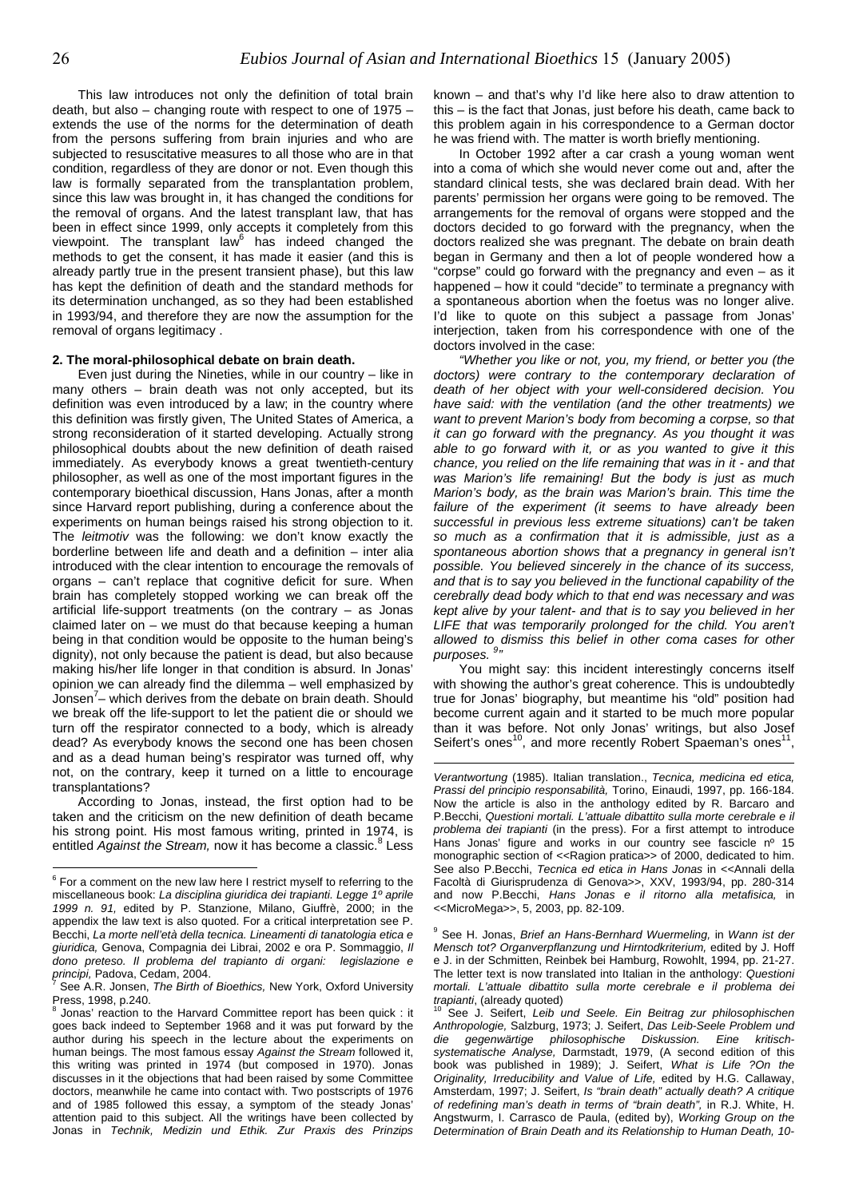This law introduces not only the definition of total brain death, but also – changing route with respect to one of 1975 – extends the use of the norms for the determination of death from the persons suffering from brain injuries and who are subjected to resuscitative measures to all those who are in that condition, regardless of they are donor or not. Even though this law is formally separated from the transplantation problem, since this law was brought in, it has changed the conditions for the removal of organs. And the latest transplant law, that has been in effect since 1999, only accepts it completely from this viewpoint. The transplant law<sup>[6](#page-25-0)</sup> has indeed changed the methods to get the consent, it has made it easier (and this is already partly true in the present transient phase), but this law has kept the definition of death and the standard methods for its determination unchanged, as so they had been established in 1993/94, and therefore they are now the assumption for the removal of organs legitimacy .

Even just during the Nineties, while in our country – like in many others – brain death was not only accepted, but its definition was even introduced by a law; in the country where this definition was firstly given, The United States of America, a strong reconsideration of it started developing. Actually strong philosophical doubts about the new definition of death raised immediately. As everybody knows a great twentieth-century philosopher, as well as one of the most important figures in the contemporary bioethical discussion, Hans Jonas, after a month since Harvard report publishing, during a conference about the experiments on human beings raised his strong objection to it. The *leitmotiv* was the following: we don't know exactly the borderline between life and death and a definition – inter alia introduced with the clear intention to encourage the removals of organs – can't replace that cognitive deficit for sure. When brain has completely stopped working we can break off the artificial life-support treatments (on the contrary – as Jonas claimed later on – we must do that because keeping a human being in that condition would be opposite to the human being's dignity), not only because the patient is dead, but also because making his/her life longer in that condition is absurd. In Jonas' opinion we can already find the dilemma – well emphasized by Jonsen<sup>7</sup> [–](#page-25-1) which derives from the debate on brain death. Should we break off the life-support to let the patient die or should we turn off the respirator connected to a body, which is already dead? As everybody knows the second one has been chosen and as a dead human being's respirator was turned off, why not, on the contrary, keep it turned on a little to encourage transplantations?

According to Jonas, instead, the first option had to be taken and the criticism on the new definition of death became his strong point. His most famous writing, printed in 1974, is entitledAgainst the Stream, now it has become a classic.<sup>8</sup> Less

known – and that's why I'd like here also to draw attention to this – is the fact that Jonas, just before his death, came back to this problem again in his correspondence to a German doctor he was friend with. The matter is worth briefly mentioning.

In October 1992 after a car crash a young woman went into a coma of which she would never come out and, after the standard clinical tests, she was declared brain dead. With her parents' permission her organs were going to be removed. The arrangements for the removal of organs were stopped and the doctors decided to go forward with the pregnancy, when the doctors realized she was pregnant. The debate on brain death began in Germany and then a lot of people wondered how a "corpse" could go forward with the pregnancy and even – as it happened – how it could "decide" to terminate a pregnancy with a spontaneous abortion when the foetus was no longer alive. I'd like to quote on this subject a passage from Jonas' interjection, taken from his correspondence with one of the doctors involved in the case:

**2. The moral-philosophical debate on brain death.** *"Whether you like or not, you, my friend, or better you (the doctors) were contrary to the contemporary declaration of death of her object with your well-considered decision. You have said: with the ventilation (and the other treatments) we want to prevent Marion's body from becoming a corpse, so that it can go forward with the pregnancy. As you thought it was able to go forward with it, or as you wanted to give it this chance, you relied on the life remaining that was in it - and that was Marion's life remaining! But the body is just as much Marion's body, as the brain was Marion's brain. This time the failure of the experiment (it seems to have already been successful in previous less extreme situations) can't be taken so much as a confirmation that it is admissible, just as a spontaneous abortion shows that a pregnancy in general isn't possible. You believed sincerely in the chance of its success, and that is to say you believed in the functional capability of the cerebrally dead body which to that end was necessary and was kept alive by your talent- and that is to say you believed in her LIFE that was temporarily prolonged for the child. You aren't allowed to dismiss this belief in other coma cases for other purposes. [9](#page-25-3) "* 

> You might say: this incident interestingly concerns itself with showing the author's great coherence. This is undoubtedly true for Jonas' biography, but meantime his "old" position had become current again and it started to be much more popular than it was before. Not only Jonas' writings, but also Josef Seifert's ones<sup>10</sup>, and more recently Robert Spaeman's ones<sup>11</sup>,

 $\overline{a}$ 

<span id="page-25-5"></span><span id="page-25-0"></span> $\frac{6}{10}$  For a comment on the new law here I restrict myself to referring to the miscellaneous book: *La disciplina giuridica dei trapianti. Legge 1º aprile 1999 n. 91,* edited by P. Stanzione, Milano, Giuffrè, 2000; in the appendix the law text is also quoted. For a critical interpretation see P. Becchi, *La morte nell'età della tecnica. Lineamenti di tanatologia etica e giuridica,* Genova, Compagnia dei Librai, 2002 e ora P. Sommaggio, *Il dono preteso. Il problema del trapianto di organi: legislazione e principi,* Padova, Cedam, 2004. 7

<span id="page-25-1"></span>See A.R. Jonsen, *The Birth of Bioethics,* New York, Oxford University Press, 1998, p.240. 8

<span id="page-25-2"></span>Jonas' reaction to the Harvard Committee report has been quick : it goes back indeed to September 1968 and it was put forward by the author during his speech in the lecture about the experiments on human beings. The most famous essay *Against the Stream* followed it, this writing was printed in 1974 (but composed in 1970). Jonas discusses in it the objections that had been raised by some Committee doctors, meanwhile he came into contact with. Two postscripts of 1976 and of 1985 followed this essay, a symptom of the steady Jonas' attention paid to this subject. All the writings have been collected by Jonas in *Technik, Medizin und Ethik. Zur Praxis des Prinzips*

*Verantwortung* (1985). Italian translation., *Tecnica, medicina ed etica, Prassi del principio responsabilità,* Torino, Einaudi, 1997, pp. 166-184. Now the article is also in the anthology edited by R. Barcaro and P.Becchi, *Questioni mortali. L'attuale dibattito sulla morte cerebrale e il problema dei trapianti* (in the press). For a first attempt to introduce Hans Jonas' figure and works in our country see fascicle nº 15 monographic section of <<Ragion pratica>> of 2000, dedicated to him. See also P.Becchi, *Tecnica ed etica in Hans Jonas* in <<Annali della Facoltà di Giurisprudenza di Genova>>, XXV, 1993/94, pp. 280-314 and now P.Becchi, *Hans Jonas e il ritorno alla metafisica,* in <<MicroMega>>, 5, 2003, pp. 82-109.

<span id="page-25-3"></span><sup>9</sup> See H. Jonas, *Brief an Hans-Bernhard Wuermeling,* in *Wann ist der Mensch tot? Organverpflanzung und Hirntodkriterium,* edited by J. Hoff e J. in der Schmitten, Reinbek bei Hamburg, Rowohlt, 1994, pp. 21-27. The letter text is now translated into Italian in the anthology: *Questioni mortali. L'attuale dibattito sulla morte cerebrale e il problema dei* 

<span id="page-25-4"></span>*trapianti*, (already quoted) 10 See J. Seifert, *Leib und Seele. Ein Beitrag zur philosophischen Anthropologie,* Salzburg, 1973; J. Seifert, *Das Leib-Seele Problem und die gegenwärtige philosophische Diskussion. Eine kritischsystematische Analyse,* Darmstadt, 1979, (A second edition of this book was published in 1989); J. Seifert, *What is Life ?On the Originality, Irreducibility and Value of Life,* edited by H.G. Callaway, Amsterdam, 1997; J. Seifert, *Is "brain death" actually death? A critique of redefining man's death in terms of "brain death",* in R.J. White, H. Angstwurm, I. Carrasco de Paula, (edited by), *Working Group on the Determination of Brain Death and its Relationship to Human Death, 10-*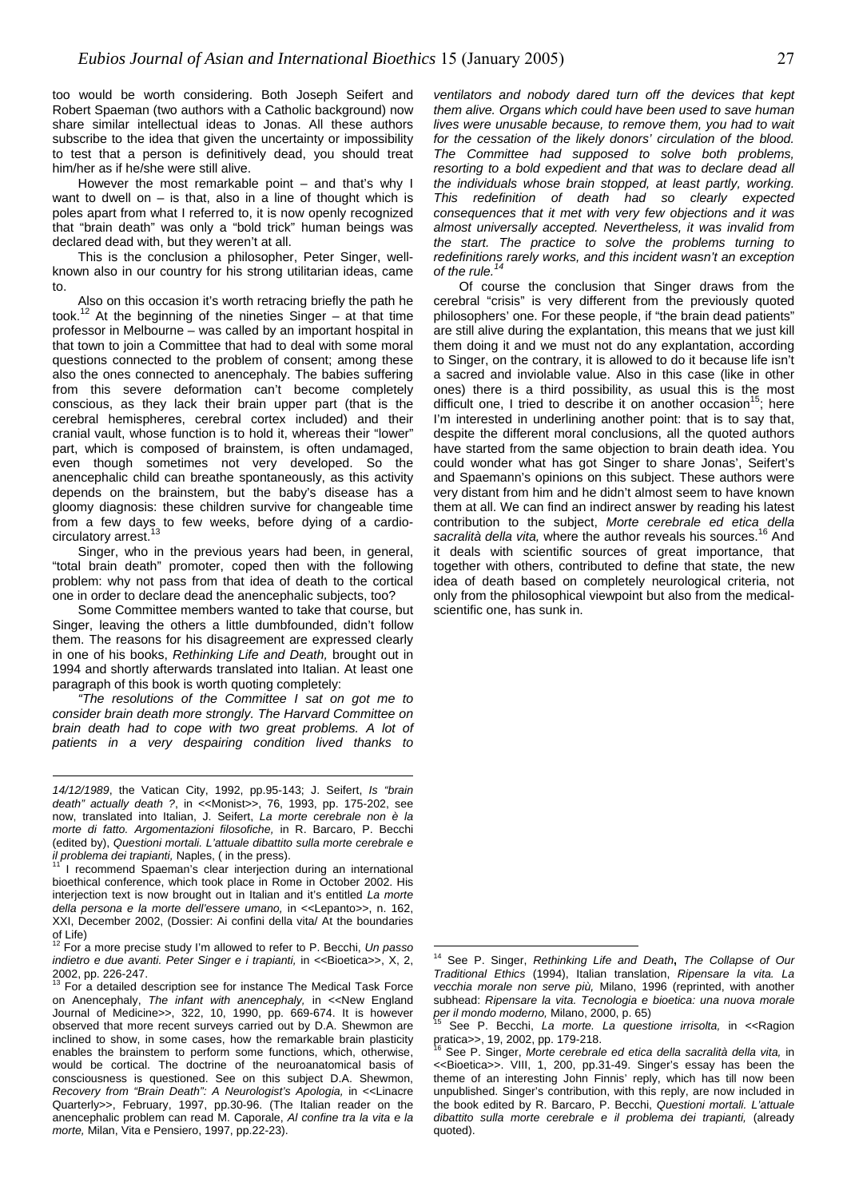too would be worth considering. Both Joseph Seifert and Robert Spaeman (two authors with a Catholic background) now share similar intellectual ideas to Jonas. All these authors subscribe to the idea that given the uncertainty or impossibility to test that a person is definitively dead, you should treat him/her as if he/she were still alive.

However the most remarkable point – and that's why I want to dwell on  $-$  is that, also in a line of thought which is poles apart from what I referred to, it is now openly recognized that "brain death" was only a "bold trick" human beings was declared dead with, but they weren't at all.

This is the conclusion a philosopher, Peter Singer, wellknown also in our country for his strong utilitarian ideas, came

Also on this occasion it's worth retracing briefly the path he took.<sup>12</sup> At the beginning of the nineties Singer – at that time professor in Melbourne – was called by an important hospital in that town to join a Committee that had to deal with some moral questions connected to the problem of consent; among these also the ones connected to anencephaly. The babies suffering from this severe deformation can't become completely conscious, as they lack their brain upper part (that is the cerebral hemispheres, cerebral cortex included) and their cranial vault, whose function is to hold it, whereas their "lower" part, which is composed of brainstem, is often undamaged, even though sometimes not very developed. So the anencephalic child can breathe spontaneously, as this activity depends on the brainstem, but the baby's disease has a gloomy diagnosis: these children survive for changeable time from a few days to few weeks, before dying of a cardiocirculatory arrest.

Singer, who in the previous years had been, in general, "total brain death" promoter, coped then with the following problem: why not pass from that idea of death to the cortical one in order to declare dead the anencephalic subjects, too?

Some Committee members wanted to take that course, but Singer, leaving the others a little dumbfounded, didn't follow them. The reasons for his disagreement are expressed clearly in one of his books, *Rethinking Life and Death,* brought out in 1994 and shortly afterwards translated into Italian. At least one paragraph of this book is worth quoting completely:

*"The resolutions of the Committee I sat on got me to consider brain death more strongly. The Harvard Committee on* brain death had to cope with two great problems. A lot of *patients in a very despairing condition lived thanks to* 

 $\overline{a}$ 

*ventilators and nobody dared turn off the devices that kept them alive. Organs which could have been used to save human lives were unusable because, to remove them, you had to wait for the cessation of the likely donors' circulation of the blood. The Committee had supposed to solve both problems, resorting to a bold expedient and that was to declare dead all the individuals whose brain stopped, at least partly, working. This redefinition of death had so clearly expected consequences that it met with very few objections and it was almost universally accepted. Nevertheless, it was invalid from the start. The practice to solve the problems turning to redefinitions rarely works, and this incident wasn't an exception of the rule.[14](#page-26-2)*

to. [Of cour](#page-26-2)se the conclusion that Singer draws from the cerebral "crisis" is very different from the previously quoted philosophers' one. For these people, if "the brain dead patients" are still alive during the explantation, this means that we just kill them doing it and we must not do any explantation, according to Singer, on the contrary, it is allowed to do it because life isn't a sacred and inviolable value. Also in this case (like in other ones) there is a third possibility, as usual this is the most difficult one, I tried to describe it on another occasion<sup>15</sup>; here I'm interested in underlining another point: that is to say that, despite the different moral conclusions, all the quoted authors have started from the same objection to brain death idea. You could wonder what has got Singer to share Jonas', Seifert's and Spaemann's opinions on this subject. These authors were very distant from him and he didn't almost seem to have known them at all. We can find an indirect answer by reading his latest contribution to the subject, *Morte cerebrale ed etica della* sacralità della vita, where the author reveals his sources.<sup>16</sup> And it deals with scientific sources of great importance, that together with others, contributed to define that state, the new idea of death based on completely neurological criteria, not only from the philosophical viewpoint but also from the medicalscientific one, has sunk in.

 $\overline{a}$ 

*<sup>14/12/1989</sup>*, the Vatican City, 1992, pp.95-143; J. Seifert, *Is "brain death" actually death ?*, in <<Monist>>, 76, 1993, pp. 175-202, see now, translated into Italian, J. Seifert, *La morte cerebrale non è la morte di fatto. Argomentazioni filosofiche,* in R. Barcaro, P. Becchi (edited by), *Questioni mortali. L'attuale dibattito sulla morte cerebrale e il problema dei trapianti*, Naples, ( in the press).<br><sup>11</sup> I recommend Spaeman's clear interjection during an international

bioethical conference, which took place in Rome in October 2002. His interjection text is now brought out in Italian and it's entitled *La morte della persona e la morte dell'essere umano,* in <<Lepanto>>, n. 162, XXI, December 2002, (Dossier: Ai confini della vita/ At the boundaries

<span id="page-26-0"></span>of Life) 12 For a more precise study I'm allowed to refer to P. Becchi, *Un passo indietro e due avanti. Peter Singer e i trapianti, in << Bioetica>>, X, 2,* 2002, pp. 226-247.<br><sup>13</sup> For a detailed description see for instance The Medical Task Force

<span id="page-26-1"></span>on Anencephaly, *The infant with anencephaly,* in <<New England Journal of Medicine>>, 322, 10, 1990, pp. 669-674. It is however observed that more recent surveys carried out by D.A. Shewmon are inclined to show, in some cases, how the remarkable brain plasticity enables the brainstem to perform some functions, which, otherwise, would be cortical. The doctrine of the neuroanatomical basis of consciousness is questioned. See on this subject D.A. Shewmon, *Recovery from "Brain Death": A Neurologist's Apologia,* in <<Linacre Quarterly>>, February, 1997, pp.30-96. (The Italian reader on the anencephalic problem can read M. Caporale, *Al confine tra la vita e la morte,* Milan, Vita e Pensiero, 1997, pp.22-23).

<span id="page-26-2"></span><sup>14</sup> See P. Singer, *Rethinking Life and Death***,** *The Collapse of Our Traditional Ethics* (1994), Italian translation, *Ripensare la vita. La vecchia morale non serve più,* Milano, 1996 (reprinted, with another subhead: *Ripensare la vita. Tecnologia e bioetica: una nuova morale per il mondo moderno,* Milano, 2000, p. 65)

<span id="page-26-3"></span><sup>&</sup>lt;sup>15</sup> See P. Becchi, *La morte. La questione irrisolta,* in <<Ragion pratica>>, 19, 2002, pp. 179-218.

<span id="page-26-4"></span>See P. Singer, Morte cerebrale ed etica della sacralità della vita, in <<Bioetica>>. VIII, 1, 200, pp.31-49. Singer's essay has been the theme of an interesting John Finnis' reply, which has till now been unpublished. Singer's contribution, with this reply, are now included in the book edited by R. Barcaro, P. Becchi, *Questioni mortali. L'attuale dibattito sulla morte cerebrale e il problema dei trapianti,* (already quoted).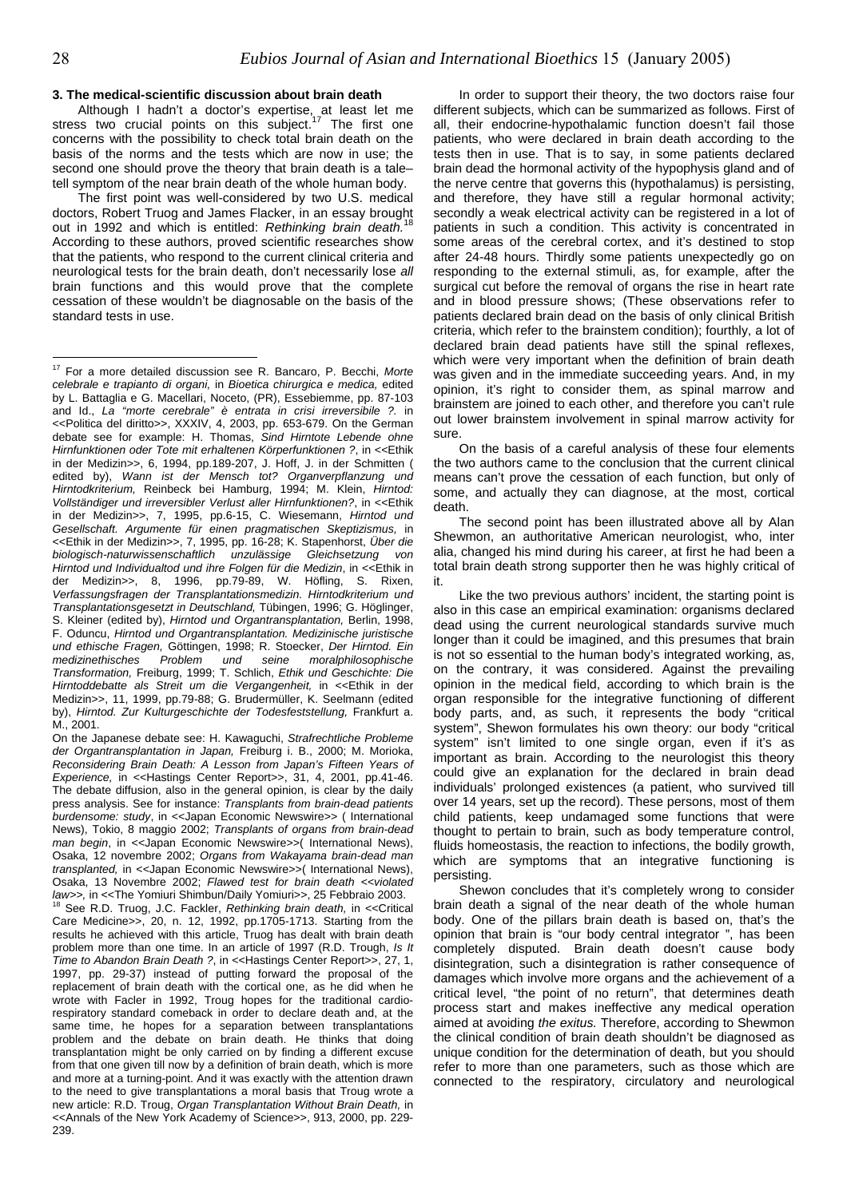$\overline{a}$ 

Although I hadn't a doctor's expertise, at least let me stress two crucial points on this subject.<sup>[17](#page-27-0)</sup> The first one concerns with the possibility to check total brain death on the basis of the norms and the tests which are now in use; the second one should prove the theory that brain death is a tale– tell symptom of the near brain death of the whole human body.

The first point was well-considered by two U.S. medical doctors, Robert Truog and James Flacker, in an essay brought out in 1992 and which is entitled: *Rethinking brain death.*<sup>18</sup> According to these authors, proved scientific researches show that the patients, who respond to the current clinical criteria and neurological tests for the brain death, don't necessarily lose *all* brain functions and this would prove that the complete cessation of these wouldn't be diagnosable on the basis of the standard tests in use.

18 See R.D. Truog, J.C. Fackler, *Rethinking brain death,* in <<Critical Care Medicine>>, 20, n. 12, 1992, pp.1705-1713. Starting from the results he achieved with this article, Truog has dealt with brain death problem more than one time. In an article of 1997 (R.D. Trough, *Is It Time to Abandon Brain Death ?*, in <<Hastings Center Report>>, 27, 1, 1997, pp. 29-37) instead of putting forward the proposal of the replacement of brain death with the cortical one, as he did when he wrote with Facler in 1992, Troug hopes for the traditional cardiorespiratory standard comeback in order to declare death and, at the same time, he hopes for a separation between transplantations problem and the debate on brain death. He thinks that doing transplantation might be only carried on by finding a different excuse from that one given till now by a definition of brain death, which is more and more at a turning-point. And it was exactly with the attention drawn to the need to give transplantations a moral basis that Troug wrote a new article: R.D. Troug, *Organ Transplantation Without Brain Death,* in <<Annals of the New York Academy of Science>>, 913, 2000, pp. 229- 239.

**3. The medical-scientific discussion about brain death** In order to support their theory, the two doctors raise four different subjects, which can be summarized as follows. First of all, their endocrine-hypothalamic function doesn't fail those patients, who were declared in brain death according to the tests then in use. That is to say, in some patients declared brain dead the hormonal activity of the hypophysis gland and of the nerve centre that governs this (hypothalamus) is persisting, and therefore, they have still a regular hormonal activity; secondly a weak electrical activity can be registered in a lot of patients in such a condition. This activity is concentrated in some areas of the cerebral cortex, and it's destined to stop after 24-48 hours. Thirdly some patients unexpectedly go on responding to the external stimuli, as, for example, after the surgical cut before the removal of organs the rise in heart rate and in blood pressure shows; (These observations refer to patients declared brain dead on the basis of only clinical British criteria, which refer to the brainstem condition); fourthly, a lot of declared brain dead patients have still the spinal reflexes, which were very important when the definition of brain death was given and in the immediate succeeding years. And, in my opinion, it's right to consider them, as spinal marrow and brainstem are joined to each other, and therefore you can't rule out lower brainstem involvement in spinal marrow activity for sure.

> On the basis of a careful analysis of these four elements the two authors came to the conclusion that the current clinical means can't prove the cessation of each function, but only of some, and actually they can diagnose, at the most, cortical death.

> The second point has been illustrated above all by Alan Shewmon, an authoritative American neurologist, who, inter alia, changed his mind during his career, at first he had been a total brain death strong supporter then he was highly critical of it.

> Like the two previous authors' incident, the starting point is also in this case an empirical examination: organisms declared dead using the current neurological standards survive much longer than it could be imagined, and this presumes that brain is not so essential to the human body's integrated working, as, on the contrary, it was considered. Against the prevailing opinion in the medical field, according to which brain is the organ responsible for the integrative functioning of different body parts, and, as such, it represents the body "critical system", Shewon formulates his own theory: our body "critical system" isn't limited to one single organ, even if it's as important as brain. According to the neurologist this theory could give an explanation for the declared in brain dead individuals' prolonged existences (a patient, who survived till over 14 years, set up the record). These persons, most of them child patients, keep undamaged some functions that were thought to pertain to brain, such as body temperature control, fluids homeostasis, the reaction to infections, the bodily growth, which are symptoms that an integrative functioning is persisting.

*law>>,* in <<The Yomiuri Shimbun/Daily Yomiuri>>, 25 Febbraio 2003. Shewon concludes that it's completely wrong to consider brain death a signal of the near death of the whole human body. One of the pillars brain death is based on, that's the opinion that brain is "our body central integrator ", has been completely disputed. Brain death doesn't cause body disintegration, such a disintegration is rather consequence of damages which involve more organs and the achievement of a critical level, "the point of no return", that determines death process start and makes ineffective any medical operation aimed at avoiding *the exitus.* Therefore, according to Shewmon the clinical condition of brain death shouldn't be diagnosed as unique condition for the determination of death, but you should refer to more than one parameters, such as those which are connected to the respiratory, circulatory and neurological

<span id="page-27-0"></span><sup>17</sup> For a more detailed discussion see R. Bancaro, P. Becchi, *Morte celebrale e trapianto di organi,* in *Bioetica chirurgica e medica,* edited by L. Battaglia e G. Macellari, Noceto, (PR), Essebiemme, pp. 87-103 and Id., *La "morte cerebrale" è entrata in crisi irreversibile ?.* in <<Politica del diritto>>, XXXIV, 4, 2003, pp. 653-679. On the German debate see for example: H. Thomas, *Sind Hirntote Lebende ohne Hirnfunktionen oder Tote mit erhaltenen Körperfunktionen ?*, in <<Ethik in der Medizin>>, 6, 1994, pp.189-207, J. Hoff, J. in der Schmitten ( edited by), *Wann ist der Mensch tot? Organverpflanzung und Hirntodkriterium,* Reinbeck bei Hamburg, 1994; M. Klein, *Hirntod: Vollständiger und irreversibler Verlust aller Hirnfunktionen?*, in <<Ethik in der Medizin>>, 7, 1995, pp.6-15, C. Wiesemann, *Hirntod und Gesellschaft. Argumente für einen pragmatischen Skeptizismus,* in <<Ethik in der Medizin>>, 7, 1995, pp. 16-28; K. Stapenhorst, *Über die biologisch-naturwissenschaftlich unzulässige Gleichsetzung von Hirntod und Individualtod und ihre Folgen für die Medizin*, in <<Ethik in der Medizin>>, 8, 1996, pp.79-89, W. Höfling, S. Rixen, *Verfassungsfragen der Transplantationsmedizin. Hirntodkriterium und Transplantationsgesetzt in Deutschland,* Tübingen, 1996; G. Höglinger, S. Kleiner (edited by), *Hirntod und Organtransplantation,* Berlin, 1998, F. Oduncu, *Hirntod und Organtransplantation. Medizinische juristische und ethische Fragen,* Göttingen, 1998; R. Stoecker, *Der Hirntod. Ein medizinethisches Problem und seine moralphilosophische Transformation,* Freiburg, 1999; T. Schlich, *Ethik und Geschichte: Die Hirntoddebatte als Streit um die Vergangenheit,* in <<Ethik in der Medizin>>, 11, 1999, pp.79-88; G. Brudermüller, K. Seelmann (edited by), *Hirntod. Zur Kulturgeschichte der Todesfeststellung,* Frankfurt a. M., 2001.

On the Japanese debate see: H. Kawaguchi, *Strafrechtliche Probleme der Organtransplantation in Japan,* Freiburg i. B., 2000; M. Morioka, *Reconsidering Brain Death: A Lesson from Japan's Fifteen Years of Experience,* in <<Hastings Center Report>>, 31, 4, 2001, pp.41-46. The debate diffusion, also in the general opinion, is clear by the daily press analysis. See for instance: *Transplants from brain-dead patients burdensome: study*, in <<Japan Economic Newswire>> ( International News), Tokio, 8 maggio 2002; *Transplants of organs from brain-dead man begin*, in << Japan Economic Newswire>>( International News), Osaka, 12 novembre 2002; *Organs from Wakayama brain-dead man transplanted, in << Japan Economic Newswire>>*( International News), Osaka, 13 Novembre 2002; *Flawed test for brain death <<violated*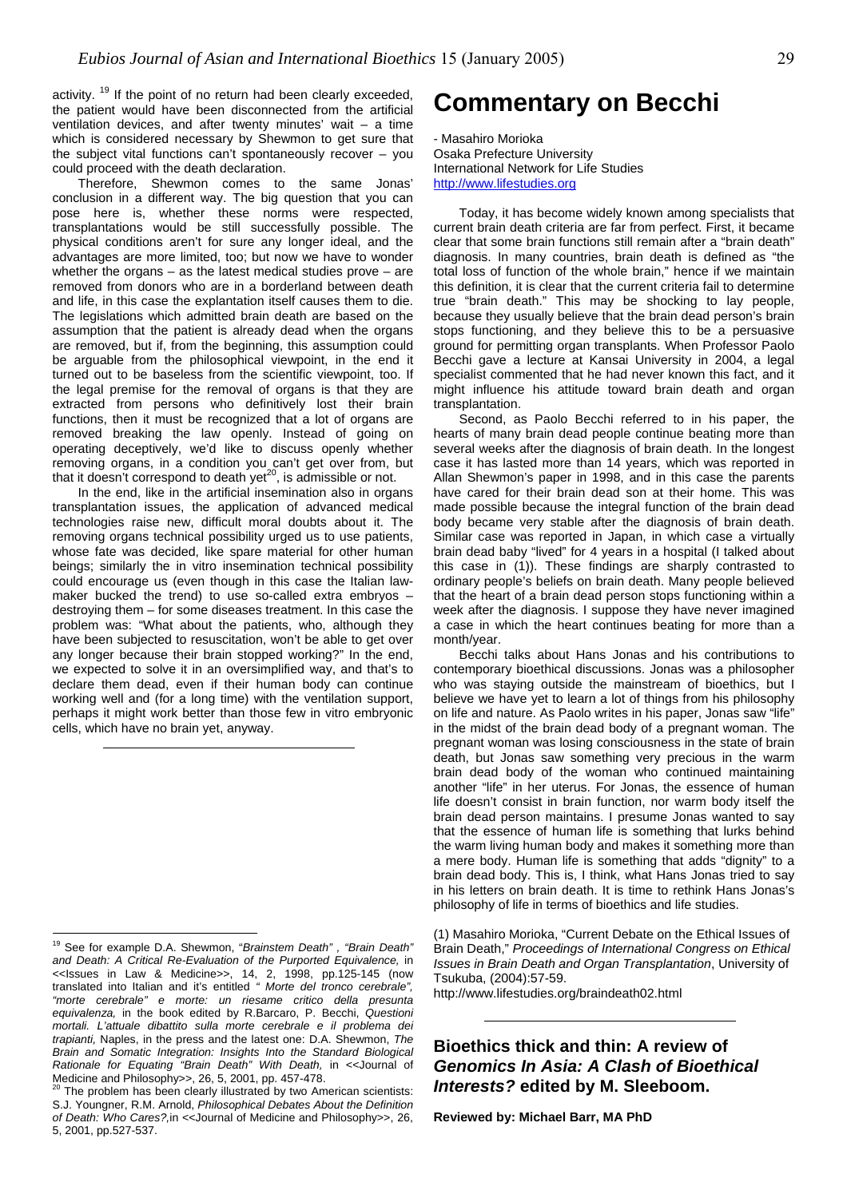activity.<sup>19</sup> If the point of no return had been clearly exceeded, the patient would have been disconnected from the artificial ventilation devices, and after twenty minutes' wait – a time which is considered necessary by Shewmon to get sure that the subject vital functions can't spontaneously recover – you could proceed with the death declaration.

Therefore, Shewmon comes to the same Jonas' <http://www.lifestudies.org> conclusion in a different way. The big question that you can pose here is, whether these norms were respected, transplantations would be still successfully possible. The physical conditions aren't for sure any longer ideal, and the advantages are more limited, too; but now we have to wonder whether the organs – as the latest medical studies prove – are removed from donors who are in a borderland between death and life, in this case the explantation itself causes them to die. The legislations which admitted brain death are based on the assumption that the patient is already dead when the organs are removed, but if, from the beginning, this assumption could be arguable from the philosophical viewpoint, in the end it turned out to be baseless from the scientific viewpoint, too. If the legal premise for the removal of organs is that they are extracted from persons who definitively lost their brain functions, then it must be recognized that a lot of organs are removed breaking the law openly. Instead of going on operating deceptively, we'd like to discuss openly whether removing organs, in a condition you can't get over from, but that it doesn't correspond to death yet<sup>20</sup>, is admissible or not.

In the end, like in the artificial insemination also in organs transplantation issues, the application of advanced medical technologies raise new, difficult moral doubts about it. The removing organs technical possibility urged us to use patients, whose fate was decided, like spare material for other human beings; similarly the in vitro insemination technical possibility could encourage us (even though in this case the Italian lawmaker bucked the trend) to use so-called extra embryos – destroying them – for some diseases treatment. In this case the problem was: "What about the patients, who, although they have been subjected to resuscitation, won't be able to get over any longer because their brain stopped working?" In the end, we expected to solve it in an oversimplified way, and that's to declare them dead, even if their human body can continue working well and (for a long time) with the ventilation support, perhaps it might work better than those few in vitro embryonic cells, which have no brain yet, anyway.

### **Commentary on Becchi**

- Masahiro Morioka Osaka Prefecture University International Network for Life Studies

Today, it has become widely known among specialists that current brain death criteria are far from perfect. First, it became clear that some brain functions still remain after a "brain death" diagnosis. In many countries, brain death is defined as "the total loss of function of the whole brain," hence if we maintain this definition, it is clear that the current criteria fail to determine true "brain death." This may be shocking to lay people, because they usually believe that the brain dead person's brain stops functioning, and they believe this to be a persuasive ground for permitting organ transplants. When Professor Paolo Becchi gave a lecture at Kansai University in 2004, a legal specialist commented that he had never known this fact, and it might influence his attitude toward brain death and organ transplantation.

Second, as Paolo Becchi referred to in his paper, the hearts of many brain dead people continue beating more than several weeks after the diagnosis of brain death. In the longest case it has lasted more than 14 years, which was reported in Allan Shewmon's paper in 1998, and in this case the parents have cared for their brain dead son at their home. This was made possible because the integral function of the brain dead body became very stable after the diagnosis of brain death. Similar case was reported in Japan, in which case a virtually brain dead baby "lived" for 4 years in a hospital (I talked about this case in (1)). These findings are sharply contrasted to ordinary people's beliefs on brain death. Many people believed that the heart of a brain dead person stops functioning within a week after the diagnosis. I suppose they have never imagined a case in which the heart continues beating for more than a month/year.

Becchi talks about Hans Jonas and his contributions to contemporary bioethical discussions. Jonas was a philosopher who was staying outside the mainstream of bioethics, but I believe we have yet to learn a lot of things from his philosophy on life and nature. As Paolo writes in his paper, Jonas saw "life" in the midst of the brain dead body of a pregnant woman. The pregnant woman was losing consciousness in the state of brain death, but Jonas saw something very precious in the warm brain dead body of the woman who continued maintaining another "life" in her uterus. For Jonas, the essence of human life doesn't consist in brain function, nor warm body itself the brain dead person maintains. I presume Jonas wanted to say that the essence of human life is something that lurks behind the warm living human body and makes it something more than a mere body. Human life is something that adds "dignity" to a brain dead body. This is, I think, what Hans Jonas tried to say in his letters on brain death. It is time to rethink Hans Jonas's philosophy of life in terms of bioethics and life studies.

 (1) Masahiro Morioka, "Current Debate on the Ethical Issues of Brain Death," *Proceedings of International Congress on Ethical Issues in Brain Death and Organ Transplantation*, University of Tsukuba, (2004):57-59.

http://www.lifestudies.org/braindeath02.html

**Bioethics thick and thin: A review of**  *Genomics In Asia: A Clash of Bioethical*  Medicine and Philosophy>>, 26, 5, 2001, pp. 457-476.<br><sup>20</sup> The problem has been clearly illustrated by two American scientists: **Interests? edited by M. Sleeboom.** 

**Reviewed by: Michael Barr, MA PhD** 

<span id="page-28-0"></span><sup>19</sup> See for example D.A. Shewmon, "*Brainstem Death" , "Brain Death" and Death: A Critical Re-Evaluation of the Purported Equivalence,* in <<Issues in Law & Medicine>>, 14, 2, 1998, pp.125-145 (now translated into Italian and it's entitled *" Morte del tronco cerebrale", "morte cerebrale" e morte: un riesame critico della presunta equivalenza,* in the book edited by R.Barcaro, P. Becchi, *Questioni mortali. L'attuale dibattito sulla morte cerebrale e il problema dei trapianti,* Naples, in the press and the latest one: D.A. Shewmon, *The Brain and Somatic Integration: Insights Into the Standard Biological Rationale for Equating "Brain Death" With Death,* in <<Journal of Medicine and Philosophy>>, 26, 5, 2001, pp. 457-478.

<span id="page-28-1"></span>S.J. Youngner, R.M. Arnold, *Philosophical Debates About the Definition of Death: Who Cares?,*in <<Journal of Medicine and Philosophy>>, 26, 5, 2001, pp.527-537.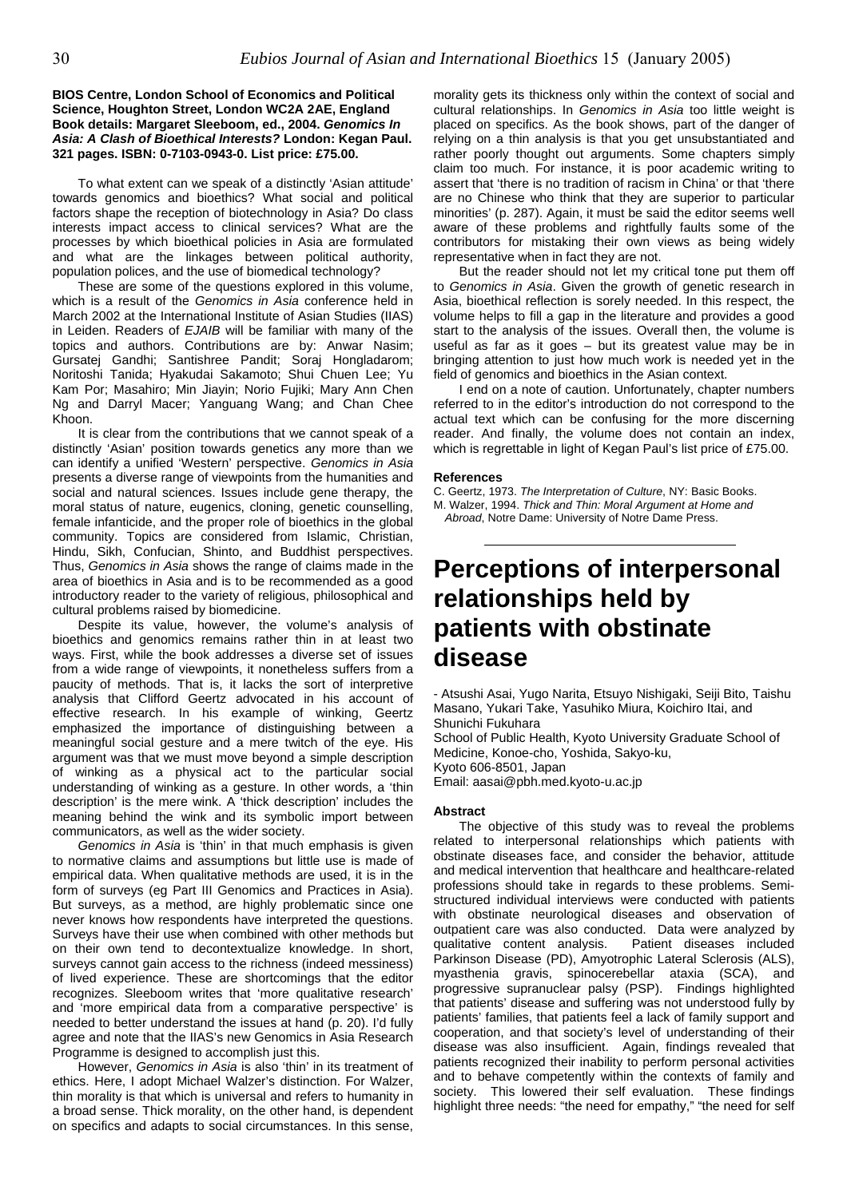#### **BIOS Centre, London School of Economics and Political Science, Houghton Street, London WC2A 2AE, England Book details: Margaret Sleeboom, ed., 2004.** *Genomics In Asia: A Clash of Bioethical Interests?* **London: Kegan Paul. 321 pages. ISBN: 0-7103-0943-0. List price: £75.00.**

To what extent can we speak of a distinctly 'Asian attitude' towards genomics and bioethics? What social and political factors shape the reception of biotechnology in Asia? Do class interests impact access to clinical services? What are the processes by which bioethical policies in Asia are formulated and what are the linkages between political authority, population polices, and the use of biomedical technology?

These are some of the questions explored in this volume, which is a result of the *Genomics in Asia* conference held in March 2002 at the International Institute of Asian Studies (IIAS) in Leiden. Readers of *EJAIB* will be familiar with many of the topics and authors. Contributions are by: Anwar Nasim; Gursatej Gandhi; Santishree Pandit; Soraj Hongladarom; Noritoshi Tanida; Hyakudai Sakamoto; Shui Chuen Lee; Yu Kam Por; Masahiro; Min Jiayin; Norio Fujiki; Mary Ann Chen Ng and Darryl Macer; Yanguang Wang; and Chan Chee Khoon.

It is clear from the contributions that we cannot speak of a distinctly 'Asian' position towards genetics any more than we can identify a unified 'Western' perspective. *Genomics in Asia* presents a diverse range of viewpoints from the humanities and social and natural sciences. Issues include gene therapy, the moral status of nature, eugenics, cloning, genetic counselling, female infanticide, and the proper role of bioethics in the global community. Topics are considered from Islamic, Christian, Hindu, Sikh, Confucian, Shinto, and Buddhist perspectives. Thus, *Genomics in Asia* shows the range of claims made in the area of bioethics in Asia and is to be recommended as a good introductory reader to the variety of religious, philosophical and cultural problems raised by biomedicine.

Despite its value, however, the volume's analysis of bioethics and genomics remains rather thin in at least two ways. First, while the book addresses a diverse set of issues from a wide range of viewpoints, it nonetheless suffers from a paucity of methods. That is, it lacks the sort of interpretive analysis that Clifford Geertz advocated in his account of effective research. In his example of winking, Geertz emphasized the importance of distinguishing between a meaningful social gesture and a mere twitch of the eye. His argument was that we must move beyond a simple description of winking as a physical act to the particular social understanding of winking as a gesture. In other words, a 'thin description' is the mere wink. A 'thick description' includes the meaning behind the wink and its symbolic import between communicators, as well as the wider society.

*Genomics in Asia* is 'thin' in that much emphasis is given to normative claims and assumptions but little use is made of empirical data. When qualitative methods are used, it is in the form of surveys (eg Part III Genomics and Practices in Asia). But surveys, as a method, are highly problematic since one never knows how respondents have interpreted the questions. Surveys have their use when combined with other methods but on their own tend to decontextualize knowledge. In short, surveys cannot gain access to the richness (indeed messiness) of lived experience. These are shortcomings that the editor recognizes. Sleeboom writes that 'more qualitative research' and 'more empirical data from a comparative perspective' is needed to better understand the issues at hand (p. 20). I'd fully agree and note that the IIAS's new Genomics in Asia Research Programme is designed to accomplish just this.

However, *Genomics in Asia* is also 'thin' in its treatment of ethics. Here, I adopt Michael Walzer's distinction. For Walzer, thin morality is that which is universal and refers to humanity in a broad sense. Thick morality, on the other hand, is dependent on specifics and adapts to social circumstances. In this sense,

morality gets its thickness only within the context of social and cultural relationships. In *Genomics in Asia* too little weight is placed on specifics. As the book shows, part of the danger of relying on a thin analysis is that you get unsubstantiated and rather poorly thought out arguments. Some chapters simply claim too much. For instance, it is poor academic writing to assert that 'there is no tradition of racism in China' or that 'there are no Chinese who think that they are superior to particular minorities' (p. 287). Again, it must be said the editor seems well aware of these problems and rightfully faults some of the contributors for mistaking their own views as being widely representative when in fact they are not.

But the reader should not let my critical tone put them off to *Genomics in Asia*. Given the growth of genetic research in Asia, bioethical reflection is sorely needed. In this respect, the volume helps to fill a gap in the literature and provides a good start to the analysis of the issues. Overall then, the volume is useful as far as it goes – but its greatest value may be in bringing attention to just how much work is needed yet in the field of genomics and bioethics in the Asian context.

I end on a note of caution. Unfortunately, chapter numbers referred to in the editor's introduction do not correspond to the actual text which can be confusing for the more discerning reader. And finally, the volume does not contain an index, which is regrettable in light of Kegan Paul's list price of £75.00.

#### **References**

C. Geertz, 1973. *The Interpretation of Culture*, NY: Basic Books. M. Walzer, 1994. *Thick and Thin: Moral Argument at Home and Abroad*, Notre Dame: University of Notre Dame Press.

## **Perceptions of interpersonal relationships held by patients with obstinate disease**

- Atsushi Asai, Yugo Narita, Etsuyo Nishigaki, Seiji Bito, Taishu Masano, Yukari Take, Yasuhiko Miura, Koichiro Itai, and Shunichi Fukuhara

School of Public Health, Kyoto University Graduate School of Medicine, Konoe-cho, Yoshida, Sakyo-ku, Kyoto 606-8501, Japan

Email: aasai@pbh.med.kyoto-u.ac.jp

#### **Abstract**

The objective of this study was to reveal the problems related to interpersonal relationships which patients with obstinate diseases face, and consider the behavior, attitude and medical intervention that healthcare and healthcare-related professions should take in regards to these problems. Semistructured individual interviews were conducted with patients with obstinate neurological diseases and observation of outpatient care was also conducted. Data were analyzed by qualitative content analysis. Patient diseases included Parkinson Disease (PD), Amyotrophic Lateral Sclerosis (ALS), myasthenia gravis, spinocerebellar ataxia (SCA), and progressive supranuclear palsy (PSP). Findings highlighted that patients' disease and suffering was not understood fully by patients' families, that patients feel a lack of family support and cooperation, and that society's level of understanding of their disease was also insufficient. Again, findings revealed that patients recognized their inability to perform personal activities and to behave competently within the contexts of family and society. This lowered their self evaluation. These findings highlight three needs: "the need for empathy," "the need for self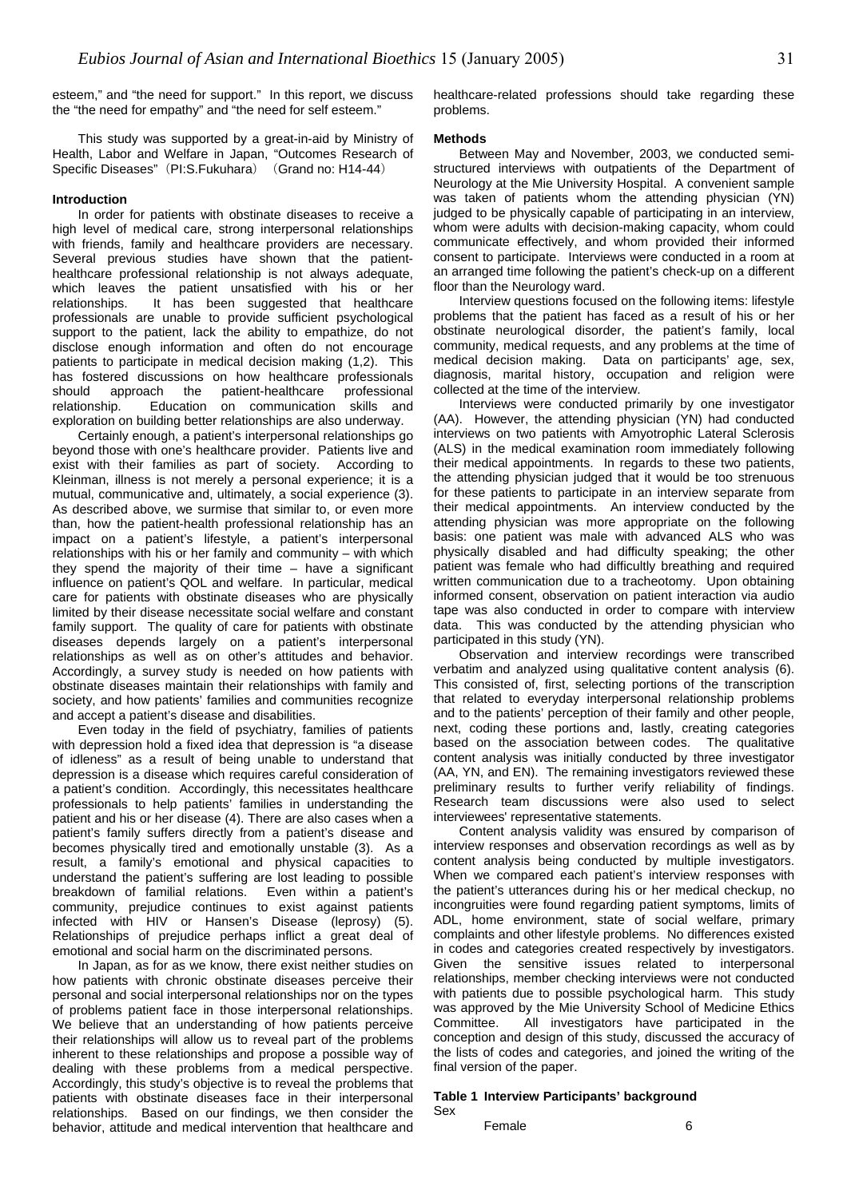esteem," and "the need for support." In this report, we discuss the "the need for empathy" and "the need for self esteem."

This study was supported by a great-in-aid by Ministry of Health, Labor and Welfare in Japan, "Outcomes Research of Specific Diseases" (PI:S.Fukuhara) (Grand no: H14-44)

#### **Introduction**

In order for patients with obstinate diseases to receive a high level of medical care, strong interpersonal relationships with friends, family and healthcare providers are necessary. Several previous studies have shown that the patienthealthcare professional relationship is not always adequate, which leaves the patient unsatisfied with his or her relationships. It has been suggested that healthcare professionals are unable to provide sufficient psychological support to the patient, lack the ability to empathize, do not disclose enough information and often do not encourage patients to participate in medical decision making (1,2). This has fostered discussions on how healthcare professionals should approach the patient-healthcare professional relationship. Education on communication skills and exploration on building better relationships are also underway.

Certainly enough, a patient's interpersonal relationships go beyond those with one's healthcare provider. Patients live and exist with their families as part of society. According to Kleinman, illness is not merely a personal experience; it is a mutual, communicative and, ultimately, a social experience (3). As described above, we surmise that similar to, or even more than, how the patient-health professional relationship has an impact on a patient's lifestyle, a patient's interpersonal relationships with his or her family and community – with which they spend the majority of their time – have a significant influence on patient's QOL and welfare. In particular, medical care for patients with obstinate diseases who are physically limited by their disease necessitate social welfare and constant family support. The quality of care for patients with obstinate diseases depends largely on a patient's interpersonal relationships as well as on other's attitudes and behavior. Accordingly, a survey study is needed on how patients with obstinate diseases maintain their relationships with family and society, and how patients' families and communities recognize and accept a patient's disease and disabilities.

Even today in the field of psychiatry, families of patients with depression hold a fixed idea that depression is "a disease of idleness" as a result of being unable to understand that depression is a disease which requires careful consideration of a patient's condition. Accordingly, this necessitates healthcare professionals to help patients' families in understanding the patient and his or her disease (4). There are also cases when a patient's family suffers directly from a patient's disease and becomes physically tired and emotionally unstable (3). As a result, a family's emotional and physical capacities to understand the patient's suffering are lost leading to possible breakdown of familial relations. Even within a patient's community, prejudice continues to exist against patients infected with HIV or Hansen's Disease (leprosy) (5). Relationships of prejudice perhaps inflict a great deal of emotional and social harm on the discriminated persons.

In Japan, as for as we know, there exist neither studies on how patients with chronic obstinate diseases perceive their personal and social interpersonal relationships nor on the types of problems patient face in those interpersonal relationships. We believe that an understanding of how patients perceive their relationships will allow us to reveal part of the problems inherent to these relationships and propose a possible way of dealing with these problems from a medical perspective. Accordingly, this study's objective is to reveal the problems that patients with obstinate diseases face in their interpersonal relationships. Based on our findings, we then consider the behavior, attitude and medical intervention that healthcare and

healthcare-related professions should take regarding these problems.

#### **Methods**

Between May and November, 2003, we conducted semistructured interviews with outpatients of the Department of Neurology at the Mie University Hospital. A convenient sample was taken of patients whom the attending physician (YN) judged to be physically capable of participating in an interview, whom were adults with decision-making capacity, whom could communicate effectively, and whom provided their informed consent to participate. Interviews were conducted in a room at an arranged time following the patient's check-up on a different floor than the Neurology ward.

Interview questions focused on the following items: lifestyle problems that the patient has faced as a result of his or her obstinate neurological disorder, the patient's family, local community, medical requests, and any problems at the time of medical decision making. Data on participants' age, sex, diagnosis, marital history, occupation and religion were collected at the time of the interview.

Interviews were conducted primarily by one investigator (AA). However, the attending physician (YN) had conducted interviews on two patients with Amyotrophic Lateral Sclerosis (ALS) in the medical examination room immediately following their medical appointments. In regards to these two patients, the attending physician judged that it would be too strenuous for these patients to participate in an interview separate from their medical appointments. An interview conducted by the attending physician was more appropriate on the following basis: one patient was male with advanced ALS who was physically disabled and had difficulty speaking; the other patient was female who had difficultly breathing and required written communication due to a tracheotomy. Upon obtaining informed consent, observation on patient interaction via audio tape was also conducted in order to compare with interview data. This was conducted by the attending physician who participated in this study (YN).

Observation and interview recordings were transcribed verbatim and analyzed using qualitative content analysis (6). This consisted of, first, selecting portions of the transcription that related to everyday interpersonal relationship problems and to the patients' perception of their family and other people, next, coding these portions and, lastly, creating categories based on the association between codes. The qualitative content analysis was initially conducted by three investigator (AA, YN, and EN). The remaining investigators reviewed these preliminary results to further verify reliability of findings. Research team discussions were also used to select interviewees' representative statements.

Content analysis validity was ensured by comparison of interview responses and observation recordings as well as by content analysis being conducted by multiple investigators. When we compared each patient's interview responses with the patient's utterances during his or her medical checkup, no incongruities were found regarding patient symptoms, limits of ADL, home environment, state of social welfare, primary complaints and other lifestyle problems. No differences existed in codes and categories created respectively by investigators. Given the sensitive issues related to interpersonal relationships, member checking interviews were not conducted with patients due to possible psychological harm. This study was approved by the Mie University School of Medicine Ethics Committee. All investigators have participated in the conception and design of this study, discussed the accuracy of the lists of codes and categories, and joined the writing of the final version of the paper.

#### **Table 1 Interview Participants' background**  Sex

Female 6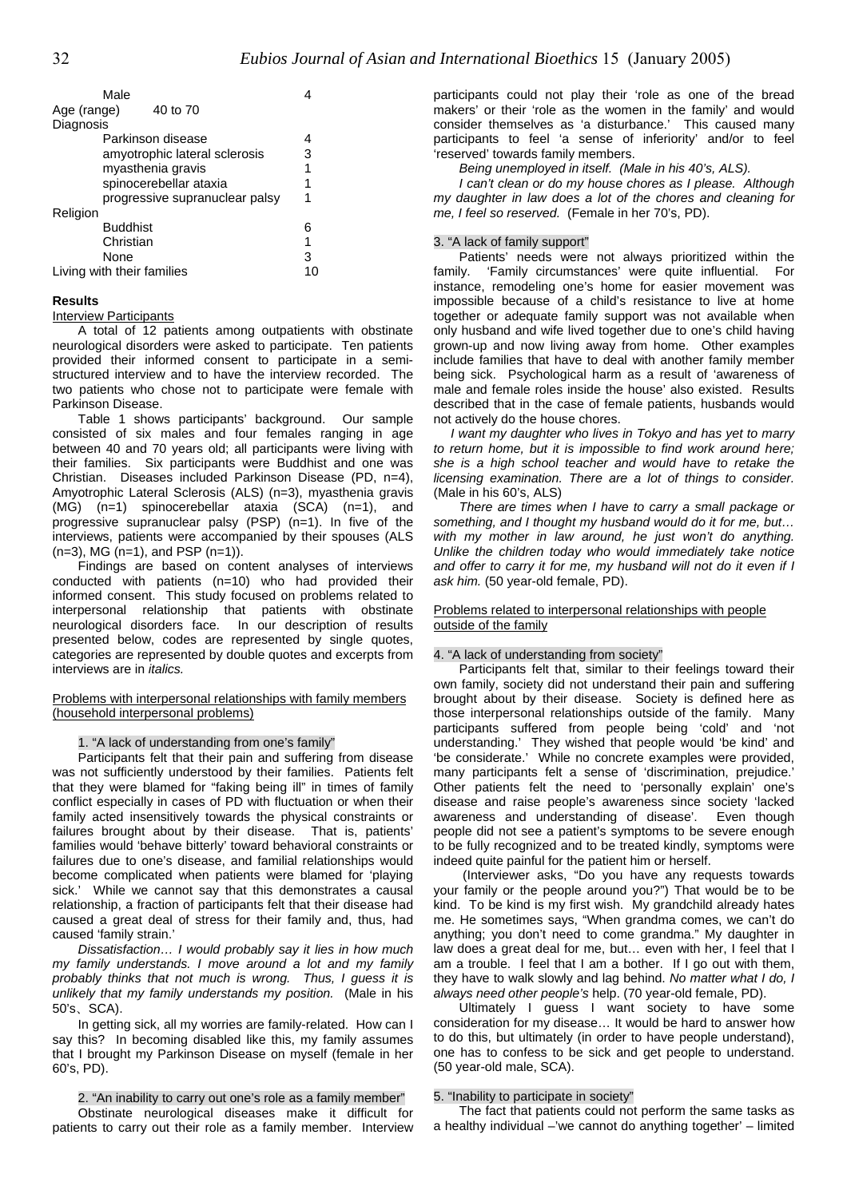| Male                           |    |
|--------------------------------|----|
| Age (range)<br>40 to 70        |    |
| Diagnosis                      |    |
| Parkinson disease              |    |
| amyotrophic lateral sclerosis  | 3  |
| myasthenia gravis              | 1  |
| spinocerebellar ataxia         | 1  |
| progressive supranuclear palsy | 1  |
| Religion                       |    |
| <b>Buddhist</b>                | 6  |
| Christian                      | 1  |
| None                           | 3  |
| Living with their families     | 10 |

#### **Results**

Interview Participants

A total of 12 patients among outpatients with obstinate neurological disorders were asked to participate. Ten patients provided their informed consent to participate in a semistructured interview and to have the interview recorded. The two patients who chose not to participate were female with Parkinson Disease.

Table 1 shows participants' background. Our sample consisted of six males and four females ranging in age between 40 and 70 years old; all participants were living with their families. Six participants were Buddhist and one was Christian. Diseases included Parkinson Disease (PD, n=4), Amyotrophic Lateral Sclerosis (ALS) (n=3), myasthenia gravis  $(M\dot{G})$   $(n=1)$  spinocerebellar ataxia  $(SCA)$   $(n=1)$ , and progressive supranuclear palsy (PSP) (n=1). In five of the interviews, patients were accompanied by their spouses (ALS  $(n=3)$ , MG  $(n=1)$ , and PSP  $(n=1)$ ).

Findings are based on content analyses of interviews conducted with patients (n=10) who had provided their informed consent. This study focused on problems related to interpersonal relationship that patients with obstinate neurological disorders face. In our description of results presented below, codes are represented by single quotes, categories are represented by double quotes and excerpts from interviews are in *italics.* 

Problems with interpersonal relationships with family members (household interpersonal problems)

1. "A lack of understanding from one's family"

Participants felt that their pain and suffering from disease was not sufficiently understood by their families. Patients felt that they were blamed for "faking being ill" in times of family conflict especially in cases of PD with fluctuation or when their family acted insensitively towards the physical constraints or failures brought about by their disease. That is, patients' families would 'behave bitterly' toward behavioral constraints or failures due to one's disease, and familial relationships would become complicated when patients were blamed for 'playing sick.' While we cannot say that this demonstrates a causal relationship, a fraction of participants felt that their disease had caused a great deal of stress for their family and, thus, had caused 'family strain.'

*Dissatisfaction… I would probably say it lies in how much my family understands. I move around a lot and my family probably thinks that not much is wrong. Thus, I guess it is unlikely that my family understands my position.* (Male in his 50's、SCA).

In getting sick, all my worries are family-related. How can I say this? In becoming disabled like this, my family assumes that I brought my Parkinson Disease on myself (female in her 60's, PD).

2. "An inability to carry out one's role as a family member"

Obstinate neurological diseases make it difficult for patients to carry out their role as a family member. Interview

participants could not play their 'role as one of the bread makers' or their 'role as the women in the family' and would consider themselves as 'a disturbance.' This caused many participants to feel 'a sense of inferiority' and/or to feel 'reserved' towards family members.

*Being unemployed in itself. (Male in his 40's, ALS).* 

*I can't clean or do my house chores as I please. Although my daughter in law does a lot of the chores and cleaning for me, I feel so reserved.* (Female in her 70's, PD).

### 3. "A lack of family support"

Patients' needs were not always prioritized within the family. 'Family circumstances' were quite influential. For instance, remodeling one's home for easier movement was impossible because of a child's resistance to live at home together or adequate family support was not available when only husband and wife lived together due to one's child having grown-up and now living away from home. Other examples include families that have to deal with another family member being sick. Psychological harm as a result of 'awareness of male and female roles inside the house' also existed. Results described that in the case of female patients, husbands would not actively do the house chores.

*I want my daughter who lives in Tokyo and has yet to marry to return home, but it is impossible to find work around here; she is a high school teacher and would have to retake the licensing examination. There are a lot of things to consider.* (Male in his 60's, ALS)

*There are times when I have to carry a small package or something, and I thought my husband would do it for me, but… with my mother in law around, he just won't do anything. Unlike the children today who would immediately take notice and offer to carry it for me, my husband will not do it even if I ask him.* (50 year-old female, PD).

#### Problems related to interpersonal relationships with people outside of the family

#### 4. "A lack of understanding from society"

Participants felt that, similar to their feelings toward their own family, society did not understand their pain and suffering brought about by their disease. Society is defined here as those interpersonal relationships outside of the family. Many participants suffered from people being 'cold' and 'not understanding.' They wished that people would 'be kind' and 'be considerate.' While no concrete examples were provided, many participants felt a sense of 'discrimination, prejudice.' Other patients felt the need to 'personally explain' one's disease and raise people's awareness since society 'lacked awareness and understanding of disease'. Even though people did not see a patient's symptoms to be severe enough to be fully recognized and to be treated kindly, symptoms were indeed quite painful for the patient him or herself.

(Interviewer asks, "Do you have any requests towards your family or the people around you?") That would be to be kind. To be kind is my first wish. My grandchild already hates me. He sometimes says, "When grandma comes, we can't do anything; you don't need to come grandma." My daughter in law does a great deal for me, but… even with her, I feel that I am a trouble. I feel that I am a bother. If I go out with them, they have to walk slowly and lag behind. *No matter what I do, I always need other people's* help. (70 year-old female, PD).

Ultimately I guess I want society to have some consideration for my disease… It would be hard to answer how to do this, but ultimately (in order to have people understand), one has to confess to be sick and get people to understand. (50 year-old male, SCA).

#### 5. "Inability to participate in society"

The fact that patients could not perform the same tasks as a healthy individual –'we cannot do anything together' – limited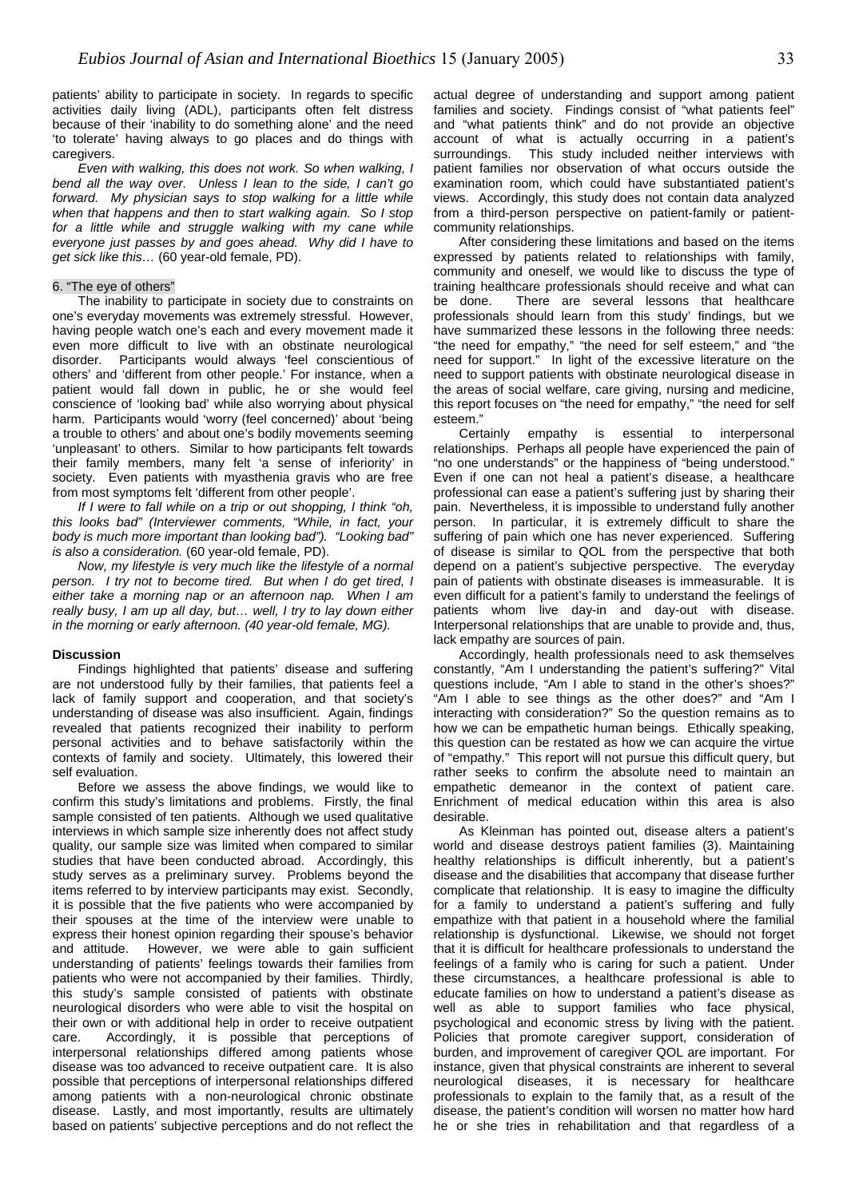patients' ability to participate in society. In regards to specific activities daily living (ADL), participants often felt distress because of their 'inability to do something alone' and the need 'to tolerate' having always to go places and do things with caregivers.

*Even with walking, this does not work. So when walking, I bend all the way over. Unless I lean to the side, I can't go forward. My physician says to stop walking for a little while when that happens and then to start walking again. So I stop for a little while and struggle walking with my cane while everyone just passes by and goes ahead. Why did I have to get sick like this…* (60 year-old female, PD).

#### 6. "The eye of others"

The inability to participate in society due to constraints on one's everyday movements was extremely stressful. However, having people watch one's each and every movement made it even more difficult to live with an obstinate neurological disorder. Participants would always 'feel conscientious of others' and 'different from other people.' For instance, when a patient would fall down in public, he or she would feel conscience of 'looking bad' while also worrying about physical harm. Participants would 'worry (feel concerned)' about 'being a trouble to others' and about one's bodily movements seeming 'unpleasant' to others. Similar to how participants felt towards their family members, many felt 'a sense of inferiority' in society. Even patients with myasthenia gravis who are free from most symptoms felt 'different from other people'.

*If I were to fall while on a trip or out shopping, I think "oh, this looks bad" (Interviewer comments, "While, in fact, your body is much more important than looking bad"). "Looking bad" is also a consideration.* (60 year-old female, PD).

*Now, my lifestyle is very much like the lifestyle of a normal person. I try not to become tired. But when I do get tired, I either take a morning nap or an afternoon nap. When I am really busy, I am up all day, but… well, I try to lay down either in the morning or early afternoon. (40 year-old female, MG).* 

#### **Discussion**

Findings highlighted that patients' disease and suffering are not understood fully by their families, that patients feel a lack of family support and cooperation, and that society's understanding of disease was also insufficient. Again, findings revealed that patients recognized their inability to perform personal activities and to behave satisfactorily within the contexts of family and society. Ultimately, this lowered their self evaluation.

Before we assess the above findings, we would like to confirm this study's limitations and problems. Firstly, the final sample consisted of ten patients. Although we used qualitative interviews in which sample size inherently does not affect study quality, our sample size was limited when compared to similar studies that have been conducted abroad. Accordingly, this study serves as a preliminary survey. Problems beyond the items referred to by interview participants may exist. Secondly, it is possible that the five patients who were accompanied by their spouses at the time of the interview were unable to express their honest opinion regarding their spouse's behavior and attitude. However, we were able to gain sufficient understanding of patients' feelings towards their families from patients who were not accompanied by their families. Thirdly, this study's sample consisted of patients with obstinate neurological disorders who were able to visit the hospital on their own or with additional help in order to receive outpatient care. Accordingly, it is possible that perceptions of interpersonal relationships differed among patients whose disease was too advanced to receive outpatient care. It is also possible that perceptions of interpersonal relationships differed among patients with a non-neurological chronic obstinate disease. Lastly, and most importantly, results are ultimately based on patients' subjective perceptions and do not reflect the

actual degree of understanding and support among patient families and society. Findings consist of "what patients feel" and "what patients think" and do not provide an objective account of what is actually occurring in a patient's surroundings. This study included neither interviews with patient families nor observation of what occurs outside the examination room, which could have substantiated patient's views. Accordingly, this study does not contain data analyzed from a third-person perspective on patient-family or patientcommunity relationships.

After considering these limitations and based on the items expressed by patients related to relationships with family, community and oneself, we would like to discuss the type of training healthcare professionals should receive and what can be done. There are several lessons that healthcare professionals should learn from this study' findings, but we have summarized these lessons in the following three needs: "the need for empathy," "the need for self esteem," and "the need for support." In light of the excessive literature on the need to support patients with obstinate neurological disease in the areas of social welfare, care giving, nursing and medicine, this report focuses on "the need for empathy," "the need for self esteem."

Certainly empathy is essential to interpersonal relationships. Perhaps all people have experienced the pain of "no one understands" or the happiness of "being understood." Even if one can not heal a patient's disease, a healthcare professional can ease a patient's suffering just by sharing their pain. Nevertheless, it is impossible to understand fully another person. In particular, it is extremely difficult to share the suffering of pain which one has never experienced. Suffering of disease is similar to QOL from the perspective that both depend on a patient's subjective perspective. The everyday pain of patients with obstinate diseases is immeasurable. It is even difficult for a patient's family to understand the feelings of patients whom live day-in and day-out with disease. Interpersonal relationships that are unable to provide and, thus, lack empathy are sources of pain.

Accordingly, health professionals need to ask themselves constantly, "Am I understanding the patient's suffering?" Vital questions include, "Am I able to stand in the other's shoes?" "Am I able to see things as the other does?" and "Am I interacting with consideration?" So the question remains as to how we can be empathetic human beings. Ethically speaking, this question can be restated as how we can acquire the virtue of "empathy." This report will not pursue this difficult query, but rather seeks to confirm the absolute need to maintain an empathetic demeanor in the context of patient care. Enrichment of medical education within this area is also desirable.

As Kleinman has pointed out, disease alters a patient's world and disease destroys patient families (3). Maintaining healthy relationships is difficult inherently, but a patient's disease and the disabilities that accompany that disease further complicate that relationship. It is easy to imagine the difficulty for a family to understand a patient's suffering and fully empathize with that patient in a household where the familial relationship is dysfunctional. Likewise, we should not forget that it is difficult for healthcare professionals to understand the feelings of a family who is caring for such a patient. Under these circumstances, a healthcare professional is able to educate families on how to understand a patient's disease as well as able to support families who face physical, psychological and economic stress by living with the patient. Policies that promote caregiver support, consideration of burden, and improvement of caregiver QOL are important. For instance, given that physical constraints are inherent to several neurological diseases, it is necessary for healthcare professionals to explain to the family that, as a result of the disease, the patient's condition will worsen no matter how hard he or she tries in rehabilitation and that regardless of a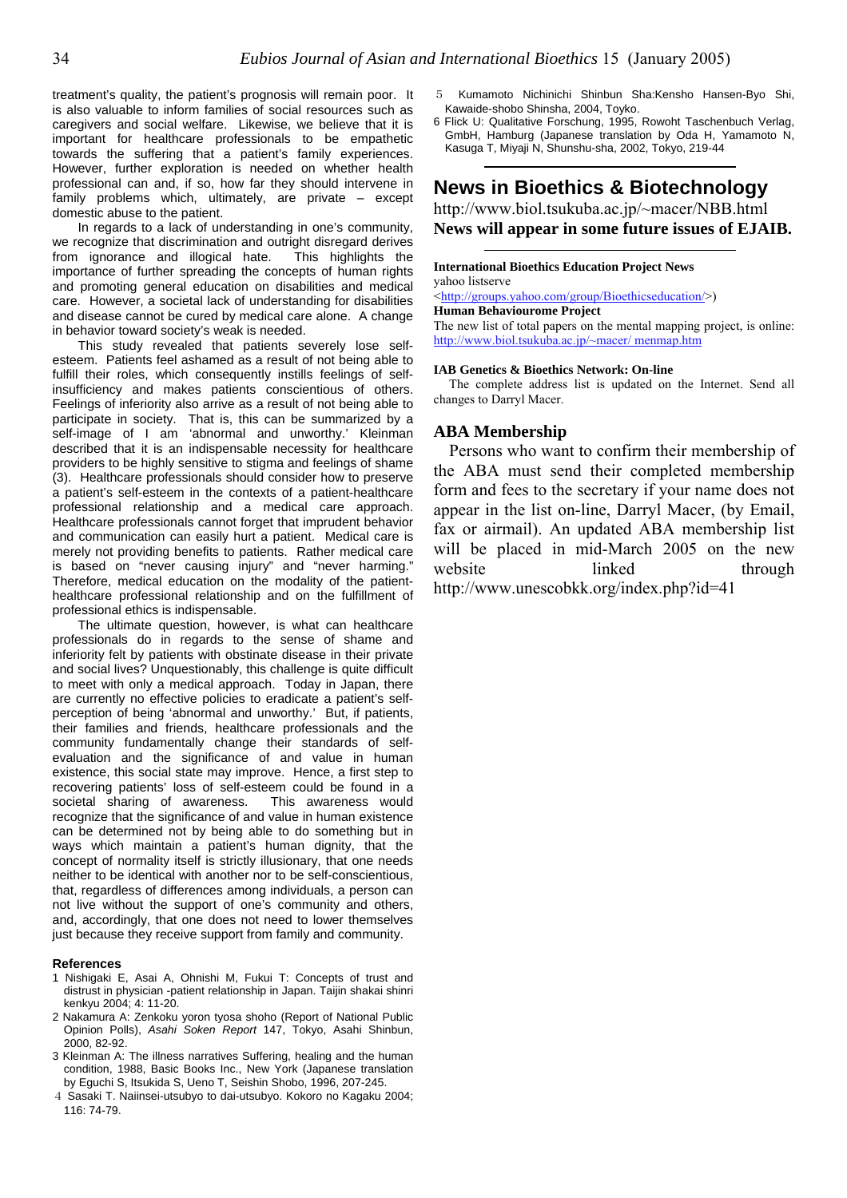treatment's quality, the patient's prognosis will remain poor. It is also valuable to inform families of social resources such as caregivers and social welfare. Likewise, we believe that it is important for healthcare professionals to be empathetic towards the suffering that a patient's family experiences. However, further exploration is needed on whether health professional can and, if so, how far they should intervene in family problems which, ultimately, are private – except domestic abuse to the patient.

we recognize that discrimination and outright disregard derives from ignorance and illogical hate. This highlights the importance of further spreading the concepts of human rights and promoting general education on disabilities and medical care. However, a societal lack of understanding for disabilities and disease cannot be cured by medical care alone. A change in behavior toward society's weak is needed.

http://www.biol.tsukuba.ac.jp/~macer/ menmap.htm This study revealed that patients severely lose self-<br>This study revealed that patients severely lose selfesteem. Patients feel ashamed as a result of not being able to fulfill their roles, which consequently instills feelings of selfinsufficiency and makes patients conscientious of others. Feelings of inferiority also arrive as a result of not being able to participate in society. That is, this can be summarized by a self-image of I am 'abnormal and unworthy.' Kleinman described that it is an indispensable necessity for healthcare providers to be highly sensitive to stigma and feelings of shame (3). Healthcare professionals should consider how to preserve a patient's self-esteem in the contexts of a patient-healthcare professional relationship and a medical care approach. Healthcare professionals cannot forget that imprudent behavior and communication can easily hurt a patient. Medical care is merely not providing benefits to patients. Rather medical care is based on "never causing injury" and "never harming." Therefore, medical education on the modality of the patienthealthcare professional relationship and on the fulfillment of professional ethics is indispensable.

The ultimate question, however, is what can healthcare professionals do in regards to the sense of shame and inferiority felt by patients with obstinate disease in their private and social lives? Unquestionably, this challenge is quite difficult to meet with only a medical approach. Today in Japan, there are currently no effective policies to eradicate a patient's selfperception of being 'abnormal and unworthy.' But, if patients, their families and friends, healthcare professionals and the community fundamentally change their standards of selfevaluation and the significance of and value in human existence, this social state may improve. Hence, a first step to recovering patients' loss of self-esteem could be found in a societal sharing of awareness. This awareness would recognize that the significance of and value in human existence can be determined not by being able to do something but in ways which maintain a patient's human dignity, that the concept of normality itself is strictly illusionary, that one needs neither to be identical with another nor to be self-conscientious, that, regardless of differences among individuals, a person can not live without the support of one's community and others, and, accordingly, that one does not need to lower themselves just because they receive support from family and community.

#### **References**

- 1 Nishigaki E, Asai A, Ohnishi M, Fukui T: Concepts of trust and distrust in physician -patient relationship in Japan. Taijin shakai shinri kenkyu 2004; 4: 11-20.
- 2 Nakamura A: Zenkoku yoron tyosa shoho (Report of National Public Opinion Polls), *Asahi Soken Report* 147, Tokyo, Asahi Shinbun, 2000, 82-92.
- 3 Kleinman A: The illness narratives Suffering, healing and the human condition, 1988, Basic Books Inc., New York (Japanese translation by Eguchi S, Itsukida S, Ueno T, Seishin Shobo, 1996, 207-245.
- 4 Sasaki T. Naiinsei-utsubyo to dai-utsubyo. Kokoro no Kagaku 2004; 116: 74-79.
- 5 Kumamoto Nichinichi Shinbun Sha:Kensho Hansen-Byo Shi, Kawaide-shobo Shinsha, 2004, Toyko.
- 6 Flick U: Qualitative Forschung, 1995, Rowoht Taschenbuch Verlag, GmbH, Hamburg (Japanese translation by Oda H, Yamamoto N, Kasuga T, Miyaji N, Shunshu-sha, 2002, Tokyo, 219-44

### **News in Bioethics & Biotechnology**

http://www.biol.tsukuba.ac.jp/~macer/NBB.html In regards to a lack of understanding in one's community, News will appear in some future issues of EJAIB.

### **International Bioethics Education Project News**

yahoo listserve

<http://groups.yahoo.com/group/Bioethicseducation/>)

**Human Behaviourome Project** The new list of total papers on the mental mapping project, is online:

#### **IAB Genetics & Bioethics Network: On-line**

The complete address list is updated on the Internet. Send all changes to Darryl Macer.

### **ABA Membership**

Persons who want to confirm their membership of the ABA must send their completed membership form and fees to the secretary if your name does not appear in the list on-line, Darryl Macer, (by Email, fax or airmail). An updated ABA membership list will be placed in mid-March 2005 on the new website linked through http://www.unescobkk.org/index.php?id=41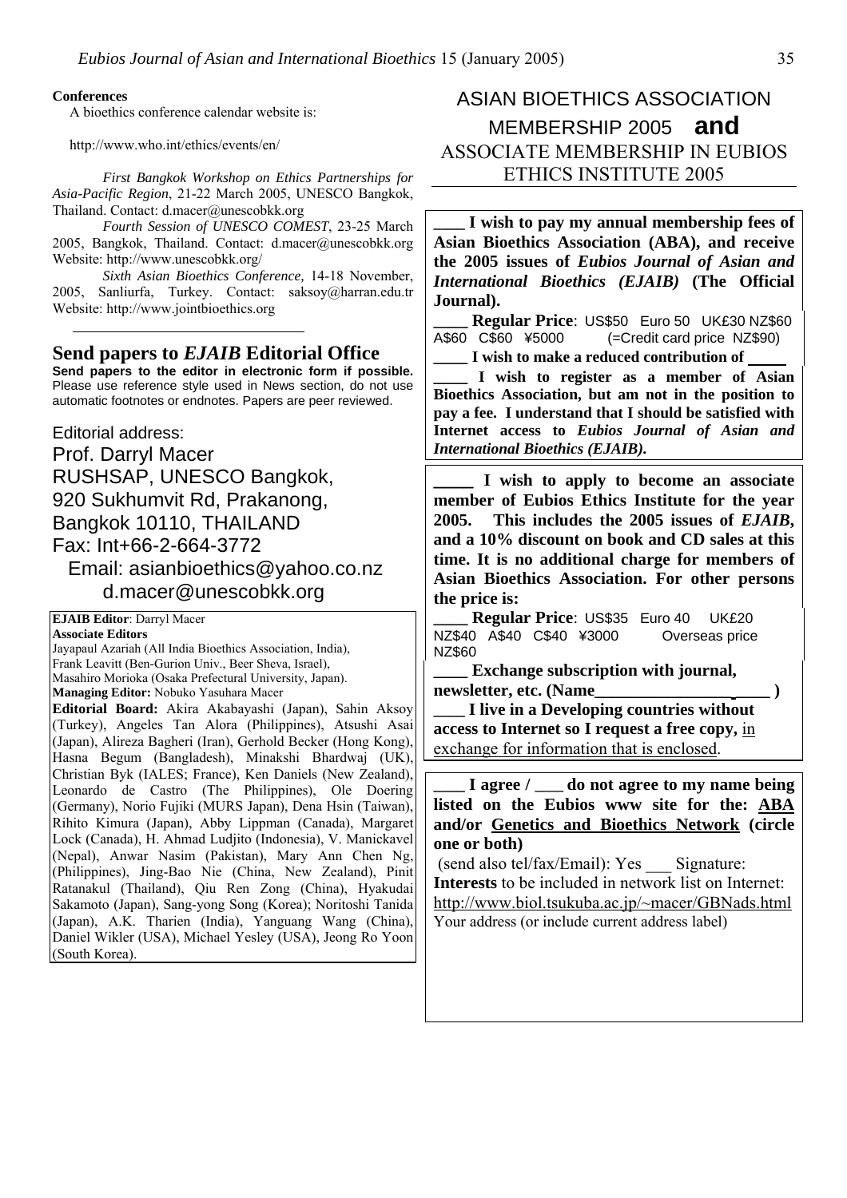### **Conferences**

A bioethics conference calendar website is:

*Asia-Pacific Region*, 21-22 March 2005, UNESCO Bangkok, Thailand. Contact: d.macer@unescobkk.org

*Fourth Session of UNESCO COMEST*, 23-25 March 2005, Bangkok, Thailand. Contact: d.macer@unescobkk.org Website: http://www.unescobkk.org/

*Sixth Asian Bioethics Conference,* 14-18 November, 2005, Sanliurfa, Turkey. Contact: saksoy@harran.edu.tr Website: http://www.jointbioethics.org

**Send papers to the editor in electronic form if possible.** Please use reference style used in News section, do not use automatic footnotes or endnotes. Papers are peer reviewed.

**Internet access to** *Eubios Jo***<br>
Prof. Darryl Macer**<br> *International Bioethics (EJAIB).* Prof. Darryl Macer RUSHSAP, UNESCO Bangkok, **\_\_\_\_ I wish to apply to become an associate**  920 Sukhumvit Rd, Prakanong, Bangkok 10110, THAILAND Fax: Int+66-2-664-3772 Email: asianbioethics@yahoo.co.nz d.macer@unescobkk.org

**EJAIB Editor**: Darryl Macer **Associate Editors** Jayapaul Azariah (All India Bioethics Association, India), Frank Leavitt (Ben-Gurion Univ., Beer Sheva, Israel), Masahiro Morioka (Osaka Prefectural University, Japan). **Managing Editor:** Nobuko Yasuhara Macer **Editorial Board:** Akira Akabayashi (Japan), Sahin Aksoy (Turkey), Angeles Tan Alora (Philippines), Atsushi Asai (Japan), Alireza Bagheri (Iran), Gerhold Becker (Hong Kong), Hasna Begum (Bangladesh), Minakshi Bhardwaj (UK), Christian Byk (IALES; France), Ken Daniels (New Zealand), Leonardo de Castro (The Philippines), Ole Doering (Germany), Norio Fujiki (MURS Japan), Dena Hsin (Taiwan), Rihito Kimura (Japan), Abby Lippman (Canada), Margaret Lock (Canada), H. Ahmad Ludjito (Indonesia), V. Manickavel (Nepal), Anwar Nasim (Pakistan), Mary Ann Chen Ng, (Philippines), Jing-Bao Nie (China, New Zealand), Pinit Ratanakul (Thailand), Qiu Ren Zong (China), Hyakudai Sakamoto (Japan), Sang-yong Song (Korea); Noritoshi Tanida (Japan), A.K. Tharien (India), Yanguang Wang (China), Daniel Wikler (USA), Michael Yesley (USA), Jeong Ro Yoon (South Korea).

### ASIAN BIOETHICS ASSOCIATION MEMBERSHIP 2005 **and**  http://www.who.int/ethics/events/en/ ASSOCIATE MEMBERSHIP IN EUBIOS *First Bangkok Workshop on Ethics Partnerships for* **ETHICS INSTITUTE 2005**

**\_\_\_\_ I wish to pay my annual membership fees of Asian Bioethics Association (ABA), and receive the 2005 issues of** *Eubios Journal of Asian and International Bioethics (EJAIB)* **(The Official Journal).** 

**\_\_\_\_ Regular Price**: US\$50 Euro 50 UK£30 NZ\$60<br>A\$60 C\$60 ¥5000 (=Credit card price NZ\$90) Send papers to *EJAIB* Editorial Office <br>  $\begin{array}{|l|l|}\n\hline\n\text{4$60 }$  C\$60 \figure 45000 (=Credit card price NZ\$90)

**\_\_\_\_ I wish to register as a member of Asian Bioethics Association, but am not in the position to pay a fee. I understand that I should be satisfied with Internet access to** *Eubios Journal of Asian and*

**member of Eubios Ethics Institute for the year 2005. This includes the 2005 issues of** *EJAIB***, and a 10% discount on book and CD sales at this time. It is no additional charge for members of Asian Bioethics Association. For other persons the price is:**

**\_\_\_\_ Regular Price**: US\$35 Euro 40 UK£20 NZ\$40 A\$40 C\$40 ¥3000 Overseas price NZ\$60

**\_\_\_\_ Exchange subscription with journal, newsletter, etc. (Name\_\_\_\_\_\_\_\_\_\_\_\_\_\_\_\_ \_\_\_\_ )** 

**\_\_\_\_ I live in a Developing countries without access to Internet so I request a free copy,** in exchange for information that is enclosed.

**\_\_\_\_ I agree / \_\_\_\_ do not agree to my name being listed on the Eubios www site for the: ABA and/or Genetics and Bioethics Network (circle one or both)** 

 (send also tel/fax/Email): Yes \_\_\_ Signature: **Interests** to be included in network list on Internet: <http://www.biol.tsukuba.ac.jp/~macer/GBNads.html> Your address (or include current address label)